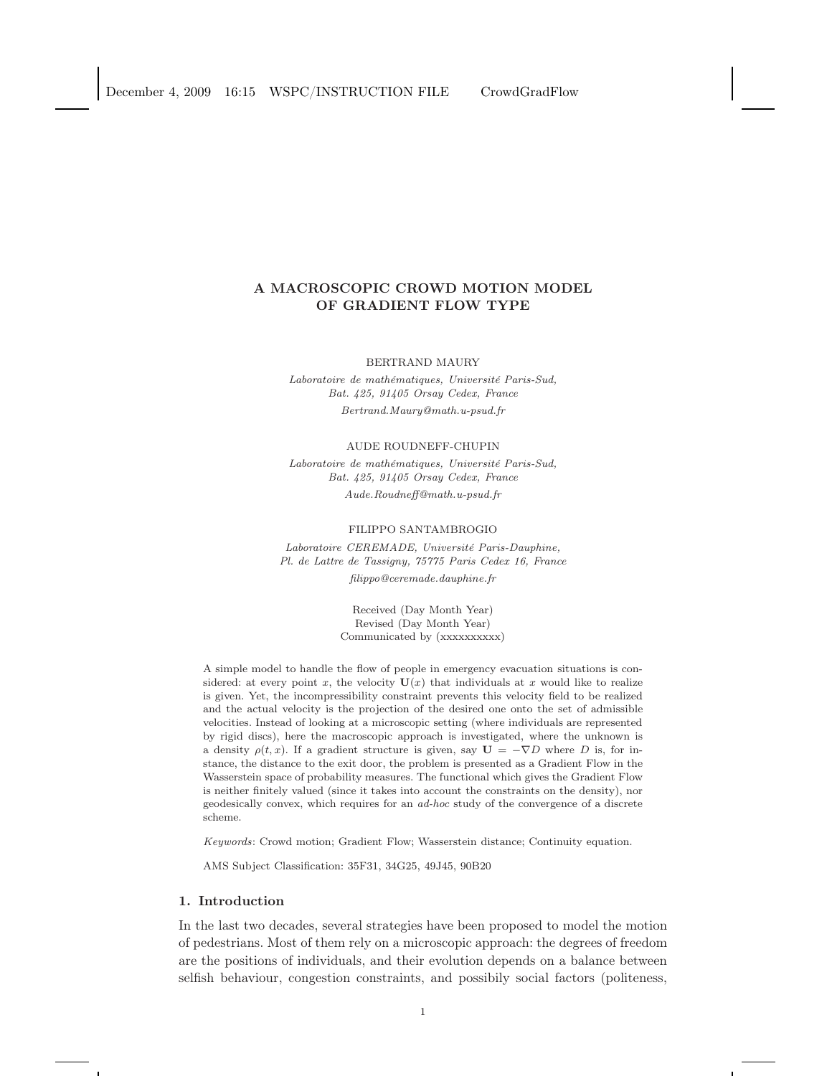# A MACROSCOPIC CROWD MOTION MODEL OF GRADIENT FLOW TYPE

#### BERTRAND MAURY

Laboratoire de mathématiques, Université Paris-Sud, Bat. 425, 91405 Orsay Cedex, France Bertrand.Maury@math.u-psud.fr

#### AUDE ROUDNEFF-CHUPIN

Laboratoire de mathématiques, Université Paris-Sud, Bat. 425, 91405 Orsay Cedex, France Aude.Roudneff@math.u-psud.fr

#### FILIPPO SANTAMBROGIO

Laboratoire CEREMADE, Université Paris-Dauphine, Pl. de Lattre de Tassigny, 75775 Paris Cedex 16, France

filippo@ceremade.dauphine.fr

Received (Day Month Year) Revised (Day Month Year) Communicated by (xxxxxxxxxx)

A simple model to handle the flow of people in emergency evacuation situations is considered: at every point x, the velocity  $U(x)$  that individuals at x would like to realize is given. Yet, the incompressibility constraint prevents this velocity field to be realized and the actual velocity is the projection of the desired one onto the set of admissible velocities. Instead of looking at a microscopic setting (where individuals are represented by rigid discs), here the macroscopic approach is investigated, where the unknown is a density  $\rho(t, x)$ . If a gradient structure is given, say  $\mathbf{U} = -\nabla D$  where D is, for instance, the distance to the exit door, the problem is presented as a Gradient Flow in the Wasserstein space of probability measures. The functional which gives the Gradient Flow is neither finitely valued (since it takes into account the constraints on the density), nor geodesically convex, which requires for an ad-hoc study of the convergence of a discrete scheme.

Keywords: Crowd motion; Gradient Flow; Wasserstein distance; Continuity equation.

AMS Subject Classification: 35F31, 34G25, 49J45, 90B20

## 1. Introduction

In the last two decades, several strategies have been proposed to model the motion of pedestrians. Most of them rely on a microscopic approach: the degrees of freedom are the positions of individuals, and their evolution depends on a balance between selfish behaviour, congestion constraints, and possibily social factors (politeness,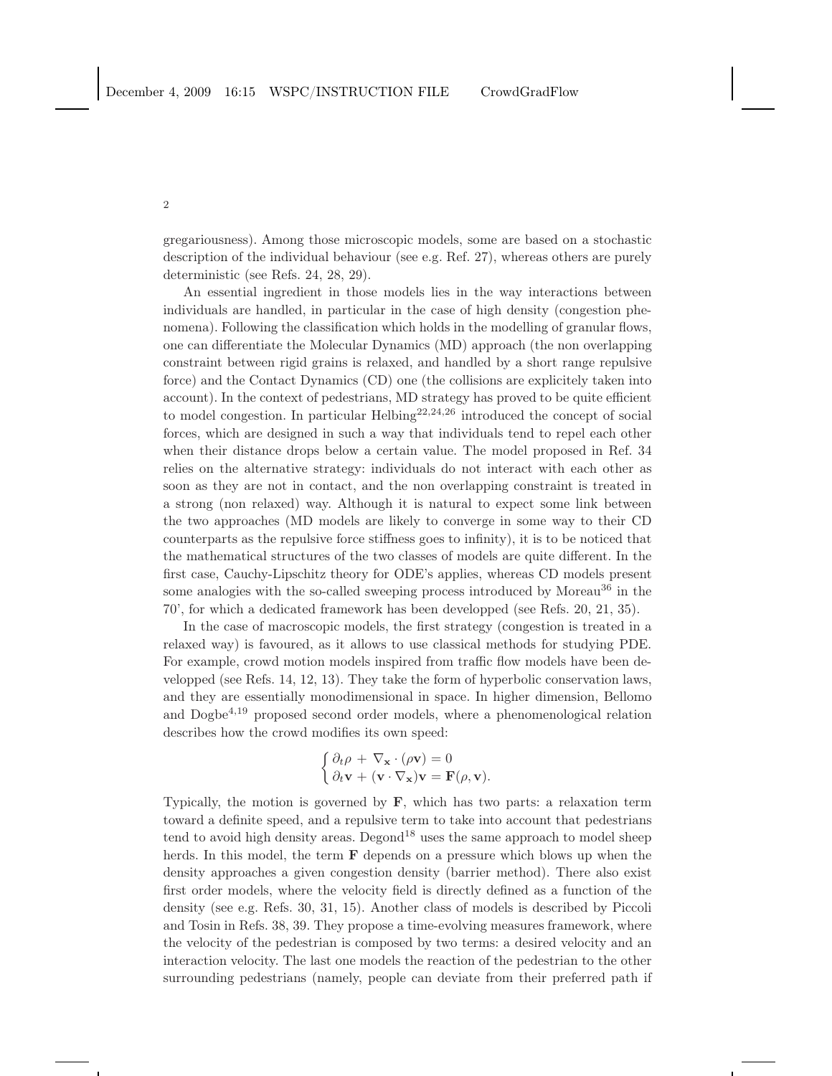gregariousness). Among those microscopic models, some are based on a stochastic description of the individual behaviour (see e.g. Ref. 27), whereas others are purely deterministic (see Refs. 24, 28, 29).

An essential ingredient in those models lies in the way interactions between individuals are handled, in particular in the case of high density (congestion phenomena). Following the classification which holds in the modelling of granular flows, one can differentiate the Molecular Dynamics (MD) approach (the non overlapping constraint between rigid grains is relaxed, and handled by a short range repulsive force) and the Contact Dynamics (CD) one (the collisions are explicitely taken into account). In the context of pedestrians, MD strategy has proved to be quite efficient to model congestion. In particular  $\text{Helbing}^{22,24,26}$  introduced the concept of social forces, which are designed in such a way that individuals tend to repel each other when their distance drops below a certain value. The model proposed in Ref. 34 relies on the alternative strategy: individuals do not interact with each other as soon as they are not in contact, and the non overlapping constraint is treated in a strong (non relaxed) way. Although it is natural to expect some link between the two approaches (MD models are likely to converge in some way to their CD counterparts as the repulsive force stiffness goes to infinity), it is to be noticed that the mathematical structures of the two classes of models are quite different. In the first case, Cauchy-Lipschitz theory for ODE's applies, whereas CD models present some analogies with the so-called sweeping process introduced by Moreau<sup>36</sup> in the 70', for which a dedicated framework has been developped (see Refs. 20, 21, 35).

In the case of macroscopic models, the first strategy (congestion is treated in a relaxed way) is favoured, as it allows to use classical methods for studying PDE. For example, crowd motion models inspired from traffic flow models have been developped (see Refs. 14, 12, 13). They take the form of hyperbolic conservation laws, and they are essentially monodimensional in space. In higher dimension, Bellomo and Dogbe<sup>4,19</sup> proposed second order models, where a phenomenological relation describes how the crowd modifies its own speed:

$$
\begin{cases} \partial_t \rho + \nabla_{\mathbf{x}} \cdot (\rho \mathbf{v}) = 0 \\ \partial_t \mathbf{v} + (\mathbf{v} \cdot \nabla_{\mathbf{x}}) \mathbf{v} = \mathbf{F}(\rho, \mathbf{v}). \end{cases}
$$

Typically, the motion is governed by  $\mathbf{F}$ , which has two parts: a relaxation term toward a definite speed, and a repulsive term to take into account that pedestrians tend to avoid high density areas. Degond<sup>18</sup> uses the same approach to model sheep herds. In this model, the term **F** depends on a pressure which blows up when the density approaches a given congestion density (barrier method). There also exist first order models, where the velocity field is directly defined as a function of the density (see e.g. Refs. 30, 31, 15). Another class of models is described by Piccoli and Tosin in Refs. 38, 39. They propose a time-evolving measures framework, where the velocity of the pedestrian is composed by two terms: a desired velocity and an interaction velocity. The last one models the reaction of the pedestrian to the other surrounding pedestrians (namely, people can deviate from their preferred path if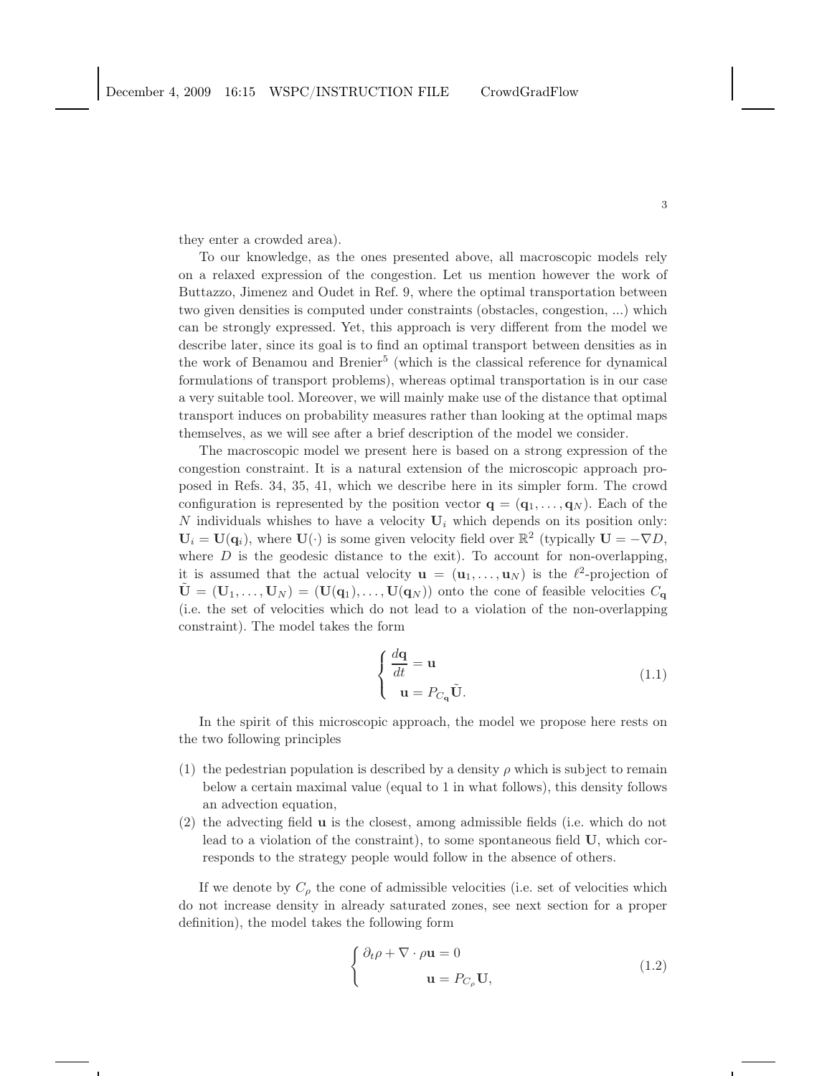they enter a crowded area).

To our knowledge, as the ones presented above, all macroscopic models rely on a relaxed expression of the congestion. Let us mention however the work of Buttazzo, Jimenez and Oudet in Ref. 9, where the optimal transportation between two given densities is computed under constraints (obstacles, congestion, ...) which can be strongly expressed. Yet, this approach is very different from the model we describe later, since its goal is to find an optimal transport between densities as in the work of Benamou and Brenier<sup>5</sup> (which is the classical reference for dynamical formulations of transport problems), whereas optimal transportation is in our case a very suitable tool. Moreover, we will mainly make use of the distance that optimal transport induces on probability measures rather than looking at the optimal maps themselves, as we will see after a brief description of the model we consider.

The macroscopic model we present here is based on a strong expression of the congestion constraint. It is a natural extension of the microscopic approach proposed in Refs. 34, 35, 41, which we describe here in its simpler form. The crowd configuration is represented by the position vector  $\mathbf{q} = (\mathbf{q}_1, \dots, \mathbf{q}_N)$ . Each of the N individuals whishes to have a velocity  $U_i$  which depends on its position only:  $U_i = U(q_i)$ , where  $U(\cdot)$  is some given velocity field over  $\mathbb{R}^2$  (typically  $U = -\nabla D$ , where  $D$  is the geodesic distance to the exit). To account for non-overlapping, it is assumed that the actual velocity  $\mathbf{u} = (\mathbf{u}_1, \dots, \mathbf{u}_N)$  is the  $\ell^2$ -projection of  $\tilde{\mathbf{U}} = (\mathbf{U}_1, \dots, \mathbf{U}_N) = (\mathbf{U}(\mathbf{q}_1), \dots, \mathbf{U}(\mathbf{q}_N))$  onto the cone of feasible velocities  $C_{\mathbf{q}}$ (i.e. the set of velocities which do not lead to a violation of the non-overlapping constraint). The model takes the form

$$
\begin{cases}\n\frac{d\mathbf{q}}{dt} = \mathbf{u} \\
\mathbf{u} = P_{C_{\mathbf{q}}}\tilde{\mathbf{U}}.\n\end{cases} (1.1)
$$

In the spirit of this microscopic approach, the model we propose here rests on the two following principles

- (1) the pedestrian population is described by a density  $\rho$  which is subject to remain below a certain maximal value (equal to 1 in what follows), this density follows an advection equation,
- (2) the advecting field u is the closest, among admissible fields (i.e. which do not lead to a violation of the constraint), to some spontaneous field U, which corresponds to the strategy people would follow in the absence of others.

If we denote by  $C_{\rho}$  the cone of admissible velocities (i.e. set of velocities which do not increase density in already saturated zones, see next section for a proper definition), the model takes the following form

$$
\begin{cases} \partial_t \rho + \nabla \cdot \rho \mathbf{u} = 0 \\ \mathbf{u} = P_{C_\rho} \mathbf{U}, \end{cases}
$$
 (1.2)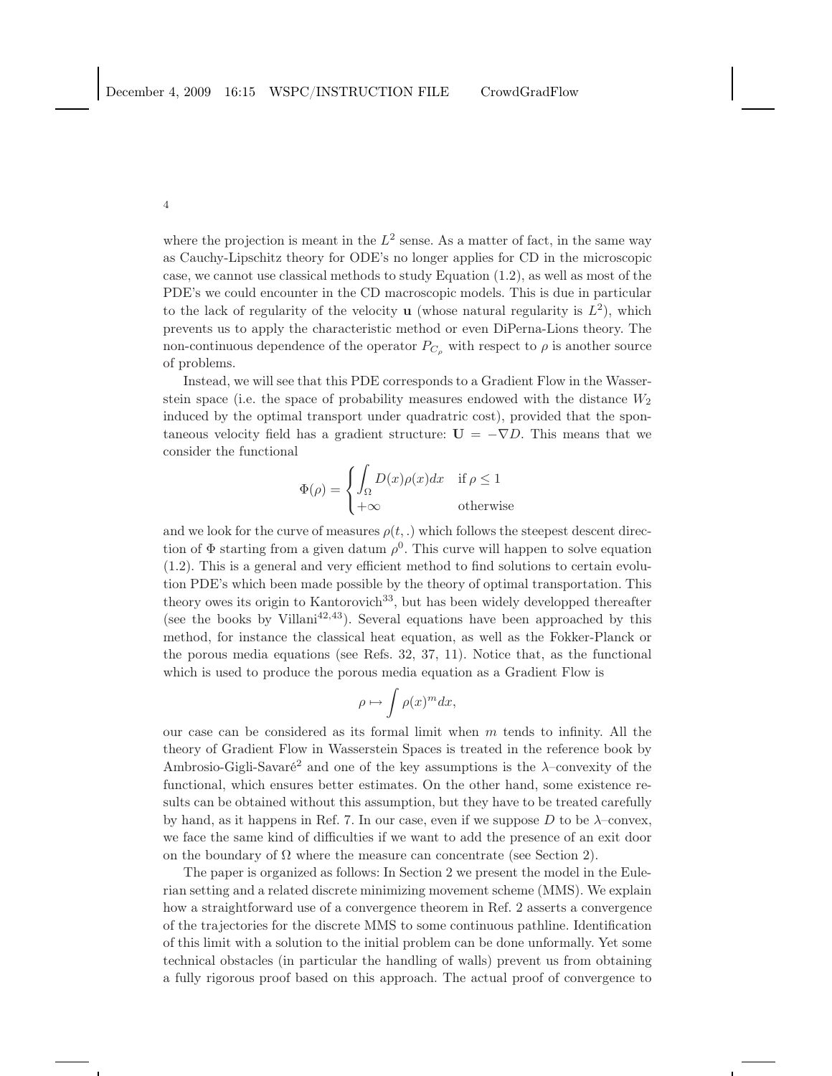where the projection is meant in the  $L^2$  sense. As a matter of fact, in the same way as Cauchy-Lipschitz theory for ODE's no longer applies for CD in the microscopic case, we cannot use classical methods to study Equation (1.2), as well as most of the PDE's we could encounter in the CD macroscopic models. This is due in particular to the lack of regularity of the velocity **u** (whose natural regularity is  $L^2$ ), which prevents us to apply the characteristic method or even DiPerna-Lions theory. The non-continuous dependence of the operator  $P_{C_{\rho}}$  with respect to  $\rho$  is another source of problems.

Instead, we will see that this PDE corresponds to a Gradient Flow in the Wasserstein space (i.e. the space of probability measures endowed with the distance  $W_2$ induced by the optimal transport under quadratric cost), provided that the spontaneous velocity field has a gradient structure:  $U = -\nabla D$ . This means that we consider the functional

$$
\Phi(\rho) = \begin{cases} \int_{\Omega} D(x)\rho(x)dx & \text{if } \rho \le 1\\ +\infty & \text{otherwise} \end{cases}
$$

and we look for the curve of measures  $\rho(t,.)$  which follows the steepest descent direction of  $\Phi$  starting from a given datum  $\rho^0$ . This curve will happen to solve equation (1.2). This is a general and very efficient method to find solutions to certain evolution PDE's which been made possible by the theory of optimal transportation. This theory owes its origin to Kantorovich<sup>33</sup>, but has been widely developped thereafter (see the books by Villani<sup>42,43</sup>). Several equations have been approached by this method, for instance the classical heat equation, as well as the Fokker-Planck or the porous media equations (see Refs. 32, 37, 11). Notice that, as the functional which is used to produce the porous media equation as a Gradient Flow is

$$
\rho \mapsto \int \rho(x)^m dx,
$$

our case can be considered as its formal limit when  $m$  tends to infinity. All the theory of Gradient Flow in Wasserstein Spaces is treated in the reference book by Ambrosio-Gigli-Savaré<sup>2</sup> and one of the key assumptions is the  $\lambda$ -convexity of the functional, which ensures better estimates. On the other hand, some existence results can be obtained without this assumption, but they have to be treated carefully by hand, as it happens in Ref. 7. In our case, even if we suppose  $D$  to be  $\lambda$ -convex, we face the same kind of difficulties if we want to add the presence of an exit door on the boundary of  $\Omega$  where the measure can concentrate (see Section 2).

The paper is organized as follows: In Section 2 we present the model in the Eulerian setting and a related discrete minimizing movement scheme (MMS). We explain how a straightforward use of a convergence theorem in Ref. 2 asserts a convergence of the trajectories for the discrete MMS to some continuous pathline. Identification of this limit with a solution to the initial problem can be done unformally. Yet some technical obstacles (in particular the handling of walls) prevent us from obtaining a fully rigorous proof based on this approach. The actual proof of convergence to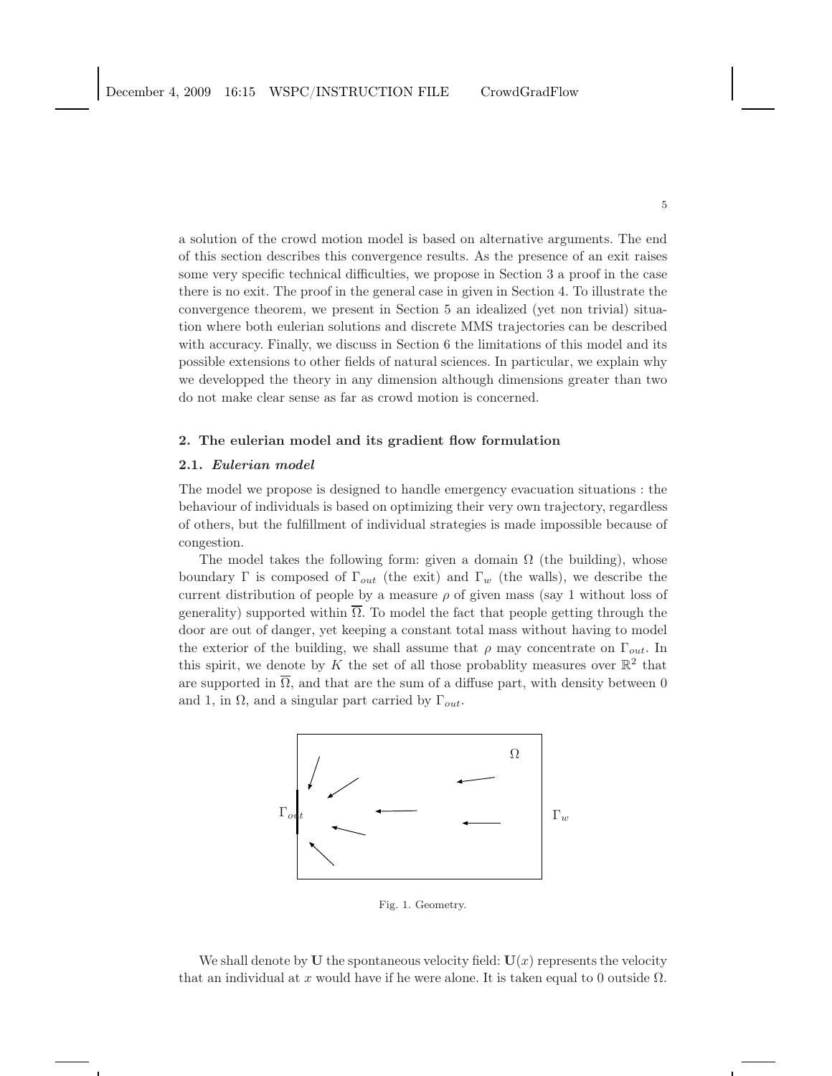a solution of the crowd motion model is based on alternative arguments. The end of this section describes this convergence results. As the presence of an exit raises some very specific technical difficulties, we propose in Section 3 a proof in the case there is no exit. The proof in the general case in given in Section 4. To illustrate the convergence theorem, we present in Section 5 an idealized (yet non trivial) situation where both eulerian solutions and discrete MMS trajectories can be described with accuracy. Finally, we discuss in Section 6 the limitations of this model and its possible extensions to other fields of natural sciences. In particular, we explain why we developped the theory in any dimension although dimensions greater than two do not make clear sense as far as crowd motion is concerned.

## 2. The eulerian model and its gradient flow formulation

### 2.1. Eulerian model

The model we propose is designed to handle emergency evacuation situations : the behaviour of individuals is based on optimizing their very own trajectory, regardless of others, but the fulfillment of individual strategies is made impossible because of congestion.

The model takes the following form: given a domain  $\Omega$  (the building), whose boundary Γ is composed of  $\Gamma_{out}$  (the exit) and  $\Gamma_w$  (the walls), we describe the current distribution of people by a measure  $\rho$  of given mass (say 1 without loss of generality) supported within  $\overline{\Omega}$ . To model the fact that people getting through the door are out of danger, yet keeping a constant total mass without having to model the exterior of the building, we shall assume that  $\rho$  may concentrate on  $\Gamma_{out}$ . In this spirit, we denote by K the set of all those probablity measures over  $\mathbb{R}^2$  that are supported in  $\overline{\Omega}$ , and that are the sum of a diffuse part, with density between 0 and 1, in  $\Omega$ , and a singular part carried by  $\Gamma_{out}$ .



Fig. 1. Geometry.

We shall denote by U the spontaneous velocity field:  $U(x)$  represents the velocity that an individual at x would have if he were alone. It is taken equal to 0 outside  $\Omega$ .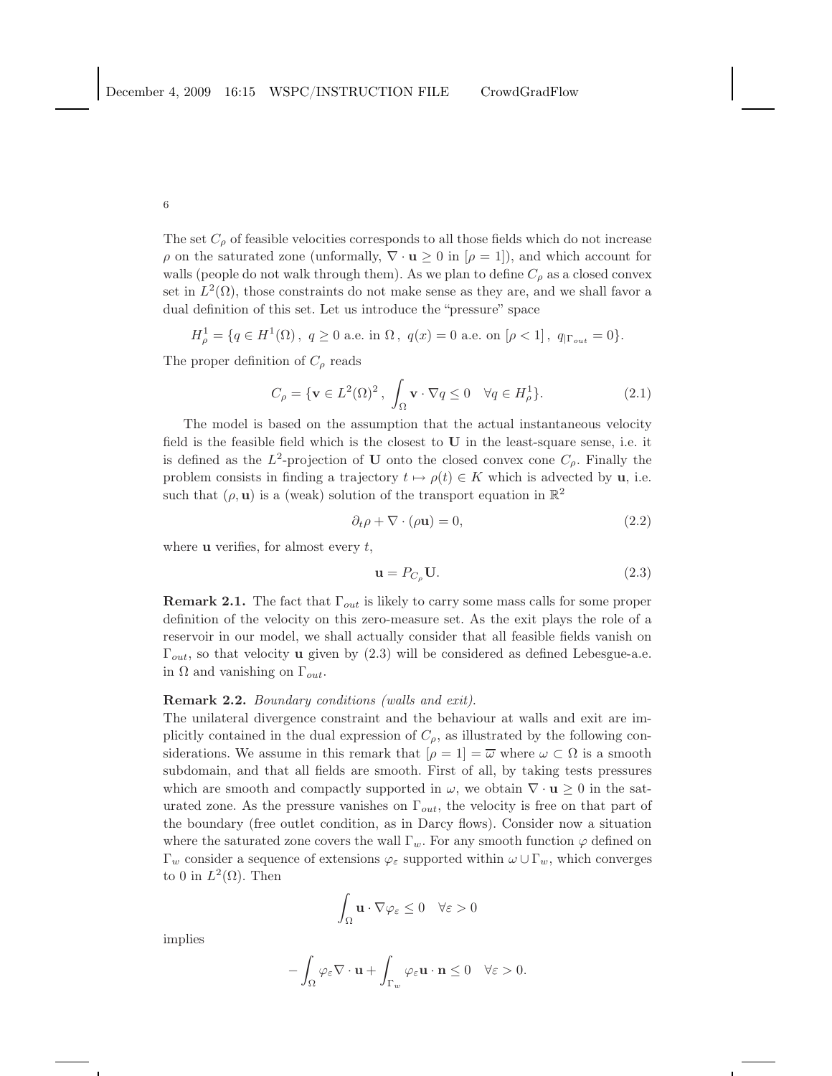The set  $C_{\rho}$  of feasible velocities corresponds to all those fields which do not increase  $\rho$  on the saturated zone (unformally,  $\nabla \cdot \mathbf{u} \geq 0$  in  $[\rho = 1]$ ), and which account for walls (people do not walk through them). As we plan to define  $C_{\rho}$  as a closed convex set in  $L^2(\Omega)$ , those constraints do not make sense as they are, and we shall favor a dual definition of this set. Let us introduce the "pressure" space

$$
H_{\rho}^1=\{q\in H^1(\Omega)\,,\,\,q\geq 0\,\,{\rm a.e.}\,\,{\rm in}\,\,\Omega\,,\,\,q(x)=0\,\,{\rm a.e.}\,\,{\rm on}\,\,[\rho<1]\,,\,\,q_{|\Gamma_{out}}=0\}.
$$

The proper definition of  $C_{\rho}$  reads

6

$$
C_{\rho} = \{ \mathbf{v} \in L^2(\Omega)^2, \int_{\Omega} \mathbf{v} \cdot \nabla q \le 0 \quad \forall q \in H^1_{\rho} \}. \tag{2.1}
$$

The model is based on the assumption that the actual instantaneous velocity field is the feasible field which is the closest to U in the least-square sense, i.e. it is defined as the  $L^2$ -projection of U onto the closed convex cone  $C_\rho$ . Finally the problem consists in finding a trajectory  $t \mapsto \rho(t) \in K$  which is advected by u, i.e. such that  $(\rho, \mathbf{u})$  is a (weak) solution of the transport equation in  $\mathbb{R}^2$ 

$$
\partial_t \rho + \nabla \cdot (\rho \mathbf{u}) = 0,\tag{2.2}
$$

where  $\bf{u}$  verifies, for almost every t,

$$
\mathbf{u} = P_{C_{\rho}} \mathbf{U}.\tag{2.3}
$$

**Remark 2.1.** The fact that  $\Gamma_{out}$  is likely to carry some mass calls for some proper definition of the velocity on this zero-measure set. As the exit plays the role of a reservoir in our model, we shall actually consider that all feasible fields vanish on  $\Gamma_{out}$ , so that velocity **u** given by (2.3) will be considered as defined Lebesgue-a.e. in  $\Omega$  and vanishing on  $\Gamma_{out}$ .

## Remark 2.2. *Boundary conditions (walls and exit)*.

The unilateral divergence constraint and the behaviour at walls and exit are implicitly contained in the dual expression of  $C_{\rho}$ , as illustrated by the following considerations. We assume in this remark that  $[\rho = 1] = \overline{\omega}$  where  $\omega \subset \Omega$  is a smooth subdomain, and that all fields are smooth. First of all, by taking tests pressures which are smooth and compactly supported in  $\omega$ , we obtain  $\nabla \cdot \mathbf{u} \geq 0$  in the saturated zone. As the pressure vanishes on  $\Gamma_{out}$ , the velocity is free on that part of the boundary (free outlet condition, as in Darcy flows). Consider now a situation where the saturated zone covers the wall  $\Gamma_w$ . For any smooth function  $\varphi$  defined on  $\Gamma_w$  consider a sequence of extensions  $\varphi_\varepsilon$  supported within  $\omega \cup \Gamma_w$ , which converges to 0 in  $L^2(\Omega)$ . Then

$$
\int_{\Omega} \mathbf{u} \cdot \nabla \varphi_{\varepsilon} \le 0 \quad \forall \varepsilon > 0
$$

implies

$$
-\int_{\Omega}\varphi_{\varepsilon}\nabla\cdot\mathbf{u}+\int_{\Gamma_w}\varphi_{\varepsilon}\mathbf{u}\cdot\mathbf{n}\leq 0\quad\forall \varepsilon>0.
$$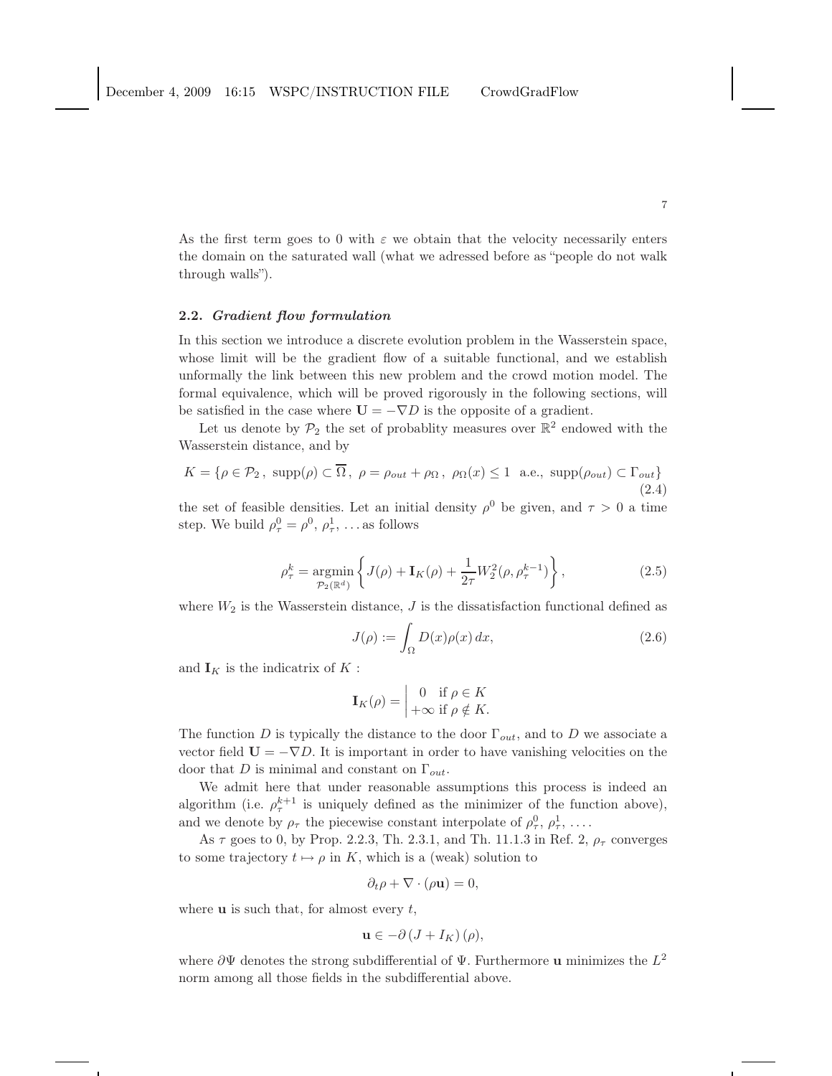As the first term goes to 0 with  $\varepsilon$  we obtain that the velocity necessarily enters the domain on the saturated wall (what we adressed before as "people do not walk through walls").

### 2.2. Gradient flow formulation

In this section we introduce a discrete evolution problem in the Wasserstein space, whose limit will be the gradient flow of a suitable functional, and we establish unformally the link between this new problem and the crowd motion model. The formal equivalence, which will be proved rigorously in the following sections, will be satisfied in the case where  $U = -\nabla D$  is the opposite of a gradient.

Let us denote by  $\mathcal{P}_2$  the set of probablity measures over  $\mathbb{R}^2$  endowed with the Wasserstein distance, and by

$$
K = \{ \rho \in \mathcal{P}_2, \text{ supp}(\rho) \subset \overline{\Omega}, \ \rho = \rho_{out} + \rho_{\Omega}, \ \rho_{\Omega}(x) \le 1 \text{ a.e., } \text{supp}(\rho_{out}) \subset \Gamma_{out} \}
$$
\n(2.4)

the set of feasible densities. Let an initial density  $\rho^0$  be given, and  $\tau > 0$  a time step. We build  $\rho_{\tau}^0 = \rho^0, \rho_{\tau}^1, \ldots$  as follows

$$
\rho_{\tau}^{k} = \underset{\mathcal{P}_{2}(\mathbb{R}^{d})}{\text{argmin}} \left\{ J(\rho) + \mathbf{I}_{K}(\rho) + \frac{1}{2\tau} W_{2}^{2}(\rho, \rho_{\tau}^{k-1}) \right\},
$$
\n(2.5)

where  $W_2$  is the Wasserstein distance,  $J$  is the dissatisfaction functional defined as

$$
J(\rho) := \int_{\Omega} D(x)\rho(x) dx,
$$
\n(2.6)

and  $\mathbf{I}_K$  is the indicatrix of  $K$ :

$$
\mathbf{I}_K(\rho) = \begin{vmatrix} 0 & \text{if } \rho \in K \\ +\infty & \text{if } \rho \notin K. \end{vmatrix}
$$

The function D is typically the distance to the door  $\Gamma_{out}$ , and to D we associate a vector field  $U = -\nabla D$ . It is important in order to have vanishing velocities on the door that D is minimal and constant on  $\Gamma_{out}$ .

We admit here that under reasonable assumptions this process is indeed an algorithm (i.e.  $\rho_{\tau}^{k+1}$  is uniquely defined as the minimizer of the function above), and we denote by  $\rho_{\tau}$  the piecewise constant interpolate of  $\rho_{\tau}^0$ ,  $\rho_{\tau}^1$ , ...

As  $\tau$  goes to 0, by Prop. 2.2.3, Th. 2.3.1, and Th. 11.1.3 in Ref. 2,  $\rho_{\tau}$  converges to some trajectory  $t \mapsto \rho$  in K, which is a (weak) solution to

$$
\partial_t \rho + \nabla \cdot (\rho \mathbf{u}) = 0,
$$

where  $\bf{u}$  is such that, for almost every  $t$ ,

$$
\mathbf{u}\in-\partial\left( J+I_{K}\right) (\rho),
$$

where  $\partial \Psi$  denotes the strong subdifferential of  $\Psi$ . Furthermore u minimizes the  $L^2$ norm among all those fields in the subdifferential above.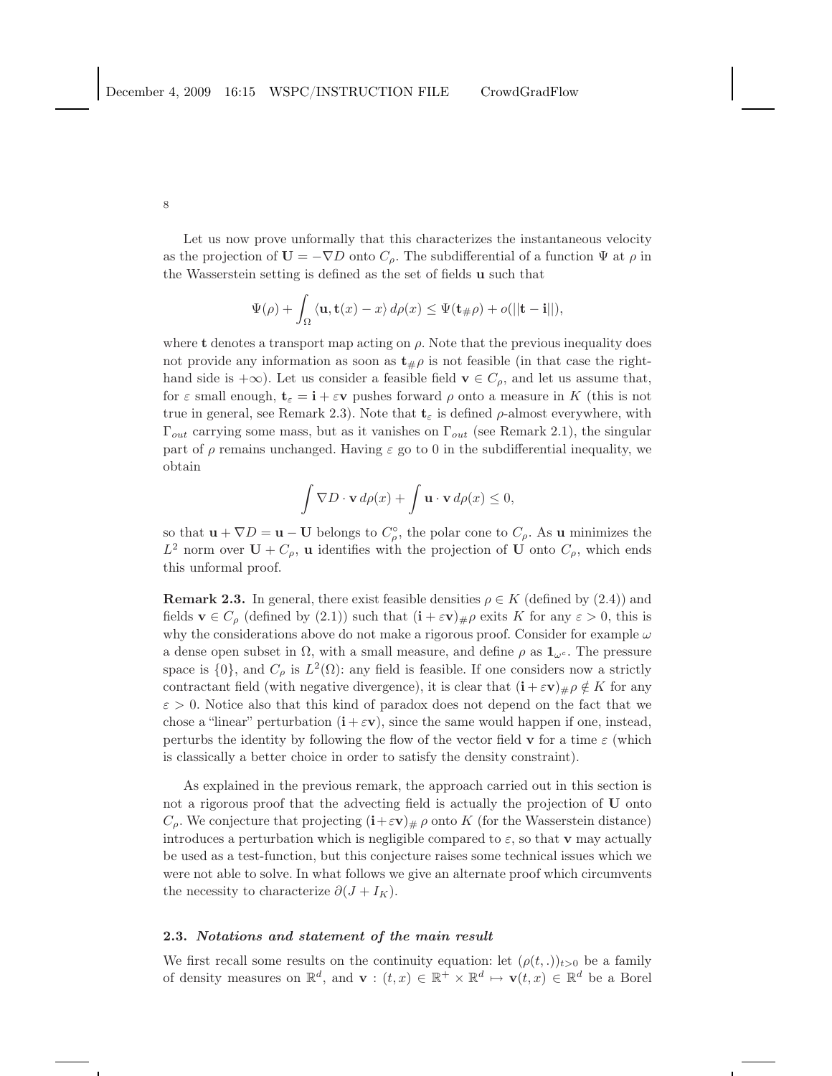Let us now prove unformally that this characterizes the instantaneous velocity as the projection of  $U = -\nabla D$  onto  $C_{\rho}$ . The subdifferential of a function  $\Psi$  at  $\rho$  in the Wasserstein setting is defined as the set of fields u such that

$$
\Psi(\rho) + \int_{\Omega} \langle \mathbf{u}, \mathbf{t}(x) - x \rangle d\rho(x) \leq \Psi(\mathbf{t}_{\#}\rho) + o(||\mathbf{t} - \mathbf{i}||),
$$

where t denotes a transport map acting on  $\rho$ . Note that the previous inequality does not provide any information as soon as  $t_{\#}\rho$  is not feasible (in that case the righthand side is  $+\infty$ ). Let us consider a feasible field  $\mathbf{v} \in C_{\rho}$ , and let us assume that, for  $\varepsilon$  small enough,  $\mathbf{t}_{\varepsilon} = \mathbf{i} + \varepsilon \mathbf{v}$  pushes forward  $\rho$  onto a measure in K (this is not true in general, see Remark 2.3). Note that  $\mathbf{t}_{\varepsilon}$  is defined  $\rho$ -almost everywhere, with  $\Gamma_{out}$  carrying some mass, but as it vanishes on  $\Gamma_{out}$  (see Remark 2.1), the singular part of  $\rho$  remains unchanged. Having  $\varepsilon$  go to 0 in the subdifferential inequality, we obtain

$$
\int \nabla D \cdot \mathbf{v} \, d\rho(x) + \int \mathbf{u} \cdot \mathbf{v} \, d\rho(x) \le 0,
$$

so that  $\mathbf{u} + \nabla D = \mathbf{u} - \mathbf{U}$  belongs to  $C_{\rho}^{\circ}$ , the polar cone to  $C_{\rho}$ . As  $\mathbf{u}$  minimizes the  $L^2$  norm over  $U + C_\rho$ , u identifies with the projection of U onto  $C_\rho$ , which ends this unformal proof.

**Remark 2.3.** In general, there exist feasible densities  $\rho \in K$  (defined by (2.4)) and fields  $\mathbf{v} \in C_{\rho}$  (defined by (2.1)) such that  $(\mathbf{i} + \varepsilon \mathbf{v})_{\#} \rho$  exits K for any  $\varepsilon > 0$ , this is why the considerations above do not make a rigorous proof. Consider for example  $\omega$ a dense open subset in  $\Omega$ , with a small measure, and define  $\rho$  as  $\mathbf{1}_{\omega^c}$ . The pressure space is  $\{0\}$ , and  $C_{\rho}$  is  $L^2(\Omega)$ : any field is feasible. If one considers now a strictly contractant field (with negative divergence), it is clear that  $(i + \varepsilon v)_\# \rho \notin K$  for any  $\varepsilon > 0$ . Notice also that this kind of paradox does not depend on the fact that we chose a "linear" perturbation  $(i + \varepsilon v)$ , since the same would happen if one, instead, perturbs the identity by following the flow of the vector field  $\bf{v}$  for a time  $\varepsilon$  (which is classically a better choice in order to satisfy the density constraint).

As explained in the previous remark, the approach carried out in this section is not a rigorous proof that the advecting field is actually the projection of U onto  $C_{\rho}$ . We conjecture that projecting  $(i+\varepsilon v)_{\#} \rho$  onto K (for the Wasserstein distance) introduces a perturbation which is negligible compared to  $\varepsilon$ , so that **v** may actually be used as a test-function, but this conjecture raises some technical issues which we were not able to solve. In what follows we give an alternate proof which circumvents the necessity to characterize  $\partial(J + I_K)$ .

## 2.3. Notations and statement of the main result

We first recall some results on the continuity equation: let  $(\rho(t,.)_{t>0}$  be a family of density measures on  $\mathbb{R}^d$ , and  $\mathbf{v} : (t, x) \in \mathbb{R}^+ \times \mathbb{R}^d \mapsto \mathbf{v}(t, x) \in \mathbb{R}^d$  be a Borel

8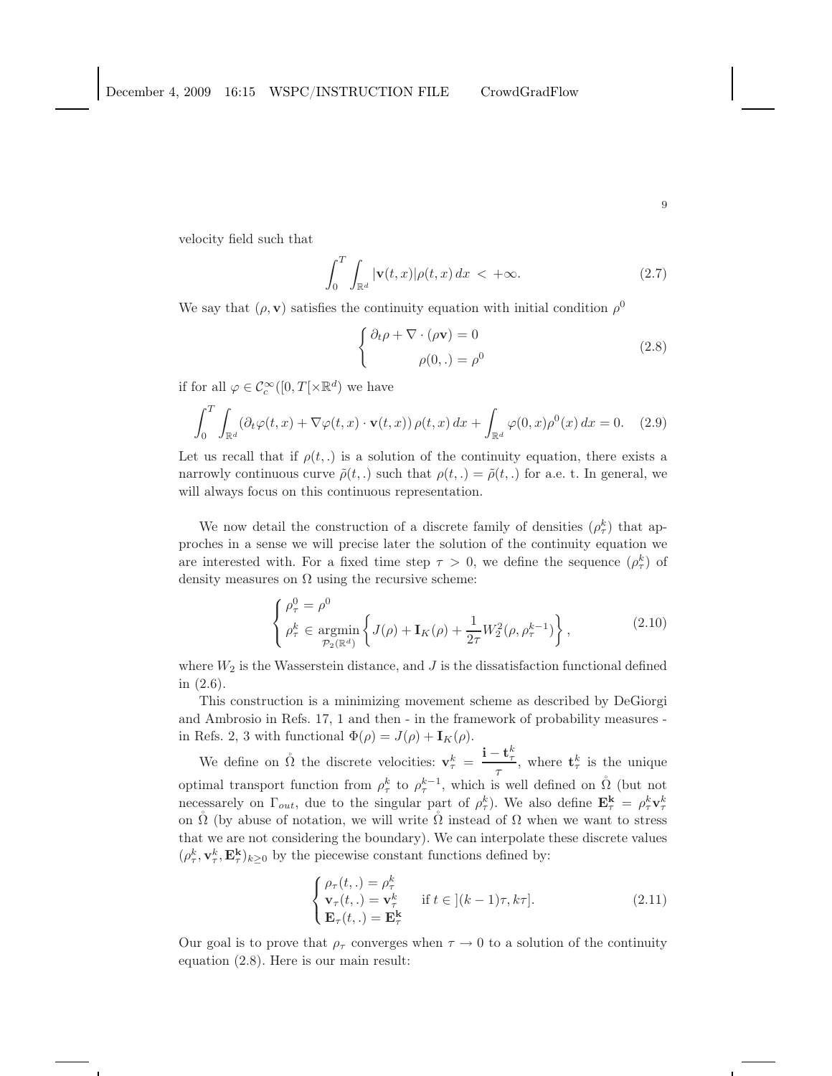velocity field such that

$$
\int_0^T \int_{\mathbb{R}^d} |\mathbf{v}(t,x)| \rho(t,x) dx < +\infty.
$$
 (2.7)

We say that  $(\rho, \mathbf{v})$  satisfies the continuity equation with initial condition  $\rho^0$ 

$$
\begin{cases} \partial_t \rho + \nabla \cdot (\rho \mathbf{v}) = 0 \\ \rho(0,.) = \rho^0 \end{cases}
$$
 (2.8)

if for all  $\varphi \in \mathcal{C}_c^{\infty}([0,T[ \times \mathbb{R}^d])$  we have

$$
\int_0^T \int_{\mathbb{R}^d} (\partial_t \varphi(t, x) + \nabla \varphi(t, x) \cdot \mathbf{v}(t, x)) \, \rho(t, x) \, dx + \int_{\mathbb{R}^d} \varphi(0, x) \rho^0(x) \, dx = 0. \tag{2.9}
$$

Let us recall that if  $\rho(t,.)$  is a solution of the continuity equation, there exists a narrowly continuous curve  $\tilde{\rho}(t,.)$  such that  $\rho(t,.) = \tilde{\rho}(t,.)$  for a.e. t. In general, we will always focus on this continuous representation.

We now detail the construction of a discrete family of densities  $(\rho_{\tau}^k)$  that approches in a sense we will precise later the solution of the continuity equation we are interested with. For a fixed time step  $\tau > 0$ , we define the sequence  $(\rho^k_{\tau})$  of density measures on  $\Omega$  using the recursive scheme:

$$
\begin{cases}\n\rho_{\tau}^{0} = \rho^{0} \\
\rho_{\tau}^{k} \in \underset{\mathcal{P}_{2}(\mathbb{R}^{d})}{\text{argmin}}\left\{J(\rho) + \mathbf{I}_{K}(\rho) + \frac{1}{2\tau}W_{2}^{2}(\rho, \rho_{\tau}^{k-1})\right\},\n\end{cases}
$$
\n(2.10)

where  $W_2$  is the Wasserstein distance, and J is the dissatisfaction functional defined in (2.6).

This construction is a minimizing movement scheme as described by DeGiorgi and Ambrosio in Refs. 17, 1 and then - in the framework of probability measures in Refs. 2, 3 with functional  $\Phi(\rho) = J(\rho) + \mathbf{I}_K(\rho)$ .

We define on  $\mathring{\Omega}$  the discrete velocities:  $\mathbf{v}_{\tau}^{k} = \frac{\mathbf{i} - \mathbf{t}_{\tau}^{k}}{\tau}$  $\frac{\mathbf{c}_{\tau}}{\tau}$ , where  $\mathbf{t}_{\tau}^{k}$  is the unique optimal transport function from  $\rho_{\tau}^{k}$  to  $\rho_{\tau}^{k-1}$ , which is well defined on  $\mathring{\Omega}$  (but not necessarely on  $\Gamma_{out}$ , due to the singular part of  $\rho_{\tau}^k$ ). We also define  $\mathbf{E}_{\tau}^k = \rho_{\tau}^k \mathbf{v}_{\tau}^k$ on  $\tilde{\Omega}$  (by abuse of notation, we will write  $\tilde{\Omega}$  instead of  $\Omega$  when we want to stress that we are not considering the boundary). We can interpolate these discrete values  $(\rho_{\tau}^k, \mathbf{v}_{\tau}^k, \mathbf{E}_{\tau}^k)_{k \geq 0}$  by the piecewise constant functions defined by:

$$
\begin{cases}\n\rho_{\tau}(t,.) = \rho_{\tau}^{k} \\
\mathbf{v}_{\tau}(t,.) = \mathbf{v}_{\tau}^{k} \\
\mathbf{E}_{\tau}(t,.) = \mathbf{E}_{\tau}^{k}\n\end{cases} \quad \text{if } t \in [(k-1)\tau, k\tau].
$$
\n(2.11)

Our goal is to prove that  $\rho_{\tau}$  converges when  $\tau \to 0$  to a solution of the continuity equation (2.8). Here is our main result: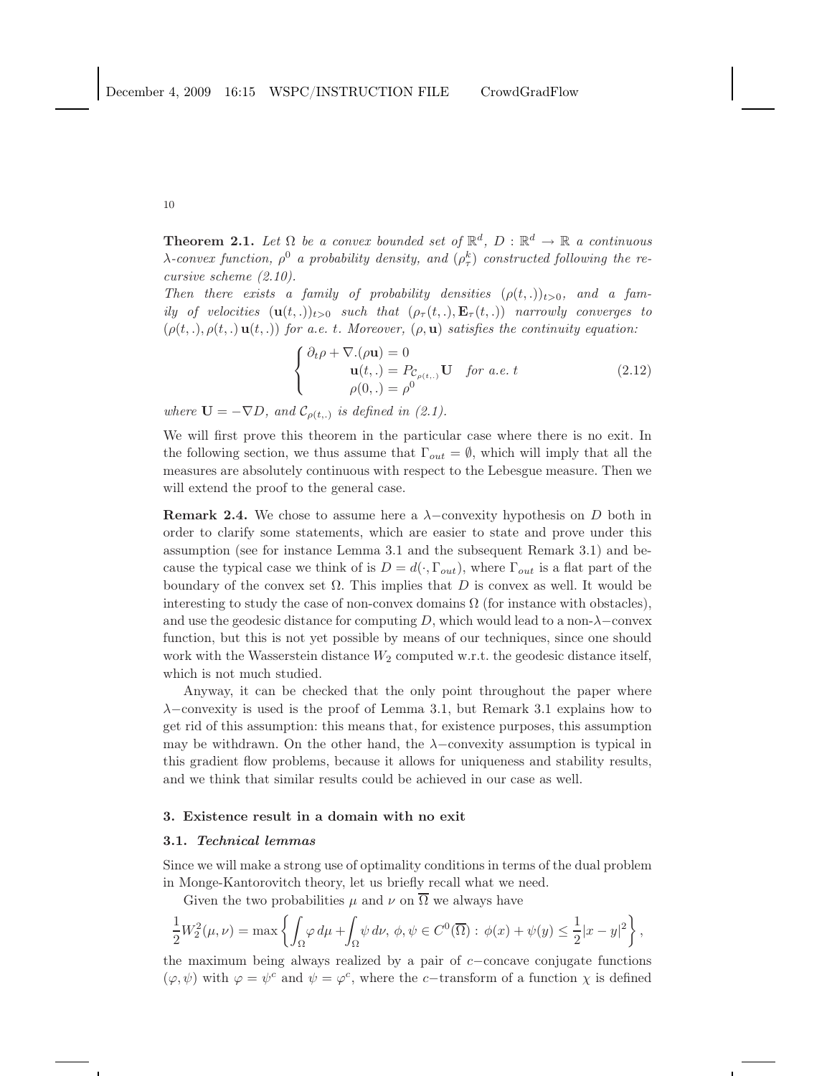**Theorem 2.1.** Let  $\Omega$  be a convex bounded set of  $\mathbb{R}^d$ ,  $D : \mathbb{R}^d \to \mathbb{R}$  a continuous  $\lambda$ -convex function,  $\rho^0$  *a* probability density, and  $(\rho^k_\tau)$  constructed following the re*cursive scheme (2.10).*

*Then there exists a family of probability densities*  $(\rho(t, .))_{t>0}$ *, and a family of velocities*  $(\mathbf{u}(t, .))_{t>0}$  *such that*  $(\rho_\tau(t, .), \mathbf{E}_\tau(t, .))$  *narrowly converges to*  $(\rho(t,.) , \rho(t,.) , u(t,.) )$  *for a.e. t. Moreover,*  $(\rho, \mathbf{u})$  *satisfies the continuity equation:* 

$$
\begin{cases} \partial_t \rho + \nabla \cdot (\rho \mathbf{u}) = 0 \\ \mathbf{u}(t,.) = P_{\mathcal{C}_{\rho(t,.)}} \mathbf{U} & \text{for a.e. } t \\ \rho(0,.) = \rho^0 \end{cases}
$$
 (2.12)

where  $\mathbf{U} = -\nabla D$ , and  $\mathcal{C}_{\rho(t,.)}$  is defined in (2.1).

We will first prove this theorem in the particular case where there is no exit. In the following section, we thus assume that  $\Gamma_{out} = \emptyset$ , which will imply that all the measures are absolutely continuous with respect to the Lebesgue measure. Then we will extend the proof to the general case.

**Remark 2.4.** We chose to assume here a  $\lambda$ -convexity hypothesis on D both in order to clarify some statements, which are easier to state and prove under this assumption (see for instance Lemma 3.1 and the subsequent Remark 3.1) and because the typical case we think of is  $D = d(\cdot, \Gamma_{out})$ , where  $\Gamma_{out}$  is a flat part of the boundary of the convex set  $\Omega$ . This implies that D is convex as well. It would be interesting to study the case of non-convex domains  $\Omega$  (for instance with obstacles), and use the geodesic distance for computing  $D$ , which would lead to a non- $\lambda$ -convex function, but this is not yet possible by means of our techniques, since one should work with the Wasserstein distance  $W_2$  computed w.r.t. the geodesic distance itself, which is not much studied.

Anyway, it can be checked that the only point throughout the paper where  $\lambda$ −convexity is used is the proof of Lemma 3.1, but Remark 3.1 explains how to get rid of this assumption: this means that, for existence purposes, this assumption may be withdrawn. On the other hand, the  $\lambda$ −convexity assumption is typical in this gradient flow problems, because it allows for uniqueness and stability results, and we think that similar results could be achieved in our case as well.

### 3. Existence result in a domain with no exit

## 3.1. Technical lemmas

Since we will make a strong use of optimality conditions in terms of the dual problem in Monge-Kantorovitch theory, let us briefly recall what we need.

Given the two probabilities  $\mu$  and  $\nu$  on  $\overline{\Omega}$  we always have

$$
\frac{1}{2}W_2^2(\mu,\nu)=\max\left\{\int_\Omega\varphi\,d\mu+\int_\Omega\psi\,d\nu,\,\phi,\psi\in C^0(\overline\Omega):\,\phi(x)+\psi(y)\le\frac{1}{2}|x-y|^2\right\},
$$

the maximum being always realized by a pair of c−concave conjugate functions  $(\varphi, \psi)$  with  $\varphi = \psi^c$  and  $\psi = \varphi^c$ , where the *c*−transform of a function  $\chi$  is defined

10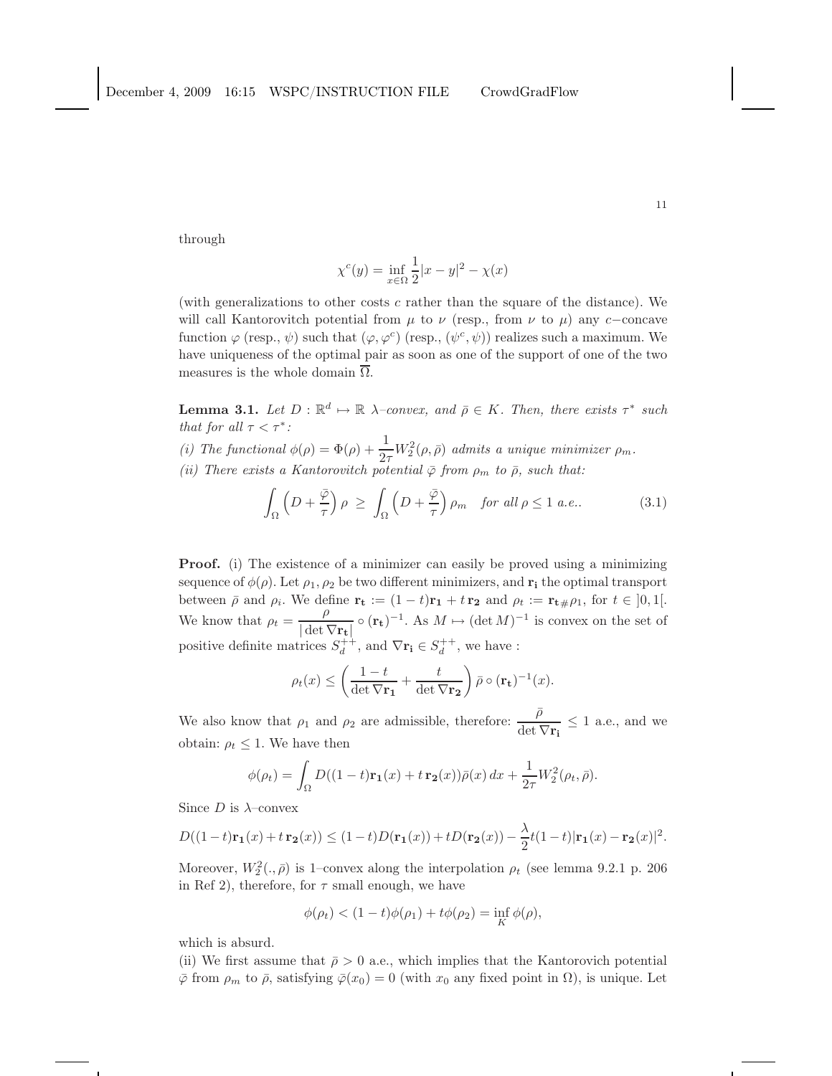through

$$
\chi^{c}(y) = \inf_{x \in \Omega} \frac{1}{2}|x - y|^{2} - \chi(x)
$$

(with generalizations to other costs  $c$  rather than the square of the distance). We will call Kantorovitch potential from  $\mu$  to  $\nu$  (resp., from  $\nu$  to  $\mu$ ) any c−concave function  $\varphi$  (resp.,  $\psi$ ) such that  $(\varphi, \varphi^c)$  (resp.,  $(\psi^c, \psi)$ ) realizes such a maximum. We have uniqueness of the optimal pair as soon as one of the support of one of the two measures is the whole domain  $\overline{\Omega}$ .

**Lemma 3.1.** Let  $D : \mathbb{R}^d \mapsto \mathbb{R}$   $\lambda$ -convex, and  $\bar{\rho} \in K$ . Then, there exists  $\tau^*$  such *that for all*  $\tau < \tau^*$ *:* 

(*i*) The functional  $\phi(\rho) = \Phi(\rho) + \frac{1}{2\tau} W_2^2(\rho, \bar{\rho})$  *admits a unique minimizer*  $\rho_m$ . *(ii)* There exists a Kantorovitch potential  $\bar{\varphi}$  from  $\rho_m$  to  $\bar{\rho}$ , such that:

$$
\int_{\Omega} \left( D + \frac{\overline{\varphi}}{\tau} \right) \rho \ge \int_{\Omega} \left( D + \frac{\overline{\varphi}}{\tau} \right) \rho_m \quad \text{for all } \rho \le 1 \text{ a.e.}. \tag{3.1}
$$

**Proof.** (i) The existence of a minimizer can easily be proved using a minimizing sequence of  $\phi(\rho)$ . Let  $\rho_1, \rho_2$  be two different minimizers, and  $\mathbf{r_i}$  the optimal transport between  $\bar{\rho}$  and  $\rho_i$ . We define  $\mathbf{r_t} := (1 - t)\mathbf{r_1} + t\mathbf{r_2}$  and  $\rho_t := \mathbf{r_t} + \rho_1$ , for  $t \in [0, 1]$ . We know that  $\rho_t = \frac{\rho}{|\det V|}$  $\frac{\rho}{|\det \nabla_{\mathbf{r_t}}|} \circ (\mathbf{r_t})^{-1}$ . As  $M \mapsto (\det M)^{-1}$  is convex on the set of positive definite matrices  $S_d^{++}$ , and  $\nabla \mathbf{r_i} \in S_d^{++}$ , we have :

$$
\rho_t(x) \le \left(\frac{1-t}{\det \nabla \mathbf{r_1}} + \frac{t}{\det \nabla \mathbf{r_2}}\right) \bar{\rho} \circ (\mathbf{r_t})^{-1}(x).
$$

We also know that  $\rho_1$  and  $\rho_2$  are admissible, therefore:  $\frac{\overline{\rho}}{\overline{\rho}$  $\frac{\rho}{\det \nabla \mathbf{r_i}} \leq 1$  a.e., and we obtain:  $\rho_t \leq 1$ . We have then

$$
\phi(\rho_t) = \int_{\Omega} D((1-t)\mathbf{r_1}(x) + t\mathbf{r_2}(x))\overline{\rho}(x) dx + \frac{1}{2\tau} W_2^2(\rho_t, \overline{\rho}).
$$

Since  $D$  is  $\lambda$ -convex

$$
D((1-t)\mathbf{r_1}(x)+t\mathbf{r_2}(x)) \le (1-t)D(\mathbf{r_1}(x))+tD(\mathbf{r_2}(x)) - \frac{\lambda}{2}t(1-t)|\mathbf{r_1}(x)-\mathbf{r_2}(x)|^2.
$$

Moreover,  $W_2^2(.,\bar{\rho})$  is 1-convex along the interpolation  $\rho_t$  (see lemma 9.2.1 p. 206) in Ref 2), therefore, for  $\tau$  small enough, we have

$$
\phi(\rho_t) < (1-t)\phi(\rho_1) + t\phi(\rho_2) = \inf_K \phi(\rho),
$$

which is absurd.

(ii) We first assume that  $\bar{\rho} > 0$  a.e., which implies that the Kantorovich potential  $\bar{\varphi}$  from  $\rho_m$  to  $\bar{\rho}$ , satisfying  $\bar{\varphi}(x_0) = 0$  (with  $x_0$  any fixed point in  $\Omega$ ), is unique. Let

11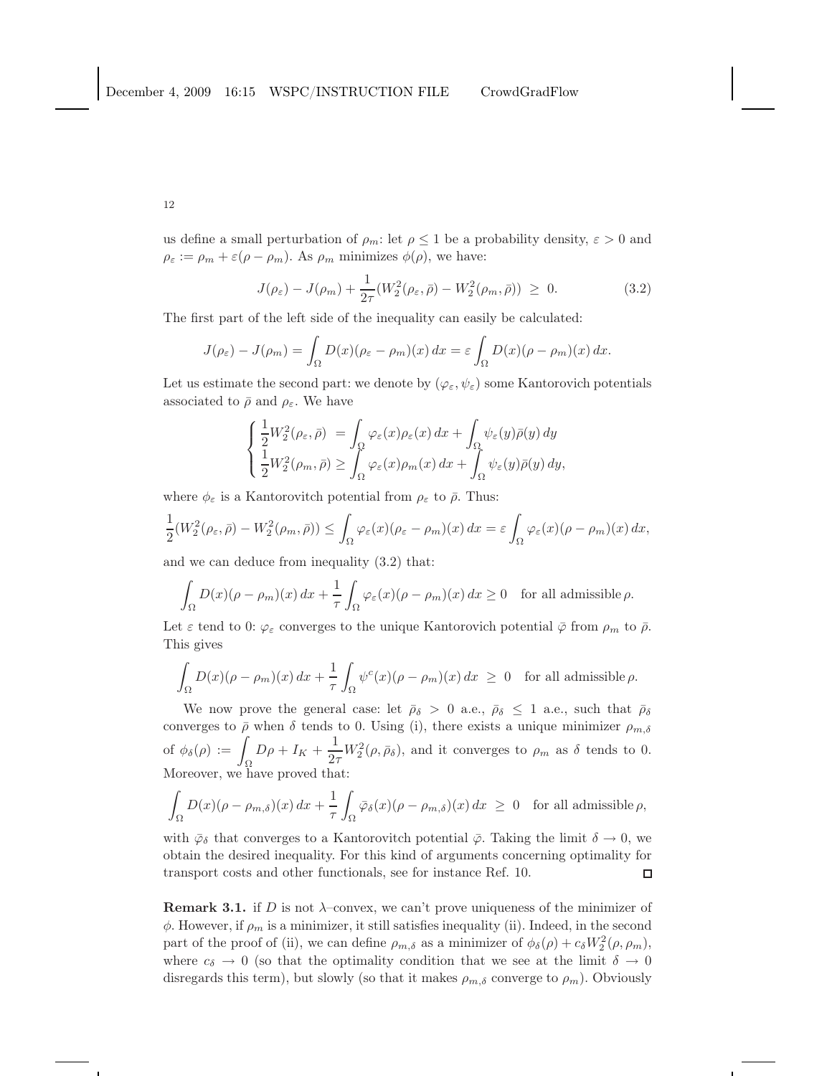us define a small perturbation of  $\rho_m$ : let  $\rho \leq 1$  be a probability density,  $\varepsilon > 0$  and  $\rho_{\varepsilon} := \rho_m + \varepsilon (\rho - \rho_m)$ . As  $\rho_m$  minimizes  $\phi(\rho)$ , we have:

$$
J(\rho_{\varepsilon}) - J(\rho_m) + \frac{1}{2\tau} (W_2^2(\rho_{\varepsilon}, \bar{\rho}) - W_2^2(\rho_m, \bar{\rho})) \ge 0.
$$
 (3.2)

The first part of the left side of the inequality can easily be calculated:

$$
J(\rho_{\varepsilon}) - J(\rho_m) = \int_{\Omega} D(x)(\rho_{\varepsilon} - \rho_m)(x) dx = \varepsilon \int_{\Omega} D(x)(\rho - \rho_m)(x) dx.
$$

Let us estimate the second part: we denote by  $(\varphi_{\varepsilon}, \psi_{\varepsilon})$  some Kantorovich potentials associated to  $\bar{\rho}$  and  $\rho_{\varepsilon}$ . We have

$$
\begin{cases} \frac{1}{2}W_2^2(\rho_{\varepsilon}, \bar{\rho}) = \int_{\Omega} \varphi_{\varepsilon}(x)\rho_{\varepsilon}(x) dx + \int_{\Omega} \psi_{\varepsilon}(y)\bar{\rho}(y) dy \\ \frac{1}{2}W_2^2(\rho_m, \bar{\rho}) \ge \int_{\Omega} \varphi_{\varepsilon}(x)\rho_m(x) dx + \int_{\Omega} \psi_{\varepsilon}(y)\bar{\rho}(y) dy, \end{cases}
$$

where  $\phi_{\varepsilon}$  is a Kantorovitch potential from  $\rho_{\varepsilon}$  to  $\bar{\rho}$ . Thus:

$$
\frac{1}{2}(W_2^2(\rho_{\varepsilon}, \bar{\rho}) - W_2^2(\rho_m, \bar{\rho})) \leq \int_{\Omega} \varphi_{\varepsilon}(x) (\rho_{\varepsilon} - \rho_m)(x) dx = \varepsilon \int_{\Omega} \varphi_{\varepsilon}(x) (\rho - \rho_m)(x) dx,
$$

and we can deduce from inequality (3.2) that:

$$
\int_{\Omega} D(x)(\rho - \rho_m)(x) dx + \frac{1}{\tau} \int_{\Omega} \varphi_{\varepsilon}(x)(\rho - \rho_m)(x) dx \ge 0 \quad \text{for all admissible } \rho.
$$

Let  $\varepsilon$  tend to 0:  $\varphi_{\varepsilon}$  converges to the unique Kantorovich potential  $\bar{\varphi}$  from  $\rho_m$  to  $\bar{\rho}$ . This gives

$$
\int_{\Omega} D(x)(\rho - \rho_m)(x) dx + \frac{1}{\tau} \int_{\Omega} \psi^c(x)(\rho - \rho_m)(x) dx \ge 0 \text{ for all admissible } \rho.
$$

We now prove the general case: let  $\bar{\rho}_{\delta} > 0$  a.e.,  $\bar{\rho}_{\delta} \leq 1$  a.e., such that  $\bar{\rho}_{\delta}$ converges to  $\bar{\rho}$  when  $\delta$  tends to 0. Using (i), there exists a unique minimizer  $\rho_{m,\delta}$ of  $\phi_{\delta}(\rho) := \int_{\Omega} D\rho + I_K + \frac{1}{2\pi}$  $\frac{1}{2\tau}W_2^2(\rho,\bar{\rho}_\delta)$ , and it converges to  $\rho_m$  as  $\delta$  tends to 0. Moreover, we have proved that:

$$
\int_{\Omega} D(x)(\rho - \rho_{m,\delta})(x) dx + \frac{1}{\tau} \int_{\Omega} \bar{\varphi}_{\delta}(x)(\rho - \rho_{m,\delta})(x) dx \ge 0 \text{ for all admissible } \rho,
$$

with  $\bar{\varphi}_{\delta}$  that converges to a Kantorovitch potential  $\bar{\varphi}$ . Taking the limit  $\delta \to 0$ , we obtain the desired inequality. For this kind of arguments concerning optimality for transport costs and other functionals, see for instance Ref. 10.  $\Box$ 

**Remark 3.1.** if D is not  $\lambda$ -convex, we can't prove uniqueness of the minimizer of  $\phi$ . However, if  $\rho_m$  is a minimizer, it still satisfies inequality (ii). Indeed, in the second part of the proof of (ii), we can define  $\rho_{m,\delta}$  as a minimizer of  $\phi_{\delta}(\rho) + c_{\delta}W_2^2(\rho, \rho_m)$ , where  $c_{\delta} \to 0$  (so that the optimality condition that we see at the limit  $\delta \to 0$ disregards this term), but slowly (so that it makes  $\rho_{m,\delta}$  converge to  $\rho_m$ ). Obviously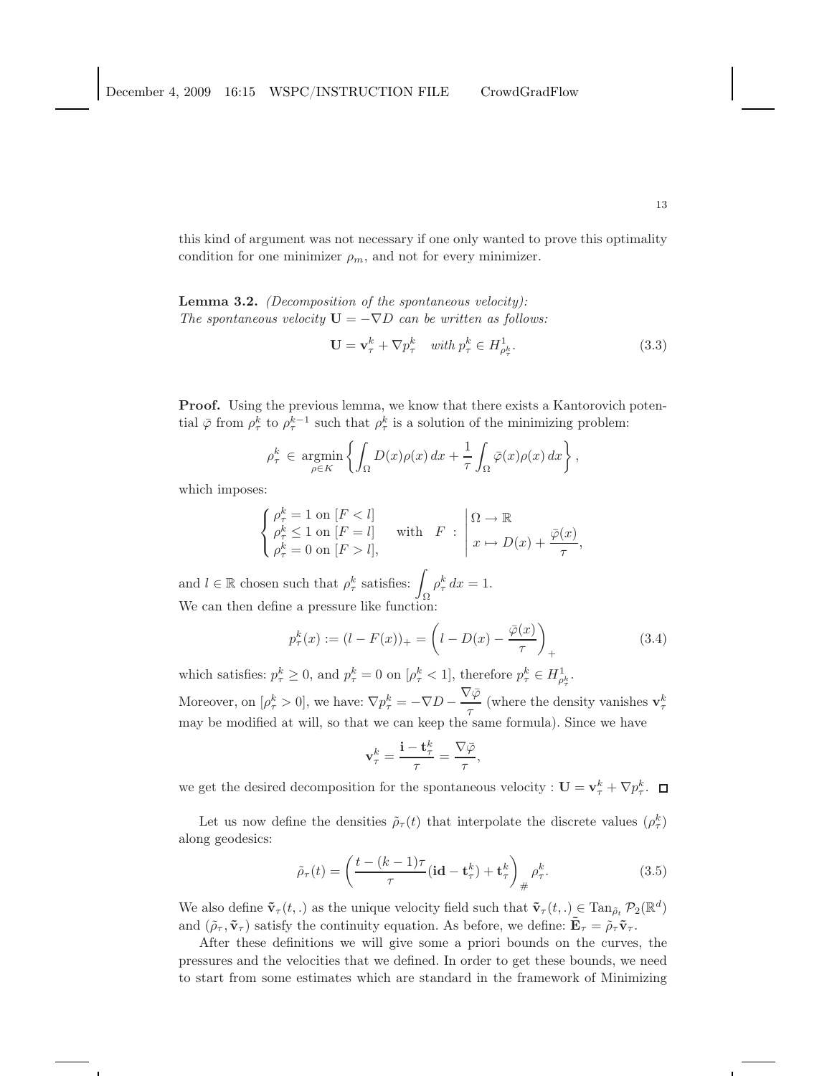this kind of argument was not necessary if one only wanted to prove this optimality condition for one minimizer  $\rho_m$ , and not for every minimizer.

Lemma 3.2. *(Decomposition of the spontaneous velocity): The spontaneous velocity*  $U = -\nabla D$  *can be written as follows:* 

$$
\mathbf{U} = \mathbf{v}_{\tau}^{k} + \nabla p_{\tau}^{k} \quad \text{with } p_{\tau}^{k} \in H_{\rho_{\tau}^{k}}^{1}.\tag{3.3}
$$

**Proof.** Using the previous lemma, we know that there exists a Kantorovich potential  $\bar{\varphi}$  from  $\rho_{\tau}^{k}$  to  $\rho_{\tau}^{k-1}$  such that  $\rho_{\tau}^{k}$  is a solution of the minimizing problem:

$$
\rho_{\tau}^{k} \in \underset{\rho \in K}{\text{argmin}} \left\{ \int_{\Omega} D(x) \rho(x) \, dx + \frac{1}{\tau} \int_{\Omega} \bar{\varphi}(x) \rho(x) \, dx \right\},\,
$$

which imposes:

$$
\begin{cases}\n\rho_{\tau}^{k} = 1 \text{ on } [F < l] \\
\rho_{\tau}^{k} \leq 1 \text{ on } [F = l] \\
\rho_{\tau}^{k} = 0 \text{ on } [F > l],\n\end{cases} \quad \text{with} \quad F : \begin{array}{l} \Omega \to \mathbb{R} \\
x \mapsto D(x) + \frac{\overline{\varphi}(x)}{\tau},\n\end{array}
$$

and  $l \in \mathbb{R}$  chosen such that  $\rho_{\tau}^{k}$  satisfies:  $\int_{\mathbb{R}} \rho_{\tau}^{k} dx = 1$ . We can then define a pressure like function:

$$
p_{\tau}^{k}(x) := (l - F(x))_{+} = \left( l - D(x) - \frac{\overline{\varphi}(x)}{\tau} \right)_{+}
$$
\n(3.4)

which satisfies:  $p_{\tau}^{k} \geq 0$ , and  $p_{\tau}^{k} = 0$  on  $[\rho_{\tau}^{k} < 1]$ , therefore  $p_{\tau}^{k} \in H_{\rho_{\tau}^{k}}^{1}$ .

Moreover, on  $[\rho^k_\tau > 0]$ , we have:  $\nabla p^k_\tau = -\nabla D - \frac{\nabla \overline{\varphi}}{\tau}$  $\frac{1}{\tau}$  (where the density vanishes  $\mathbf{v}_{\tau}^k$ may be modified at will, so that we can keep the same formula). Since we have

$$
\mathbf{v}_{\tau}^{k} = \frac{\mathbf{i} - \mathbf{t}_{\tau}^{k}}{\tau} = \frac{\nabla \bar{\varphi}}{\tau},
$$

we get the desired decomposition for the spontaneous velocity :  $\mathbf{U} = \mathbf{v}_{\tau}^k + \nabla p_{\tau}^k$ .

Let us now define the densities  $\tilde{\rho}_{\tau}(t)$  that interpolate the discrete values  $(\rho_{\tau}^k)$ along geodesics:

$$
\tilde{\rho}_{\tau}(t) = \left(\frac{t - (k-1)\tau}{\tau} (\mathbf{id} - \mathbf{t}_{\tau}^k) + \mathbf{t}_{\tau}^k\right)_{\#} \rho_{\tau}^k. \tag{3.5}
$$

We also define  $\tilde{\mathbf{v}}_{\tau}(t,.)$  as the unique velocity field such that  $\tilde{\mathbf{v}}_{\tau}(t,.) \subsetneq \text{Tan}_{\tilde{\rho}_t} \mathcal{P}_2(\mathbb{R}^d)$ and  $(\tilde{\rho}_{\tau}, \tilde{\mathbf{v}}_{\tau})$  satisfy the continuity equation. As before, we define:  $\tilde{\mathbf{E}}_{\tau} = \tilde{\rho}_{\tau} \tilde{\mathbf{v}}_{\tau}$ .

After these definitions we will give some a priori bounds on the curves, the pressures and the velocities that we defined. In order to get these bounds, we need to start from some estimates which are standard in the framework of Minimizing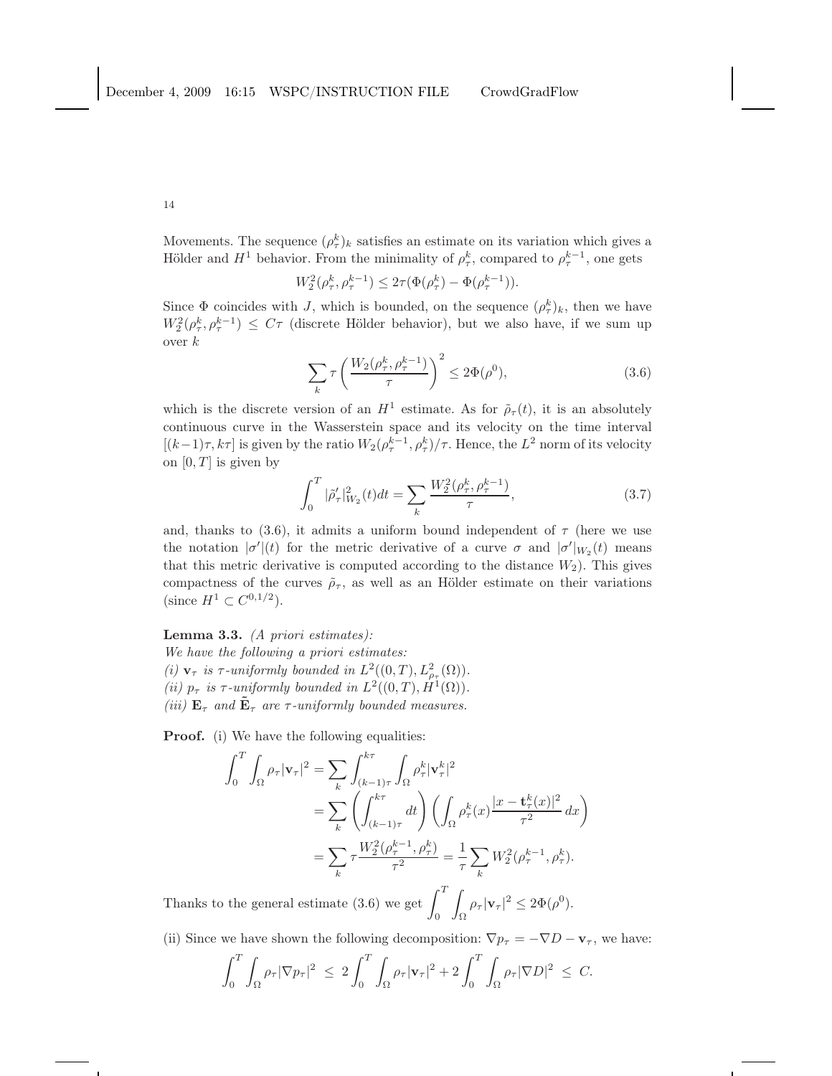Movements. The sequence  $(\rho_{\tau}^k)_k$  satisfies an estimate on its variation which gives a Hölder and  $H^1$  behavior. From the minimality of  $\rho_{\tau}^k$ , compared to  $\rho_{\tau}^{k-1}$ , one gets

$$
W_2^2(\rho_{\tau}^k, \rho_{\tau}^{k-1}) \le 2\tau(\Phi(\rho_{\tau}^k) - \Phi(\rho_{\tau}^{k-1})).
$$

Since  $\Phi$  coincides with J, which is bounded, on the sequence  $(\rho_{\tau}^k)_k$ , then we have  $W_2^2(\rho_\tau^k, \rho_\tau^{k-1}) \leq C\tau$  (discrete Hölder behavior), but we also have, if we sum up over  $k$ 

$$
\sum_{k} \tau \left( \frac{W_2(\rho_\tau^k, \rho_\tau^{k-1})}{\tau} \right)^2 \le 2\Phi(\rho^0),\tag{3.6}
$$

which is the discrete version of an  $H^1$  estimate. As for  $\tilde{\rho}_{\tau}(t)$ , it is an absolutely continuous curve in the Wasserstein space and its velocity on the time interval  $[(k-1)\tau, k\tau]$  is given by the ratio  $W_2(\rho^{k-1}, \rho^k) / \tau$ . Hence, the  $L^2$  norm of its velocity on  $[0, T]$  is given by

$$
\int_0^T |\tilde{\rho}'_\tau|_{W_2}^2(t)dt = \sum_k \frac{W_2^2(\rho_\tau^k, \rho_\tau^{k-1})}{\tau},\tag{3.7}
$$

and, thanks to (3.6), it admits a uniform bound independent of  $\tau$  (here we use the notation  $|\sigma'(t)|$  for the metric derivative of a curve  $\sigma$  and  $|\sigma'|_{W_2}(t)$  means that this metric derivative is computed according to the distance  $W_2$ ). This gives compactness of the curves  $\tilde{\rho}_{\tau}$ , as well as an Hölder estimate on their variations (since  $H^1 \subset C^{0,1/2}$ ).

Lemma 3.3. *(A priori estimates):*

*We have the following a priori estimates:* (*i*)  $\mathbf{v}_{\tau}$  *is*  $\tau$ -uniformly bounded in  $L^2((0,T), L^2_{\rho_{\tau}}(\Omega)).$ (*ii*)  $p_{\tau}$  *is*  $\tau$ -uniformly bounded in  $L^2((0,T), H^1(\Omega))$ . *(iii)*  $\mathbf{E}_{\tau}$  *and*  $\mathbf{\tilde{E}}_{\tau}$  *are*  $\tau$ *-uniformly bounded measures.* 

Proof. (i) We have the following equalities:

$$
\int_0^T \int_{\Omega} \rho_{\tau} |\mathbf{v}_{\tau}|^2 = \sum_k \int_{(k-1)\tau}^{k\tau} \int_{\Omega} \rho_{\tau}^k |\mathbf{v}_{\tau}^k|^2
$$
  
= 
$$
\sum_k \left( \int_{(k-1)\tau}^{k\tau} dt \right) \left( \int_{\Omega} \rho_{\tau}^k(x) \frac{|x - \mathbf{t}_{\tau}^k(x)|^2}{\tau^2} dx \right)
$$
  
= 
$$
\sum_k \tau \frac{W_2^2(\rho_{\tau}^{k-1}, \rho_{\tau}^k)}{\tau^2} = \frac{1}{\tau} \sum_k W_2^2(\rho_{\tau}^{k-1}, \rho_{\tau}^k).
$$

Thanks to the general estimate (3.6) we get  $\int_0^T$ 0 Z  $\int_{\Omega} \rho_{\tau} |\mathbf{v}_{\tau}|^2 \leq 2\Phi(\rho^0).$ 

(ii) Since we have shown the following decomposition:  $\nabla p_\tau = -\nabla D - \mathbf{v}_\tau$ , we have:

$$
\int_0^T \int_{\Omega} \rho_{\tau} |\nabla p_{\tau}|^2 \ \leq \ 2 \int_0^T \int_{\Omega} \rho_{\tau} |\mathbf{v}_{\tau}|^2 + 2 \int_0^T \int_{\Omega} \rho_{\tau} |\nabla D|^2 \ \leq \ C.
$$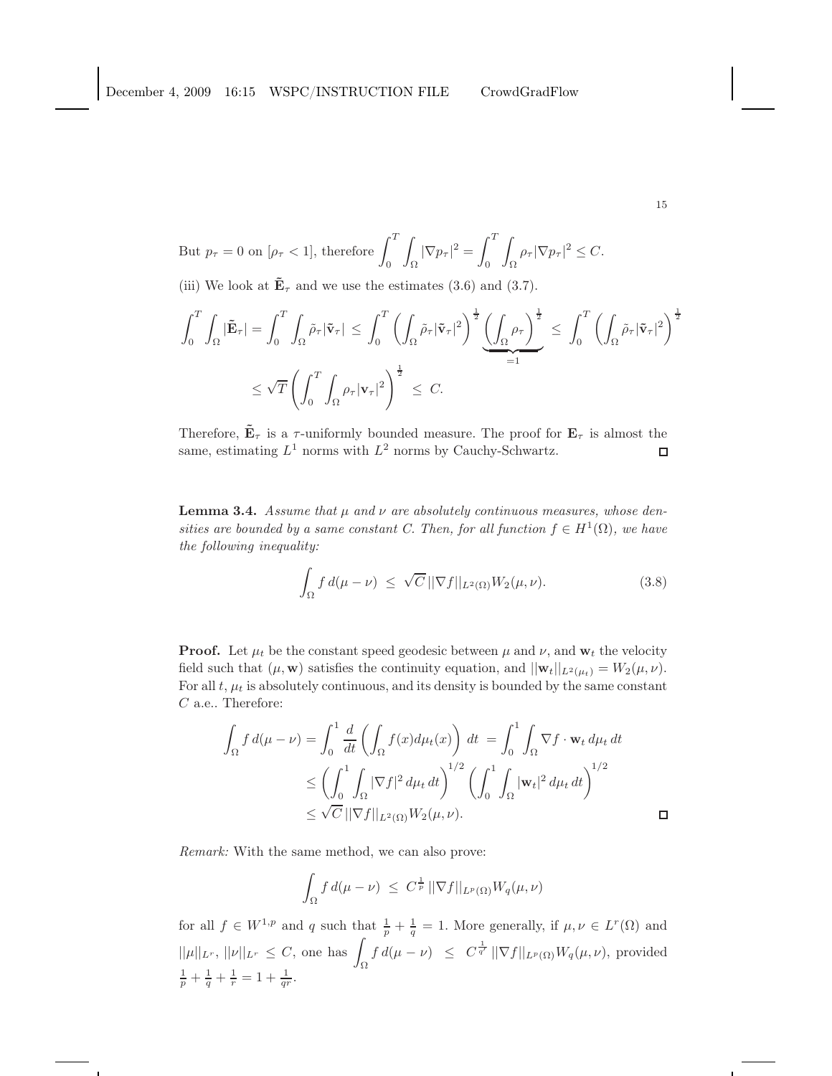$$
CrowdGradFlow
$$

But 
$$
p_{\tau} = 0
$$
 on  $[\rho_{\tau} < 1]$ , therefore  $\int_0^T \int_{\Omega} |\nabla p_{\tau}|^2 = \int_0^T \int_{\Omega} \rho_{\tau} |\nabla p_{\tau}|^2 \le C$ .  
(iii) We look at  $\tilde{\mathbf{E}}_{\tau}$  and we use the estimates (3.6) and (3.7).

$$
\int_0^T \int_{\Omega} |\tilde{\mathbf{E}}_{\tau}| = \int_0^T \int_{\Omega} \tilde{\rho}_{\tau} |\tilde{\mathbf{v}}_{\tau}| \le \int_0^T \left( \int_{\Omega} \tilde{\rho}_{\tau} |\tilde{\mathbf{v}}_{\tau}|^2 \right)^{\frac{1}{2}} \underbrace{\left( \int_{\Omega} \rho_{\tau} \right)^{\frac{1}{2}}}_{=1} \le \int_0^T \left( \int_{\Omega} \tilde{\rho}_{\tau} |\tilde{\mathbf{v}}_{\tau}|^2 \right)^{\frac{1}{2}}
$$

$$
\le \sqrt{T} \left( \int_0^T \int_{\Omega} \rho_{\tau} |\mathbf{v}_{\tau}|^2 \right)^{\frac{1}{2}} \le C.
$$

Therefore,  $\tilde{\mathbf{E}}_{\tau}$  is a  $\tau$ -uniformly bounded measure. The proof for  $\mathbf{E}_{\tau}$  is almost the same, estimating  $L^1$  norms with  $L^2$  norms by Cauchy-Schwartz.  $\Box$ 

**Lemma 3.4.** *Assume that*  $\mu$  *and*  $\nu$  *are absolutely continuous measures, whose densities are bounded by a same constant C. Then, for all function*  $f \in H^1(\Omega)$ *, we have the following inequality:*

$$
\int_{\Omega} f d(\mu - \nu) \leq \sqrt{C} \, ||\nabla f||_{L^{2}(\Omega)} W_{2}(\mu, \nu).
$$
\n(3.8)

**Proof.** Let  $\mu_t$  be the constant speed geodesic between  $\mu$  and  $\nu$ , and  $\mathbf{w}_t$  the velocity field such that  $(\mu, \mathbf{w})$  satisfies the continuity equation, and  $||\mathbf{w}_t||_{L^2(\mu_t)} = W_2(\mu, \nu)$ . For all  $t$ ,  $\mu_t$  is absolutely continuous, and its density is bounded by the same constant C a.e.. Therefore:

$$
\int_{\Omega} f d(\mu - \nu) = \int_{0}^{1} \frac{d}{dt} \left( \int_{\Omega} f(x) d\mu_{t}(x) \right) dt = \int_{0}^{1} \int_{\Omega} \nabla f \cdot \mathbf{w}_{t} d\mu_{t} dt
$$
\n
$$
\leq \left( \int_{0}^{1} \int_{\Omega} |\nabla f|^{2} d\mu_{t} dt \right)^{1/2} \left( \int_{0}^{1} \int_{\Omega} |\mathbf{w}_{t}|^{2} d\mu_{t} dt \right)^{1/2}
$$
\n
$$
\leq \sqrt{C} ||\nabla f||_{L^{2}(\Omega)} W_{2}(\mu, \nu).
$$

*Remark:* With the same method, we can also prove:

$$
\int_{\Omega} f d(\mu - \nu) \ \leq \ C^{\frac{1}{p}} \, ||\nabla f||_{L^{p}(\Omega)} W_{q}(\mu, \nu)
$$

for all  $f \in W^{1,p}$  and q such that  $\frac{1}{p} + \frac{1}{q} = 1$ . More generally, if  $\mu, \nu \in L^r(\Omega)$  and  $||\mu||_{L^r}, ||\nu||_{L^r} \leq C$ , one has  $\int_{\Omega} f d(\mu - \nu) \leq C^{\frac{1}{q'}} ||\nabla f||_{L^p(\Omega)} W_q(\mu, \nu)$ , provided  $\frac{1}{p} + \frac{1}{q} + \frac{1}{r} = 1 + \frac{1}{qr}.$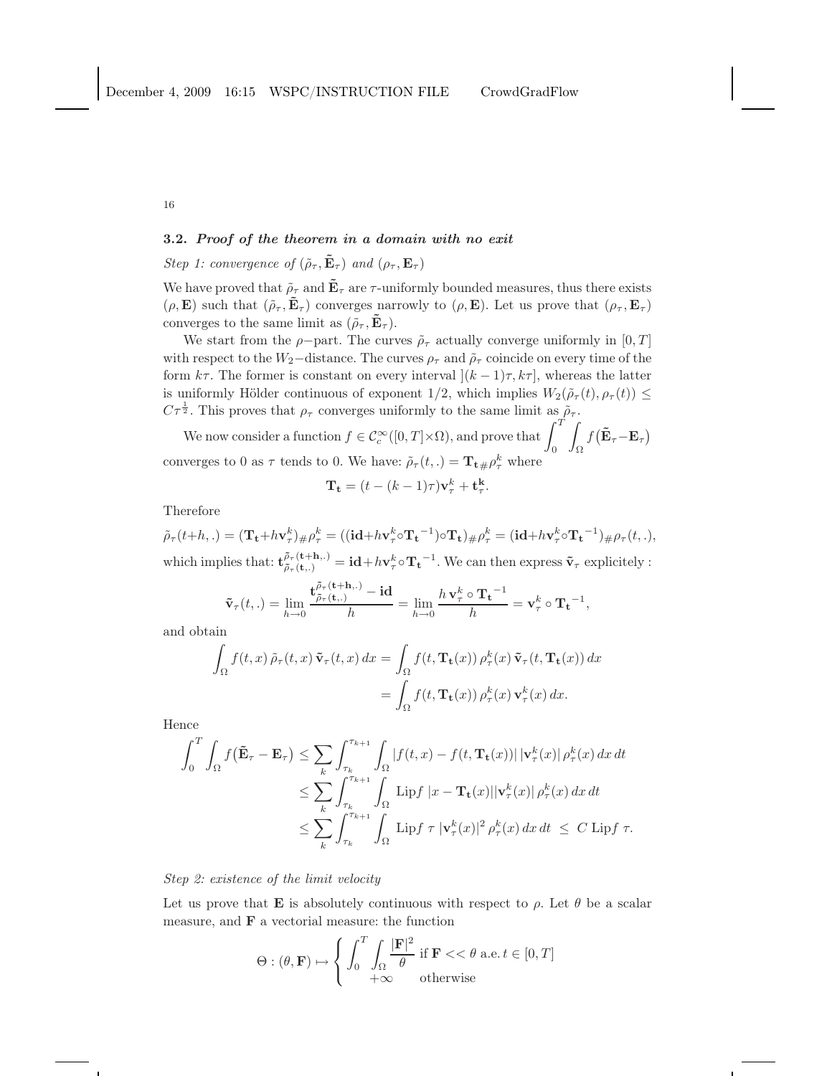## 3.2. Proof of the theorem in a domain with no exit

# *Step 1: convergence of*  $(\tilde{\rho}_{\tau}, \tilde{\mathbf{E}}_{\tau})$  *and*  $(\rho_{\tau}, \mathbf{E}_{\tau})$

We have proved that  $\tilde{\rho}_{\tau}$  and  $\tilde{\mathbf{E}}_{\tau}$  are  $\tau$ -uniformly bounded measures, thus there exists  $(\rho, \mathbf{E})$  such that  $(\tilde{\rho}_{\tau}, \tilde{\mathbf{E}}_{\tau})$  converges narrowly to  $(\rho, \mathbf{E})$ . Let us prove that  $(\rho_{\tau}, \mathbf{E}_{\tau})$ converges to the same limit as  $(\tilde{\rho}_{\tau}, \mathbf{E}_{\tau})$ .

We start from the  $\rho$ -part. The curves  $\tilde{\rho}_{\tau}$  actually converge uniformly in [0, T] with respect to the  $W_2$ –distance. The curves  $\rho_{\tau}$  and  $\tilde{\rho}_{\tau}$  coincide on every time of the form  $k\tau$ . The former is constant on every interval  $[(k-1)\tau, k\tau]$ , whereas the latter is uniformly Hölder continuous of exponent  $1/2$ , which implies  $W_2(\tilde{\rho}_{\tau}(t), \rho_{\tau}(t)) \leq$  $C\tau^{\frac{1}{2}}$ . This proves that  $\rho_{\tau}$  converges uniformly to the same limit as  $\tilde{\rho}_{\tau}$ .

We now consider a function  $f \in C_c^{\infty}([0,T] \times \Omega)$ , and prove that  $\int_0^T$ Z Ω  $f\big(\mathbf{\tilde{E}}_{\tau}\!-\!\mathbf{E}_{\tau}\big)$ converges to 0 as  $\tau$  tends to 0. We have:  $\tilde{\rho}_{\tau}(t,.) = \mathbf{T_t} {\mu \rho_{\tau}^k}$  where

$$
\mathbf{T_t} = (t - (k-1)\tau)\mathbf{v}_{\tau}^k + \mathbf{t}_{\tau}^k.
$$

Therefore

 $\tilde{\rho}_{\tau}(t+h,.) = (\mathbf{T_t}+h\mathbf{v}_{\tau}^k)_{\#}\rho_{\tau}^k = ((\mathbf{id}+h\mathbf{v}_{\tau}^k\circ \mathbf{T_t}^{-1})\circ \mathbf{T_t})_{\#}\rho_{\tau}^k = (\mathbf{id}+h\mathbf{v}_{\tau}^k\circ \mathbf{T_t}^{-1})_{\#}\rho_{\tau}(t,.),$ which implies that:  $\mathbf{t}_{\tilde{\rho}_{\tau}(\mathbf{t},t)}^{\tilde{\rho}_{\tau}(\mathbf{t}+\mathbf{h},\cdot)} = \mathbf{id} + h\mathbf{v}_{\tau}^{k} \circ \mathbf{T_{t}}^{-1}$ . We can then express  $\tilde{\mathbf{v}}_{\tau}$  explicitely :

$$
\tilde{\mathbf{v}}_{\tau}(t,.) = \lim_{h \to 0} \frac{\mathbf{t}_{\tilde{\rho}_{\tau}(\mathbf{t},.)}^{\tilde{\rho}_{\tau}(\mathbf{t}+h,.)} - \mathbf{id}}{h} = \lim_{h \to 0} \frac{h \mathbf{v}_{\tau}^{k} \circ \mathbf{T_{t}}^{-1}}{h} = \mathbf{v}_{\tau}^{k} \circ \mathbf{T_{t}}^{-1},
$$

and obtain

$$
\int_{\Omega} f(t, x) \tilde{\rho}_{\tau}(t, x) \tilde{\mathbf{v}}_{\tau}(t, x) dx = \int_{\Omega} f(t, \mathbf{T}_{t}(x)) \rho_{\tau}^{k}(x) \tilde{\mathbf{v}}_{\tau}(t, \mathbf{T}_{t}(x)) dx
$$

$$
= \int_{\Omega} f(t, \mathbf{T}_{t}(x)) \rho_{\tau}^{k}(x) \mathbf{v}_{\tau}^{k}(x) dx.
$$

Hence

$$
\int_0^T \int_{\Omega} f(\tilde{\mathbf{E}}_{\tau} - \mathbf{E}_{\tau}) \leq \sum_{k} \int_{\tau_k}^{\tau_{k+1}} \int_{\Omega} |f(t, x) - f(t, \mathbf{T_t}(x))| |\mathbf{v}_{\tau}^k(x)| \rho_{\tau}^k(x) dx dt
$$
  
\n
$$
\leq \sum_{k} \int_{\tau_k}^{\tau_{k+1}} \int_{\Omega} {\rm Lip} f |x - \mathbf{T_t}(x)| |\mathbf{v}_{\tau}^k(x)| \rho_{\tau}^k(x) dx dt
$$
  
\n
$$
\leq \sum_{k} \int_{\tau_k}^{\tau_{k+1}} \int_{\Omega} {\rm Lip} f |\tau| |\mathbf{v}_{\tau}^k(x)|^2 \rho_{\tau}^k(x) dx dt \leq C {\rm Lip} f \tau.
$$

*Step 2: existence of the limit velocity*

Let us prove that **E** is absolutely continuous with respect to  $\rho$ . Let  $\theta$  be a scalar measure, and  $\bf{F}$  a vectorial measure: the function

$$
\Theta : (\theta, \mathbf{F}) \mapsto \left\{ \int_0^T \int_{\Omega} \frac{|\mathbf{F}|^2}{\theta} \text{ if } \mathbf{F} << \theta \text{ a.e. } t \in [0, T] \right\}
$$

$$
+ \infty \quad \text{otherwise}
$$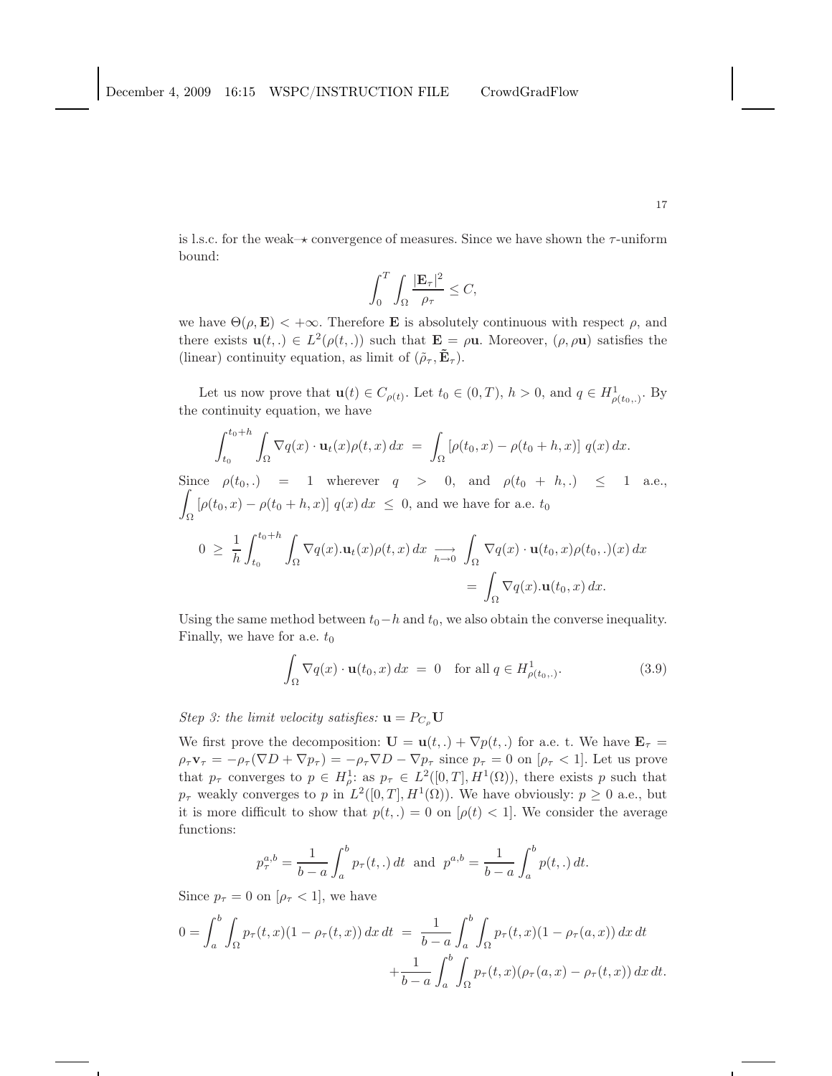is l.s.c. for the weak– $\star$  convergence of measures. Since we have shown the  $\tau$ -uniform bound:

$$
\int_0^T \int_{\Omega} \frac{|\mathbf{E}_{\tau}|^2}{\rho_{\tau}} \leq C,
$$

we have  $\Theta(\rho, \mathbf{E}) < +\infty$ . Therefore **E** is absolutely continuous with respect  $\rho$ , and there exists  $\mathbf{u}(t,.) \in L^2(\rho(t,.))$  such that  $\mathbf{E} = \rho \mathbf{u}$ . Moreover,  $(\rho, \rho \mathbf{u})$  satisfies the (linear) continuity equation, as limit of  $(\tilde{\rho}_{\tau}, \tilde{\mathbf{E}}_{\tau}).$ 

Let us now prove that  $\mathbf{u}(t) \in C_{\rho(t)}$ . Let  $t_0 \in (0,T)$ ,  $h > 0$ , and  $q \in H^1_{\rho(t_0,.)}$ . By the continuity equation, we have

$$
\int_{t_0}^{t_0+h} \int_{\Omega} \nabla q(x) \cdot \mathbf{u}_t(x) \rho(t,x) dx = \int_{\Omega} \left[ \rho(t_0,x) - \rho(t_0+h,x) \right] q(x) dx.
$$

Since  $\rho(t_0,.) = 1$  wherever  $q > 0$ , and  $\rho(t_0 + h,.) \le 1$  a.e., Z  $\int_{\Omega} [\rho(t_0, x) - \rho(t_0 + h, x)] q(x) dx \leq 0$ , and we have for a.e.  $t_0$  $1 \int_0^{t_0+h}$ Z

$$
0 \geq \frac{1}{h} \int_{t_0}^{t_0 + h} \int_{\Omega} \nabla q(x) . \mathbf{u}_t(x) \rho(t, x) dx \underset{h \to 0}{\longrightarrow} \int_{\Omega} \nabla q(x) \cdot \mathbf{u}(t_0, x) \rho(t_0, .)(x) dx
$$

$$
= \int_{\Omega} \nabla q(x) . \mathbf{u}(t_0, x) dx.
$$

Using the same method between  $t_0-h$  and  $t_0$ , we also obtain the converse inequality. Finally, we have for a.e.  $t_0$ 

$$
\int_{\Omega} \nabla q(x) \cdot \mathbf{u}(t_0, x) dx = 0 \quad \text{for all } q \in H^1_{\rho(t_0,.)}.
$$
 (3.9)

*Step 3: the limit velocity satisfies:*  $\mathbf{u} = P_{C_{\rho}} \mathbf{U}$ 

We first prove the decomposition:  $\mathbf{U} = \mathbf{u}(t,.) + \nabla p(t,.)$  for a.e. t. We have  $\mathbf{E}_{\tau} =$  $\rho_\tau \mathbf{v}_\tau = -\rho_\tau (\nabla D + \nabla p_\tau) = -\rho_\tau \nabla D - \nabla p_\tau$  since  $p_\tau = 0$  on  $[\rho_\tau < 1]$ . Let us prove that  $p_{\tau}$  converges to  $p \in H_{\rho}^1$ : as  $p_{\tau} \in L^2([0,T], H^1(\Omega))$ , there exists p such that  $p_{\tau}$  weakly converges to p in  $L^2([0,T], H^1(\Omega))$ . We have obviously:  $p \ge 0$  a.e., but it is more difficult to show that  $p(t,.) = 0$  on  $[\rho(t) < 1]$ . We consider the average functions:

$$
p_{\tau}^{a,b} = \frac{1}{b-a} \int_{a}^{b} p_{\tau}(t,.) dt \text{ and } p^{a,b} = \frac{1}{b-a} \int_{a}^{b} p(t,.) dt.
$$

Since  $p_{\tau} = 0$  on  $[\rho_{\tau} < 1]$ , we have

$$
0 = \int_{a}^{b} \int_{\Omega} p_{\tau}(t, x)(1 - \rho_{\tau}(t, x)) dx dt = \frac{1}{b - a} \int_{a}^{b} \int_{\Omega} p_{\tau}(t, x)(1 - \rho_{\tau}(a, x)) dx dt + \frac{1}{b - a} \int_{a}^{b} \int_{\Omega} p_{\tau}(t, x)(\rho_{\tau}(a, x) - \rho_{\tau}(t, x)) dx dt.
$$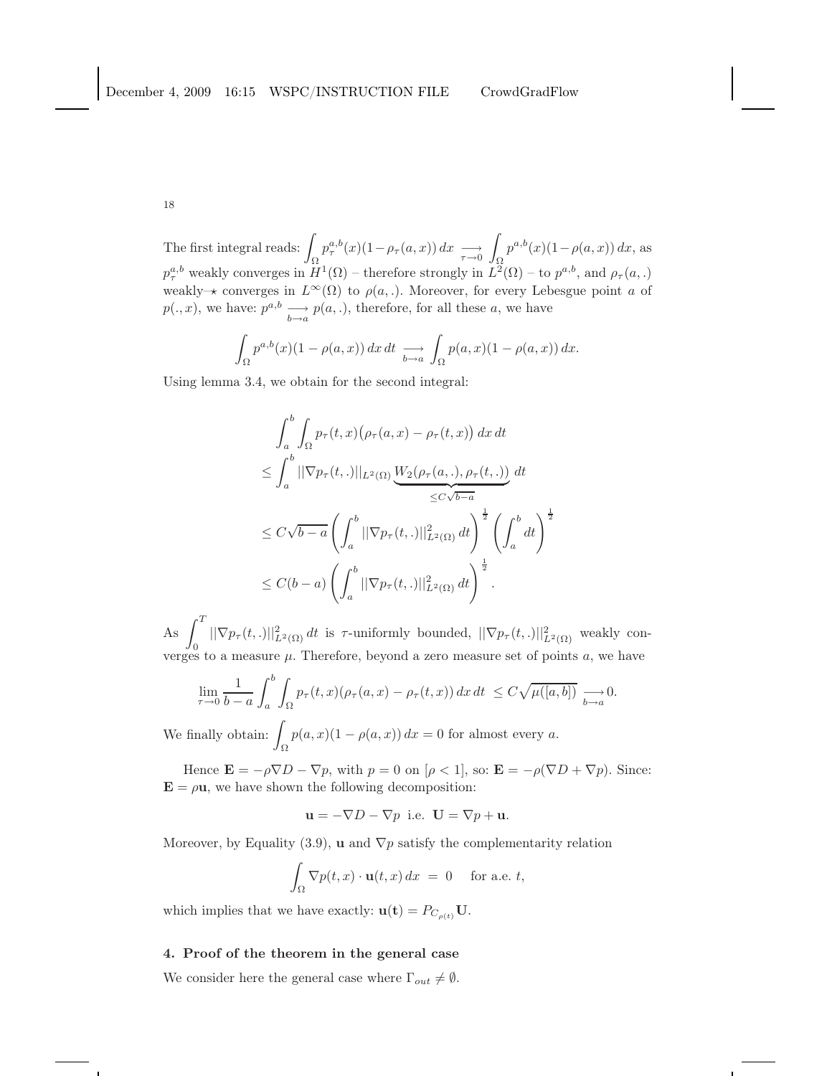The first integral reads:  $\int$ Ω  $p_{\tau}^{a,b}(x)(1-\rho_{\tau}(a,x)) dx \longrightarrow_{\tau \to 0}$ Ω  $p^{a,b}(x)(1-\rho(a,x)) dx$ , as  $p_{\tau}^{a,b}$  weakly converges in  $H^1(\Omega)$  – therefore strongly in  $L^2(\Omega)$  – to  $p^{a,b}$ , and  $\rho_{\tau}(a,.)$ weakly– $\star$  converges in  $L^{\infty}(\Omega)$  to  $\rho(a,.)$ . Moreover, for every Lebesgue point a of  $p(.,x)$ , we have:  $p^{a,b} \longrightarrow_{b \to a} p(a,.)$ , therefore, for all these a, we have

$$
\int_{\Omega} p^{a,b}(x)(1-\rho(a,x)) dx dt \underset{b\to a}{\longrightarrow} \int_{\Omega} p(a,x)(1-\rho(a,x)) dx.
$$

Using lemma 3.4, we obtain for the second integral:

$$
\int_{a}^{b} \int_{\Omega} p_{\tau}(t, x) (\rho_{\tau}(a, x) - \rho_{\tau}(t, x)) dx dt
$$
  
\n
$$
\leq \int_{a}^{b} ||\nabla p_{\tau}(t, .)||_{L^{2}(\Omega)} \underbrace{W_{2}(\rho_{\tau}(a, .), \rho_{\tau}(t, .))}_{\leq C\sqrt{b-a}} dt
$$
  
\n
$$
\leq C\sqrt{b-a} \left( \int_{a}^{b} ||\nabla p_{\tau}(t, .)||_{L^{2}(\Omega)}^{2} dt \right)^{\frac{1}{2}} \left( \int_{a}^{b} dt \right)^{\frac{1}{2}}
$$
  
\n
$$
\leq C(b-a) \left( \int_{a}^{b} ||\nabla p_{\tau}(t, .)||_{L^{2}(\Omega)}^{2} dt \right)^{\frac{1}{2}}.
$$

As  $\int_0^T$  $\|\nabla p_\tau(t,.)\|^2_{L^2(\Omega)} dt$  is  $\tau$ -uniformly bounded,  $\|\nabla p_\tau(t,.)\|^2_{L^2(\Omega)}$  weakly converges to a measure  $\mu$ . Therefore, beyond a zero measure set of points  $a$ , we have

$$
\lim_{\tau \to 0} \frac{1}{b-a} \int_a^b \int_{\Omega} p_{\tau}(t,x) (\rho_{\tau}(a,x) - \rho_{\tau}(t,x)) dx dt \leq C \sqrt{\mu([a,b])} \underset{b \to a}{\longrightarrow} 0.
$$

We finally obtain:  $\int$  $\int_{\Omega} p(a,x)(1-\rho(a,x)) dx = 0$  for almost every a.

Hence  $\mathbf{E} = -\rho \nabla D - \nabla p$ , with  $p = 0$  on  $[\rho < 1]$ , so:  $\mathbf{E} = -\rho (\nabla D + \nabla p)$ . Since:  $\mathbf{E} = \rho \mathbf{u}$ , we have shown the following decomposition:

$$
\mathbf{u} = -\nabla D - \nabla p \text{ i.e. } \mathbf{U} = \nabla p + \mathbf{u}.
$$

Moreover, by Equality (3.9), **u** and  $\nabla p$  satisfy the complementarity relation

$$
\int_{\Omega} \nabla p(t, x) \cdot \mathbf{u}(t, x) dx = 0 \quad \text{for a.e. } t,
$$

which implies that we have exactly:  $\mathbf{u}(\mathbf{t}) = P_{C_{\rho(t)}} \mathbf{U}$ .

### 4. Proof of the theorem in the general case

We consider here the general case where  $\Gamma_{out} \neq \emptyset$ .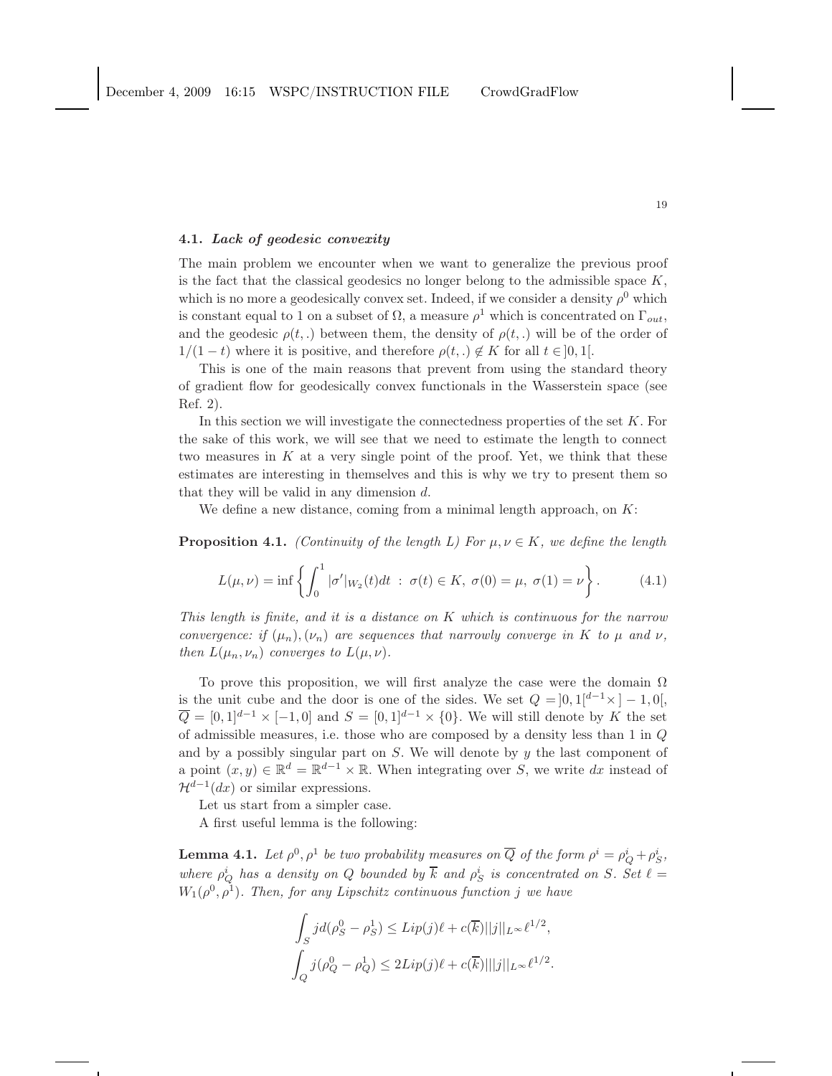### 4.1. Lack of geodesic convexity

The main problem we encounter when we want to generalize the previous proof is the fact that the classical geodesics no longer belong to the admissible space  $K$ , which is no more a geodesically convex set. Indeed, if we consider a density  $\rho^0$  which is constant equal to 1 on a subset of  $\Omega$ , a measure  $\rho^1$  which is concentrated on  $\Gamma_{out}$ , and the geodesic  $\rho(t,.)$  between them, the density of  $\rho(t,.)$  will be of the order of  $1/(1-t)$  where it is positive, and therefore  $\rho(t,.) \notin K$  for all  $t \in ]0,1[$ .

This is one of the main reasons that prevent from using the standard theory of gradient flow for geodesically convex functionals in the Wasserstein space (see Ref. 2).

In this section we will investigate the connectedness properties of the set  $K$ . For the sake of this work, we will see that we need to estimate the length to connect two measures in  $K$  at a very single point of the proof. Yet, we think that these estimates are interesting in themselves and this is why we try to present them so that they will be valid in any dimension  $d$ .

We define a new distance, coming from a minimal length approach, on  $K$ :

**Proposition 4.1.** *(Continuity of the length L) For*  $\mu, \nu \in K$ *, we define the length* 

$$
L(\mu, \nu) = \inf \left\{ \int_0^1 |\sigma'|_{W_2}(t)dt \; : \; \sigma(t) \in K, \; \sigma(0) = \mu, \; \sigma(1) = \nu \right\}.
$$
 (4.1)

*This length is finite, and it is a distance on* K *which is continuous for the narrow convergence: if*  $(\mu_n), (\nu_n)$  *are sequences that narrowly converge in* K *to*  $\mu$  *and*  $\nu$ *, then*  $L(\mu_n, \nu_n)$  *converges to*  $L(\mu, \nu)$ *.* 

To prove this proposition, we will first analyze the case were the domain  $\Omega$ is the unit cube and the door is one of the sides. We set  $Q = \begin{bmatrix} 0 \\ 1 \end{bmatrix}$ ,  $\begin{bmatrix} d^{-1} \times \\ -1 \\ 0 \end{bmatrix}$ ,  $\overline{Q} = [0, 1]^{d-1} \times [-1, 0]$  and  $S = [0, 1]^{d-1} \times \{0\}$ . We will still denote by K the set of admissible measures, i.e. those who are composed by a density less than 1 in Q and by a possibly singular part on  $S$ . We will denote by  $y$  the last component of a point  $(x, y) \in \mathbb{R}^d = \mathbb{R}^{d-1} \times \mathbb{R}$ . When integrating over S, we write dx instead of  $\mathcal{H}^{d-1}(dx)$  or similar expressions.

Let us start from a simpler case.

A first useful lemma is the following:

**Lemma 4.1.** Let  $\rho^0$ ,  $\rho^1$  be two probability measures on  $\overline{Q}$  of the form  $\rho^i = \rho^i_Q + \rho^i_S$ , where  $\rho_Q^i$  has a density on Q bounded by  $\overline{k}$  and  $\rho_S^i$  is concentrated on S. Set  $\ell =$  $W_1(\rho^0, \rho^1)$ . Then, for any Lipschitz continuous function j we have

$$
\int_{S} j d(\rho_S^0 - \rho_S^1) \le \text{Lip}(j)\ell + c(\overline{k})||j||_{L^{\infty}} \ell^{1/2},
$$
  

$$
\int_{Q} j(\rho_Q^0 - \rho_Q^1) \le 2\text{Lip}(j)\ell + c(\overline{k})||j||_{L^{\infty}} \ell^{1/2}.
$$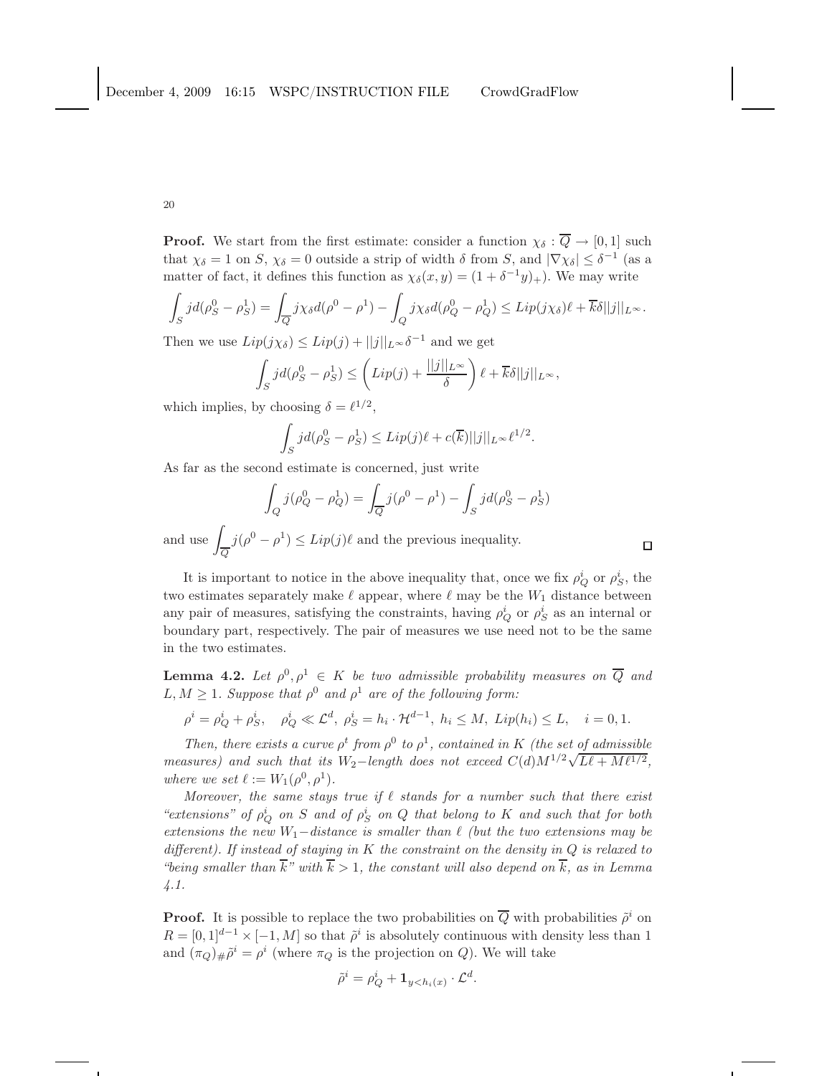**Proof.** We start from the first estimate: consider a function  $\chi_{\delta} : \overline{Q} \to [0,1]$  such that  $\chi_{\delta} = 1$  on S,  $\chi_{\delta} = 0$  outside a strip of width  $\delta$  from S, and  $|\nabla \chi_{\delta}| \leq \delta^{-1}$  (as a matter of fact, it defines this function as  $\chi_{\delta}(x, y) = (1 + \delta^{-1}y)_{+}$ . We may write

$$
\int_{S} j d(\rho_S^0 - \rho_S^1) = \int_{\overline{Q}} j \chi_{\delta} d(\rho^0 - \rho^1) - \int_{Q} j \chi_{\delta} d(\rho_Q^0 - \rho_Q^1) \leq Lip(j \chi_{\delta}) \ell + \overline{k} \delta ||j||_{L^{\infty}}.
$$

Then we use  $Lip(j\chi_{\delta}) \leq Lip(j) + ||j||_{L^{\infty}} \delta^{-1}$  and we get

$$
\int_{S} j d(\rho_S^0 - \rho_S^1) \leq \left(Lip(j) + \frac{||j||_{L^{\infty}}}{\delta}\right) \ell + \overline{k}\delta||j||_{L^{\infty}},
$$

which implies, by choosing  $\delta = \ell^{1/2}$ ,

$$
\int_{S} j d(\rho_S^0 - \rho_S^1) \leq Lip(j)\ell + c(\overline{k})||j||_{L^{\infty}} \ell^{1/2}.
$$

As far as the second estimate is concerned, just write

$$
\int_{Q} j(\rho_{Q}^{0} - \rho_{Q}^{1}) = \int_{\overline{Q}} j(\rho^{0} - \rho^{1}) - \int_{S} jd(\rho_{S}^{0} - \rho_{S}^{1})
$$
  
if  $(\rho_{S}^{0} - \rho_{S}^{1}) \leq L$  if  $(\rho_{S}^{0}) \in \mathbb{R}$  and the previous inequality.

and use  $\sqrt{2}$ Q  $j(\rho^0 - \rho^1) \leq Lip(j)\ell$  and the previous inequality.

It is important to notice in the above inequality that, once we fix  $\rho_Q^i$  or  $\rho_S^i$ , the two estimates separately make  $\ell$  appear, where  $\ell$  may be the  $W_1$  distance between any pair of measures, satisfying the constraints, having  $\rho_Q^i$  or  $\rho_S^i$  as an internal or boundary part, respectively. The pair of measures we use need not to be the same in the two estimates.

**Lemma 4.2.** Let  $\rho^0, \rho^1 \in K$  be two admissible probability measures on  $\overline{Q}$  and  $L, M \geq 1$ . Suppose that  $\rho^0$  and  $\rho^1$  are of the following form:

$$
\rho^{i} = \rho_{Q}^{i} + \rho_{S}^{i}, \quad \rho_{Q}^{i} \ll \mathcal{L}^{d}, \quad \rho_{S}^{i} = h_{i} \cdot \mathcal{H}^{d-1}, \quad h_{i} \leq M, \quad Lip(h_{i}) \leq L, \quad i = 0, 1.
$$

*Then, there exists a curve*  $\rho^t$  *from*  $\rho^0$  *to*  $\rho^1$ *, contained in* K *(the set of admissible measures) and such that its*  $W_2$ -*length does not exceed*  $C(d)M^{1/2}\sqrt{L\ell + M\ell^{1/2}}$ , *where we set*  $\ell := W_1(\rho^0, \rho^1)$ *.* 

*Moreover, the same stays true if*  $\ell$  *stands for a number such that there exist*  $\alpha$  *extensions*" of  $\rho_Q^i$  on S and of  $\rho_S^i$  on Q that belong to K and such that for both *extensions the new* W1−*distance is smaller than* ℓ *(but the two extensions may be different). If instead of staying in* K *the constraint on the density in* Q *is relaxed to "being smaller than*  $\overline{k}$ " with  $\overline{k} > 1$ , the constant will also depend on  $\overline{k}$ , as in Lemma *4.1.*

**Proof.** It is possible to replace the two probabilities on  $\overline{Q}$  with probabilities  $\tilde{\rho}^i$  on  $R = [0, 1]^{d-1} \times [-1, M]$  so that  $\tilde{\rho}^i$  is absolutely continuous with density less than 1 and  $(\pi_Q)_\#\tilde{\rho}^i = \rho^i$  (where  $\pi_Q$  is the projection on Q). We will take

$$
\tilde{\rho}^i = \rho_Q^i + \mathbf{1}_{y < h_i(x)} \cdot \mathcal{L}^d.
$$

$$
\Box
$$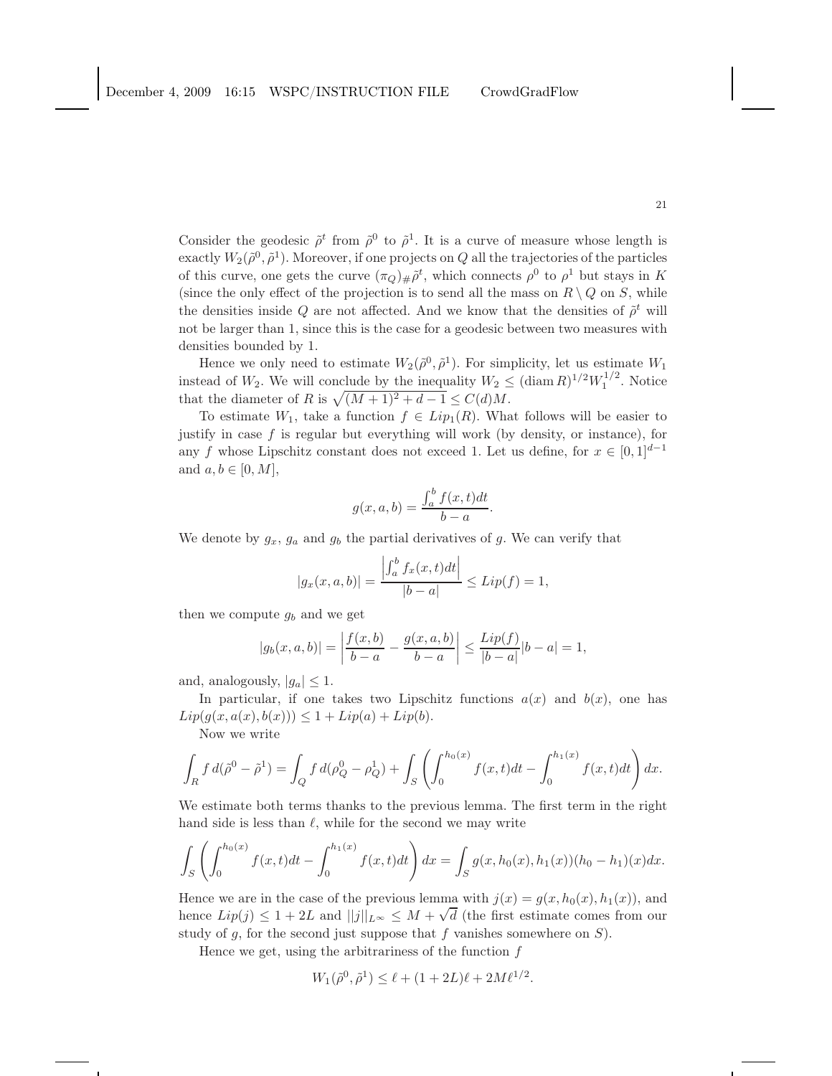Consider the geodesic  $\tilde{\rho}^t$  from  $\tilde{\rho}^0$  to  $\tilde{\rho}^1$ . It is a curve of measure whose length is exactly  $W_2(\tilde{\rho}^0, \tilde{\rho}^1)$ . Moreover, if one projects on Q all the trajectories of the particles of this curve, one gets the curve  $(\pi_Q)_\# \tilde{\rho}^t$ , which connects  $\rho^0$  to  $\rho^1$  but stays in K (since the only effect of the projection is to send all the mass on  $R \setminus Q$  on S, while the densities inside Q are not affected. And we know that the densities of  $\tilde{\rho}^t$  will not be larger than 1, since this is the case for a geodesic between two measures with densities bounded by 1.

Hence we only need to estimate  $W_2(\tilde{\rho}^0, \tilde{\rho}^1)$ . For simplicity, let us estimate  $W_1$ instead of  $W_2$ . We will conclude by the inequality  $W_2 \leq (\text{diam } R)^{1/2} W_1^{1/2}$ . Notice that the diameter of R is  $\sqrt{(M + 1)^2 + d - 1} \le C(d)M$ .

To estimate  $W_1$ , take a function  $f \in Lip_1(R)$ . What follows will be easier to justify in case  $f$  is regular but everything will work (by density, or instance), for any f whose Lipschitz constant does not exceed 1. Let us define, for  $x \in [0,1]^{d-1}$ and  $a, b \in [0, M]$ ,

$$
g(x, a, b) = \frac{\int_a^b f(x, t)dt}{b - a}.
$$

We denote by  $g_x$ ,  $g_a$  and  $g_b$  the partial derivatives of g. We can verify that

$$
|g_x(x, a, b)| = \frac{\left| \int_a^b f_x(x, t) dt \right|}{|b - a|} \le Lip(f) = 1,
$$

then we compute  $g_b$  and we get

$$
|g_b(x, a, b)| = \left| \frac{f(x, b)}{b - a} - \frac{g(x, a, b)}{b - a} \right| \le \frac{Lip(f)}{|b - a|} |b - a| = 1,
$$

and, analogously,  $|g_a| \leq 1$ .

In particular, if one takes two Lipschitz functions  $a(x)$  and  $b(x)$ , one has  $Lip(g(x, a(x), b(x))) \leq 1 + Lip(a) + Lip(b).$ 

Now we write

$$
\int_{R} f d(\tilde{\rho}^{0} - \tilde{\rho}^{1}) = \int_{Q} f d(\rho_{Q}^{0} - \rho_{Q}^{1}) + \int_{S} \left( \int_{0}^{h_{0}(x)} f(x, t) dt - \int_{0}^{h_{1}(x)} f(x, t) dt \right) dx.
$$

We estimate both terms thanks to the previous lemma. The first term in the right hand side is less than  $\ell$ , while for the second we may write

$$
\int_{S} \left( \int_{0}^{h_{0}(x)} f(x,t)dt - \int_{0}^{h_{1}(x)} f(x,t)dt \right) dx = \int_{S} g(x, h_{0}(x), h_{1}(x))(h_{0} - h_{1})(x)dx.
$$

Hence we are in the case of the previous lemma with  $j(x) = g(x, h_0(x), h_1(x))$ , and hence  $Lip(j) \leq 1 + 2L$  and  $||j||_{L^{\infty}} \leq M + \sqrt{d}$  (the first estimate comes from our study of  $g$ , for the second just suppose that  $f$  vanishes somewhere on  $S$ ).

Hence we get, using the arbitrariness of the function  $f$ 

$$
W_1(\tilde{\rho}^0, \tilde{\rho}^1) \le \ell + (1 + 2L)\ell + 2M\ell^{1/2}.
$$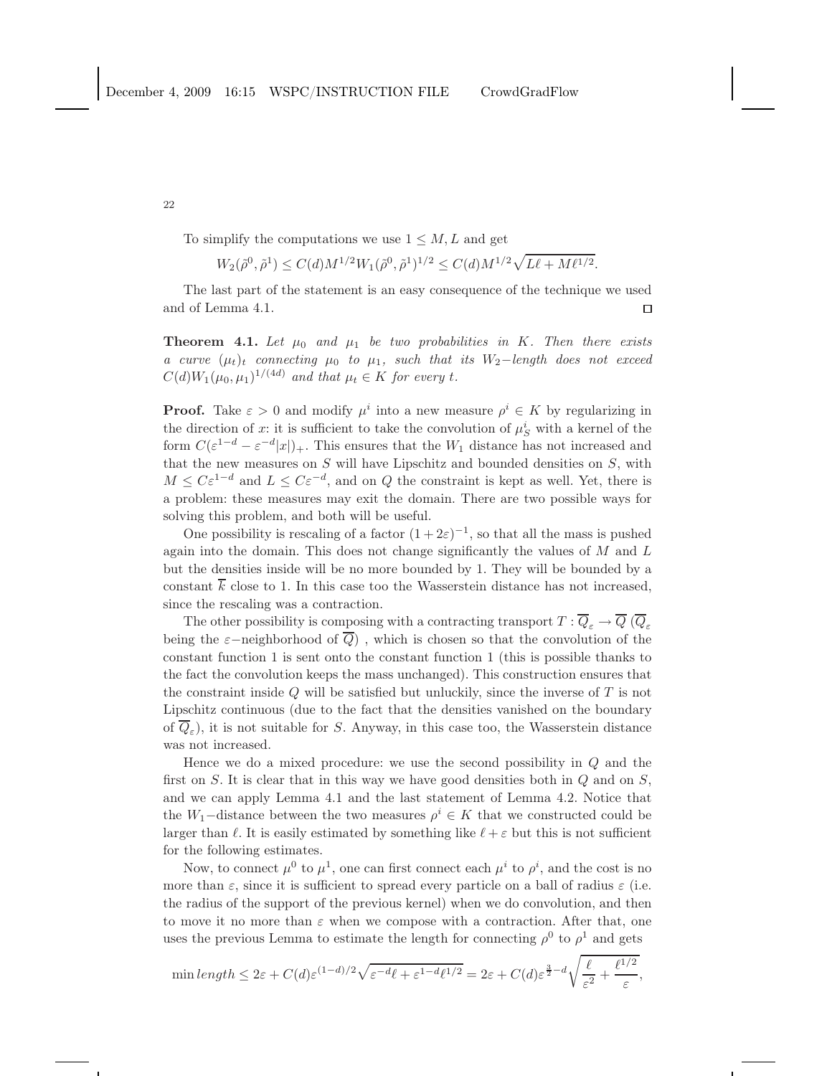To simplify the computations we use  $1 \leq M, L$  and get

$$
W_2(\tilde{\rho}^0,\tilde{\rho}^1)\leq C(d)M^{1/2}W_1(\tilde{\rho}^0,\tilde{\rho}^1)^{1/2}\leq C(d)M^{1/2}\sqrt{L\ell+M\ell^{1/2}}.
$$

The last part of the statement is an easy consequence of the technique we used and of Lemma 4.1.  $\Box$ 

**Theorem 4.1.** Let  $\mu_0$  and  $\mu_1$  be two probabilities in K. Then there exists *a curve*  $(\mu_t)_t$  *connecting*  $\mu_0$  *to*  $\mu_1$ *, such that its*  $W_2$ -*length does not exceed*  $C(d)W_1(\mu_0, \mu_1)^{1/(4d)}$  and that  $\mu_t \in K$  for every t.

**Proof.** Take  $\varepsilon > 0$  and modify  $\mu^i$  into a new measure  $\rho^i \in K$  by regularizing in the direction of x: it is sufficient to take the convolution of  $\mu_S^i$  with a kernel of the form  $C(\varepsilon^{1-d} - \varepsilon^{-d} |x|)_+$ . This ensures that the  $W_1$  distance has not increased and that the new measures on  $S$  will have Lipschitz and bounded densities on  $S$ , with  $M \leq C \varepsilon^{1-d}$  and  $L \leq C \varepsilon^{-d}$ , and on Q the constraint is kept as well. Yet, there is a problem: these measures may exit the domain. There are two possible ways for solving this problem, and both will be useful.

One possibility is rescaling of a factor  $(1+2\varepsilon)^{-1}$ , so that all the mass is pushed again into the domain. This does not change significantly the values of  $M$  and  $L$ but the densities inside will be no more bounded by 1. They will be bounded by a constant  $\overline{k}$  close to 1. In this case too the Wasserstein distance has not increased, since the rescaling was a contraction.

The other possibility is composing with a contracting transport  $T : \overline{Q}_{\varepsilon} \to \overline{Q}$  ( $\overline{Q}_{\varepsilon}$ being the  $\varepsilon$ −neighborhood of  $\overline{Q}$ ), which is chosen so that the convolution of the constant function 1 is sent onto the constant function 1 (this is possible thanks to the fact the convolution keeps the mass unchanged). This construction ensures that the constraint inside  $Q$  will be satisfied but unluckily, since the inverse of  $T$  is not Lipschitz continuous (due to the fact that the densities vanished on the boundary of  $Q_{\varepsilon}$ ), it is not suitable for S. Anyway, in this case too, the Wasserstein distance was not increased.

Hence we do a mixed procedure: we use the second possibility in Q and the first on  $S$ . It is clear that in this way we have good densities both in  $Q$  and on  $S$ , and we can apply Lemma 4.1 and the last statement of Lemma 4.2. Notice that the  $W_1$ –distance between the two measures  $\rho^i \in K$  that we constructed could be larger than  $\ell$ . It is easily estimated by something like  $\ell + \varepsilon$  but this is not sufficient for the following estimates.

Now, to connect  $\mu^0$  to  $\mu^1$ , one can first connect each  $\mu^i$  to  $\rho^i$ , and the cost is no more than  $\varepsilon$ , since it is sufficient to spread every particle on a ball of radius  $\varepsilon$  (i.e. the radius of the support of the previous kernel) when we do convolution, and then to move it no more than  $\varepsilon$  when we compose with a contraction. After that, one uses the previous Lemma to estimate the length for connecting  $\rho^0$  to  $\rho^1$  and gets

$$
\min\operatorname{length} \leq 2\varepsilon + C(d)\varepsilon^{(1-d)/2}\sqrt{\varepsilon^{-d}\ell + \varepsilon^{1-d}\ell^{1/2}} = 2\varepsilon + C(d)\varepsilon^{\frac{3}{2}-d}\sqrt{\frac{\ell}{\varepsilon^2} + \frac{\ell^{1/2}}{\varepsilon}},
$$

22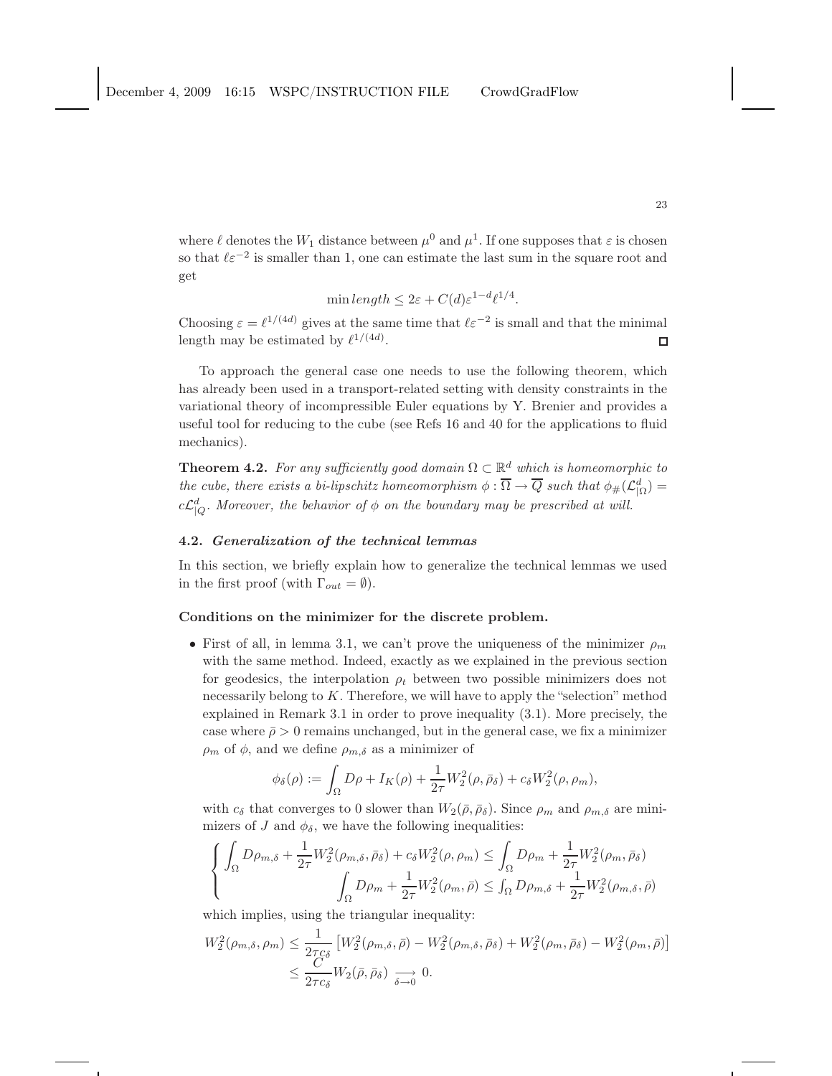where  $\ell$  denotes the  $W_1$  distance between  $\mu^0$  and  $\mu^1$ . If one supposes that  $\varepsilon$  is chosen so that  $\ell \varepsilon^{-2}$  is smaller than 1, one can estimate the last sum in the square root and get

$$
\min length \le 2\varepsilon + C(d)\varepsilon^{1-d} \ell^{1/4}.
$$

Choosing  $\varepsilon = \ell^{1/(4d)}$  gives at the same time that  $\ell \varepsilon^{-2}$  is small and that the minimal length may be estimated by  $\ell^{1/(4d)}$ .  $\Box$ 

To approach the general case one needs to use the following theorem, which has already been used in a transport-related setting with density constraints in the variational theory of incompressible Euler equations by Y. Brenier and provides a useful tool for reducing to the cube (see Refs 16 and 40 for the applications to fluid mechanics).

**Theorem 4.2.** For any sufficiently good domain  $\Omega \subset \mathbb{R}^d$  which is homeomorphic to *the cube, there exists a bi-lipschitz homeomorphism*  $\phi$  :  $\overline{\Omega} \to \overline{Q}$  *such that*  $\phi_{\#}(\mathcal{L}_{|\Omega}^d)$  =  $c\mathcal{L}_{|Q}^d$ . Moreover, the behavior of  $\phi$  on the boundary may be prescribed at will.

### 4.2. Generalization of the technical lemmas

In this section, we briefly explain how to generalize the technical lemmas we used in the first proof (with  $\Gamma_{out} = \emptyset$ ).

## Conditions on the minimizer for the discrete problem.

• First of all, in lemma 3.1, we can't prove the uniqueness of the minimizer  $\rho_m$ with the same method. Indeed, exactly as we explained in the previous section for geodesics, the interpolation  $\rho_t$  between two possible minimizers does not necessarily belong to K. Therefore, we will have to apply the "selection" method explained in Remark 3.1 in order to prove inequality (3.1). More precisely, the case where  $\bar{\rho} > 0$  remains unchanged, but in the general case, we fix a minimizer  $\rho_m$  of  $\phi$ , and we define  $\rho_{m,\delta}$  as a minimizer of

$$
\phi_{\delta}(\rho) := \int_{\Omega} D\rho + I_K(\rho) + \frac{1}{2\tau} W_2^2(\rho, \bar{\rho}_{\delta}) + c_{\delta} W_2^2(\rho, \rho_m),
$$

with  $c_{\delta}$  that converges to 0 slower than  $W_2(\bar{\rho}, \bar{\rho}_{\delta})$ . Since  $\rho_m$  and  $\rho_{m,\delta}$  are minimizers of J and  $\phi_{\delta}$ , we have the following inequalities:

$$
\left\{\n\begin{aligned}\n\int_{\Omega} D\rho_{m,\delta} + \frac{1}{2\tau} W_2^2(\rho_{m,\delta}, \bar{\rho}_{\delta}) + c_{\delta} W_2^2(\rho, \rho_m) &\leq \int_{\Omega} D\rho_m + \frac{1}{2\tau} W_2^2(\rho_m, \bar{\rho}_{\delta}) \\
\int_{\Omega} D\rho_m + \frac{1}{2\tau} W_2^2(\rho_m, \bar{\rho}) &\leq \int_{\Omega} D\rho_{m,\delta} + \frac{1}{2\tau} W_2^2(\rho_{m,\delta}, \bar{\rho})\n\end{aligned}\n\right.
$$

which implies, using the triangular inequality:

$$
W_2^2(\rho_{m,\delta}, \rho_m) \le \frac{1}{2\tau c_\delta} \left[ W_2^2(\rho_{m,\delta}, \bar{\rho}) - W_2^2(\rho_{m,\delta}, \bar{\rho}_\delta) + W_2^2(\rho_m, \bar{\rho}_\delta) - W_2^2(\rho_m, \bar{\rho}) \right]
$$
  

$$
\le \frac{C}{2\tau c_\delta} W_2(\bar{\rho}, \bar{\rho}_\delta) \longrightarrow 0.
$$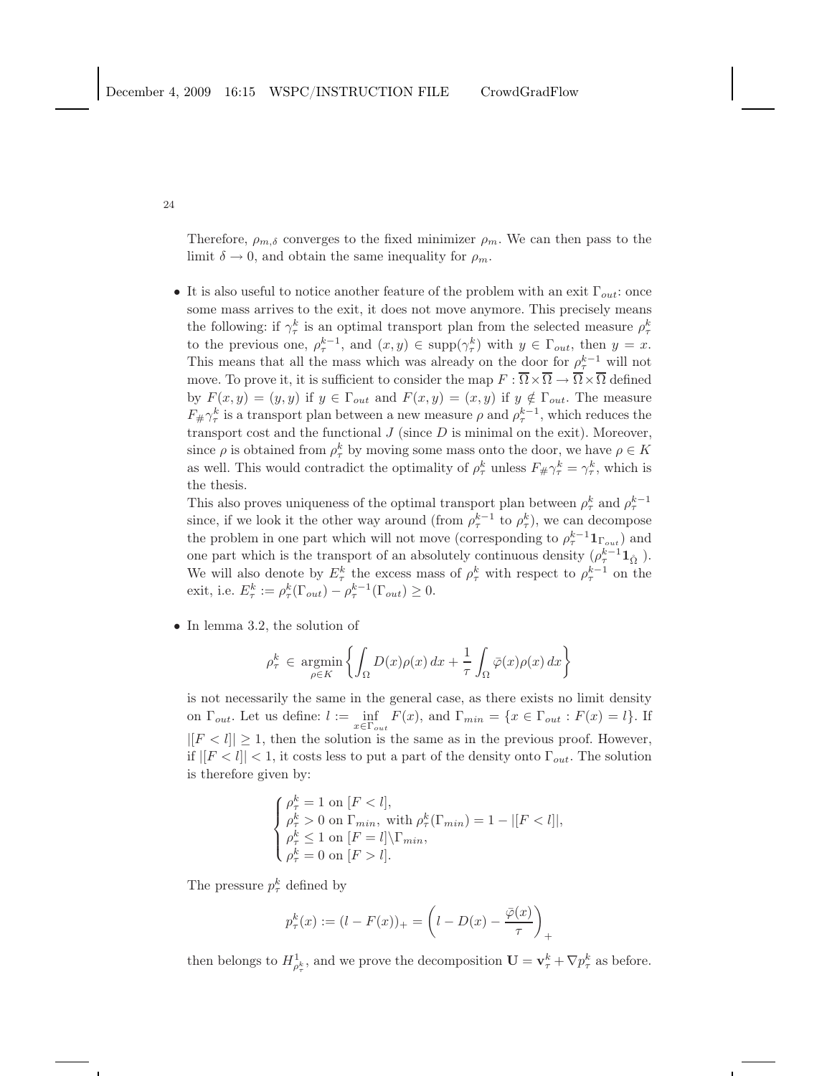Therefore,  $\rho_{m,\delta}$  converges to the fixed minimizer  $\rho_m$ . We can then pass to the limit  $\delta \to 0$ , and obtain the same inequality for  $\rho_m$ .

• It is also useful to notice another feature of the problem with an exit  $\Gamma_{out}$ : once some mass arrives to the exit, it does not move anymore. This precisely means the following: if  $\gamma_{\tau}^{k}$  is an optimal transport plan from the selected measure  $\rho_{\tau}^{k}$ to the previous one,  $\rho_{\tau}^{k-1}$ , and  $(x, y) \in \text{supp}(\gamma_{\tau}^{k})$  with  $y \in \Gamma_{out}$ , then  $y = x$ . This means that all the mass which was already on the door for  $\rho_{\tau}^{k-1}$  will not move. To prove it, it is sufficient to consider the map  $F : \overline{\Omega} \times \overline{\Omega} \to \overline{\Omega} \times \overline{\Omega}$  defined by  $F(x, y) = (y, y)$  if  $y \in \Gamma_{out}$  and  $F(x, y) = (x, y)$  if  $y \notin \Gamma_{out}$ . The measure  $F_{\#}\gamma_{\tau}^{k}$  is a transport plan between a new measure  $\rho$  and  $\rho_{\tau}^{k-1}$ , which reduces the transport cost and the functional  $J$  (since  $D$  is minimal on the exit). Moreover, since  $\rho$  is obtained from  $\rho_{\tau}^{k}$  by moving some mass onto the door, we have  $\rho \in K$ as well. This would contradict the optimality of  $\rho_{\tau}^{k}$  unless  $F_{\#} \gamma_{\tau}^{k} = \gamma_{\tau}^{k}$ , which is the thesis.

This also proves uniqueness of the optimal transport plan between  $\rho_{\tau}^{k}$  and  $\rho_{\tau}^{k-1}$ since, if we look it the other way around (from  $\rho_{\tau}^{k-1}$  to  $\rho_{\tau}^{k}$ ), we can decompose the problem in one part which will not move (corresponding to  $\rho_{\tau}^{k-1} \mathbf{1}_{\Gamma_{out}}$ ) and one part which is the transport of an absolutely continuous density  $(\rho_{\tau}^{k-1} 1_{\hat{\Omega}})$ . We will also denote by  $E_{\tau}^{k}$  the excess mass of  $\rho_{\tau}^{k}$  with respect to  $\rho_{\tau}^{k-1}$  on the exit, i.e.  $E_{\tau}^k := \rho_{\tau}^k(\Gamma_{out}) - \rho_{\tau}^{k-1}(\Gamma_{out}) \geq 0.$ 

• In lemma 3.2, the solution of

$$
\rho_{\tau}^{k} \in \underset{\rho \in K}{\text{argmin}} \left\{ \int_{\Omega} D(x)\rho(x) dx + \frac{1}{\tau} \int_{\Omega} \bar{\varphi}(x)\rho(x) dx \right\}
$$

is not necessarily the same in the general case, as there exists no limit density on  $\Gamma_{out}$ . Let us define:  $l := \inf_{x \in \Gamma_{out}} F(x)$ , and  $\Gamma_{min} = \{x \in \Gamma_{out} : F(x) = l\}$ . If  $|[F < l]| \geq 1$ , then the solution is the same as in the previous proof. However, if  $||F \nless l|| \nless 1$ , it costs less to put a part of the density onto  $\Gamma_{out}$ . The solution is therefore given by:

$$
\begin{cases}\n\rho_{\tau}^k = 1 \text{ on } [F < l], \\
\rho_{\tau}^k > 0 \text{ on } \Gamma_{min}, \text{ with } \rho_{\tau}^k(\Gamma_{min}) = 1 - |[F < l]|, \\
\rho_{\tau}^k \le 1 \text{ on } [F = l] \setminus \Gamma_{min}, \\
\rho_{\tau}^k = 0 \text{ on } [F > l].\n\end{cases}
$$

The pressure  $p_{\tau}^{k}$  defined by

$$
p_{\tau}^{k}(x) := (l - F(x))_{+} = \left( l - D(x) - \frac{\bar{\varphi}(x)}{\tau} \right)_{+}
$$

then belongs to  $H^1_{\rho^k_\tau}$ , and we prove the decomposition  $\mathbf{U} = \mathbf{v}^k_\tau + \nabla p^k_\tau$  as before.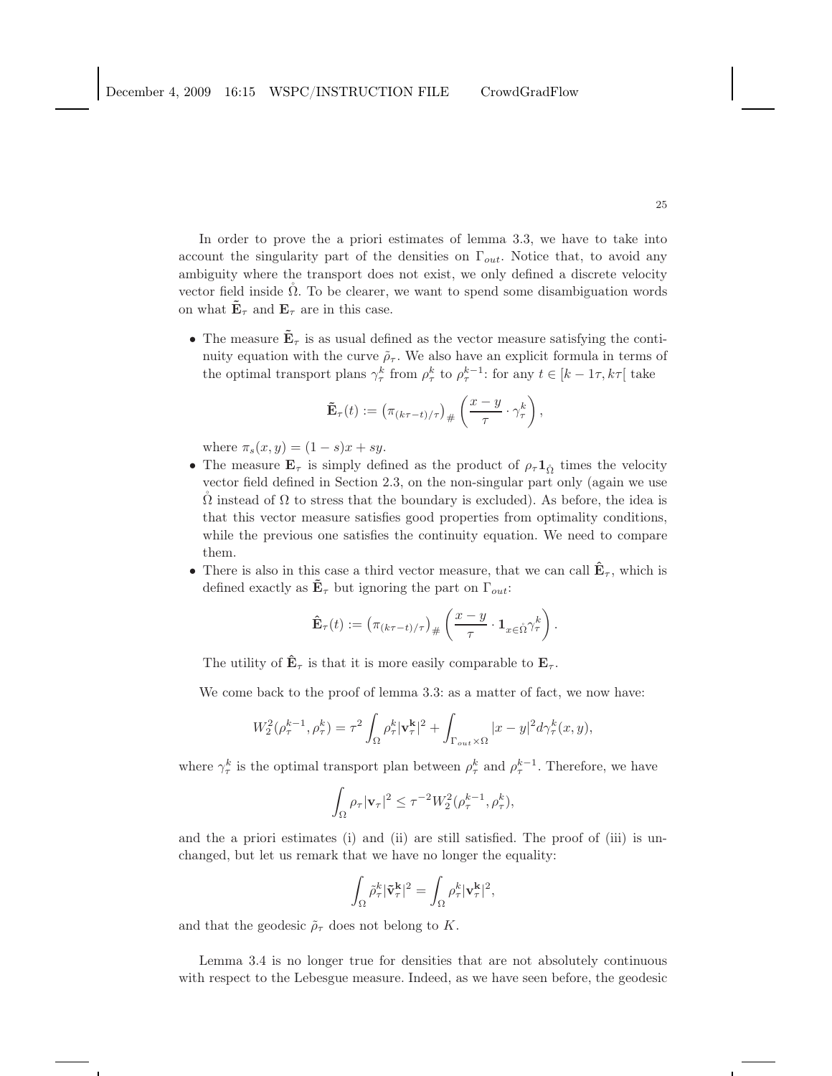In order to prove the a priori estimates of lemma 3.3, we have to take into account the singularity part of the densities on  $\Gamma_{out}$ . Notice that, to avoid any ambiguity where the transport does not exist, we only defined a discrete velocity vector field inside  $\Omega$ . To be clearer, we want to spend some disambiguation words on what  $\mathbf{E}_{\tau}$  and  $\mathbf{E}_{\tau}$  are in this case.

• The measure  $\mathbf{E}_{\tau}$  is as usual defined as the vector measure satisfying the continuity equation with the curve  $\tilde{\rho}_{\tau}$ . We also have an explicit formula in terms of the optimal transport plans  $\gamma_{\tau}^{k}$  from  $\rho_{\tau}^{k}$  to  $\rho_{\tau}^{k-1}$ : for any  $t \in [k-1\tau, k\tau]$  take

$$
\tilde{\mathbf{E}}_{\tau}(t) := \left(\pi_{(k\tau - t)/\tau}\right)_{\#} \left(\frac{x-y}{\tau} \cdot \gamma_{\tau}^{k}\right),
$$

where  $\pi_s(x, y) = (1 - s)x + sy$ .

- The measure  $\mathbf{E}_{\tau}$  is simply defined as the product of  $\rho_{\tau} \mathbf{1}_{\hat{\Omega}}$  times the velocity vector field defined in Section 2.3, on the non-singular part only (again we use  $\Omega$  instead of  $\Omega$  to stress that the boundary is excluded). As before, the idea is that this vector measure satisfies good properties from optimality conditions, while the previous one satisfies the continuity equation. We need to compare them.
- There is also in this case a third vector measure, that we can call  $\hat{\mathbf{E}}_{\tau}$ , which is defined exactly as  $\mathbf{E}_{\tau}$  but ignoring the part on  $\Gamma_{out}$ :

$$
\hat{\mathbf{E}}_{\tau}(t) := \left(\pi_{(k\tau - t)/\tau}\right)_{\#} \left(\frac{x - y}{\tau} \cdot \mathbf{1}_{x \in \mathring{\Omega}} \gamma_{\tau}^{k}\right).
$$

The utility of  $\mathbf{E}_{\tau}$  is that it is more easily comparable to  $\mathbf{E}_{\tau}$ .

We come back to the proof of lemma 3.3: as a matter of fact, we now have:

$$
W_2^2(\rho_\tau^{k-1}, \rho_\tau^k) = \tau^2 \int_{\Omega} \rho_\tau^k |\mathbf{v}_\tau^{\mathbf{k}}|^2 + \int_{\Gamma_{out} \times \Omega} |x - y|^2 d\gamma_\tau^k(x, y),
$$

where  $\gamma_{\tau}^{k}$  is the optimal transport plan between  $\rho_{\tau}^{k}$  and  $\rho_{\tau}^{k-1}$ . Therefore, we have

$$
\int_{\Omega} \rho_{\tau} |\mathbf{v}_{\tau}|^2 \leq \tau^{-2} W_2^2(\rho_{\tau}^{k-1}, \rho_{\tau}^k),
$$

and the a priori estimates (i) and (ii) are still satisfied. The proof of (iii) is unchanged, but let us remark that we have no longer the equality:

$$
\int_\Omega \tilde{\rho}_\tau^k |\tilde{\mathbf{v}}_\tau^{\mathbf{k}}|^2 = \int_\Omega \rho_\tau^k |\mathbf{v}_\tau^{\mathbf{k}}|^2,
$$

and that the geodesic  $\tilde{\rho}_{\tau}$  does not belong to K.

Lemma 3.4 is no longer true for densities that are not absolutely continuous with respect to the Lebesgue measure. Indeed, as we have seen before, the geodesic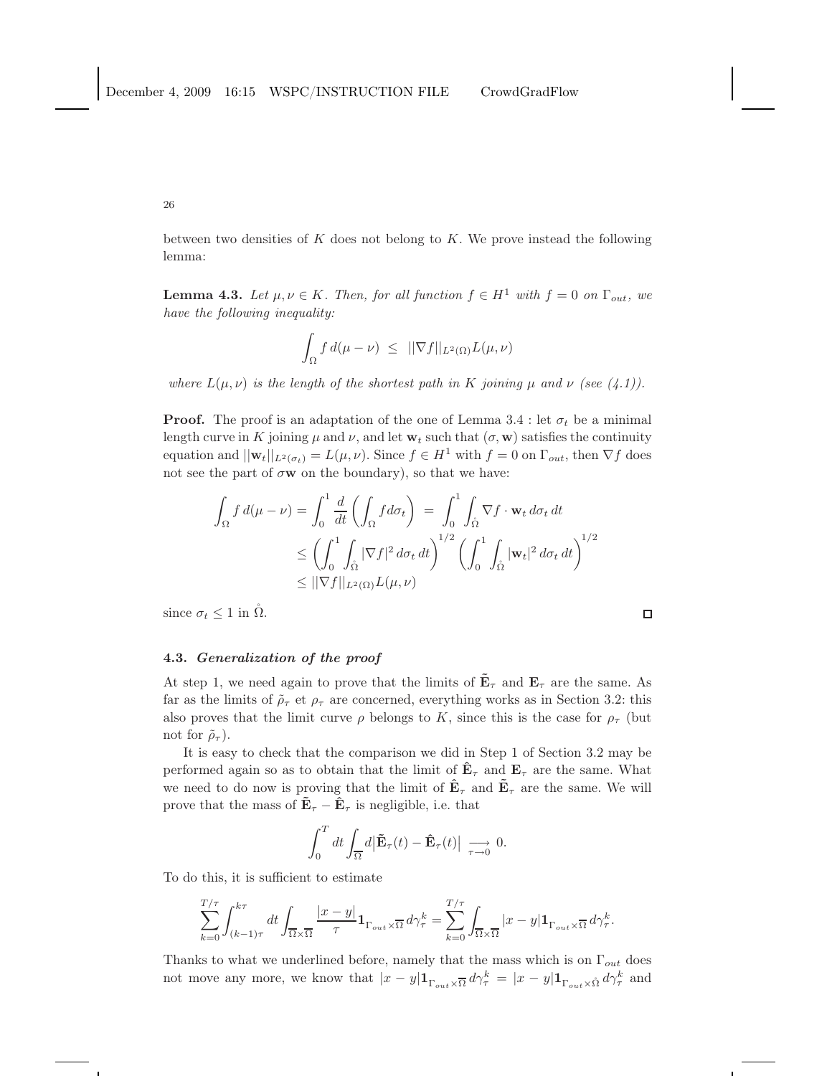between two densities of  $K$  does not belong to  $K$ . We prove instead the following lemma:

**Lemma 4.3.** *Let*  $\mu, \nu \in K$ *. Then, for all function*  $f \in H^1$  *with*  $f = 0$  *on*  $\Gamma_{out}$ *, we have the following inequality:*

$$
\int_{\Omega} f d(\mu - \nu) \leq ||\nabla f||_{L^{2}(\Omega)} L(\mu, \nu)
$$

*where*  $L(\mu, \nu)$  *is the length of the shortest path in* K *joining*  $\mu$  *and*  $\nu$  *(see (4.1)).* 

**Proof.** The proof is an adaptation of the one of Lemma 3.4 : let  $\sigma_t$  be a minimal length curve in K joining  $\mu$  and  $\nu$ , and let  $w_t$  such that  $(\sigma, w)$  satisfies the continuity equation and  $||\mathbf{w}_t||_{L^2(\sigma_t)} = L(\mu, \nu)$ . Since  $f \in H^1$  with  $f = 0$  on  $\Gamma_{out}$ , then  $\nabla f$  does not see the part of  $\sigma w$  on the boundary), so that we have:

$$
\int_{\Omega} f d(\mu - \nu) = \int_{0}^{1} \frac{d}{dt} \left( \int_{\Omega} f d\sigma_{t} \right) = \int_{0}^{1} \int_{\tilde{\Omega}} \nabla f \cdot \mathbf{w}_{t} d\sigma_{t} dt
$$
\n
$$
\leq \left( \int_{0}^{1} \int_{\tilde{\Omega}} |\nabla f|^{2} d\sigma_{t} dt \right)^{1/2} \left( \int_{0}^{1} \int_{\tilde{\Omega}} |\mathbf{w}_{t}|^{2} d\sigma_{t} dt \right)^{1/2}
$$
\n
$$
\leq ||\nabla f||_{L^{2}(\Omega)} L(\mu, \nu)
$$

 $\Box$ 

since  $\sigma_t \leq 1$  in  $\Omega$ .

# 4.3. Generalization of the proof

At step 1, we need again to prove that the limits of  $\mathbf{\tilde{E}}_{\tau}$  and  $\mathbf{E}_{\tau}$  are the same. As far as the limits of  $\tilde{\rho}_{\tau}$  et  $\rho_{\tau}$  are concerned, everything works as in Section 3.2: this also proves that the limit curve  $\rho$  belongs to K, since this is the case for  $\rho_{\tau}$  (but not for  $\tilde{\rho}_{\tau}$ ).

It is easy to check that the comparison we did in Step 1 of Section 3.2 may be performed again so as to obtain that the limit of  $\mathbf{\hat{E}}_{\tau}$  and  $\mathbf{E}_{\tau}$  are the same. What we need to do now is proving that the limit of  $\mathbf{\hat{E}}_{\tau}$  and  $\mathbf{\tilde{E}}_{\tau}$  are the same. We will prove that the mass of  $\mathbf{\tilde{E}}_{\tau} - \mathbf{\hat{E}}_{\tau}$  is negligible, i.e. that

$$
\int_0^T dt \int_{\overline{\Omega}} d\big|\tilde{\mathbf{E}}_{\tau}(t) - \hat{\mathbf{E}}_{\tau}(t)\big| \underset{\tau \to 0}{\longrightarrow} 0.
$$

To do this, it is sufficient to estimate

$$
\sum_{k=0}^{T/\tau} \int_{(k-1)\tau}^{k\tau} dt \int_{\overline{\Omega}\times\overline{\Omega}} \frac{|x-y|}{\tau} \mathbf{1}_{\Gamma_{out}\times\overline{\Omega}} d\gamma_{\tau}^{k} = \sum_{k=0}^{T/\tau} \int_{\overline{\Omega}\times\overline{\Omega}} |x-y| \mathbf{1}_{\Gamma_{out}\times\overline{\Omega}} d\gamma_{\tau}^{k}.
$$

Thanks to what we underlined before, namely that the mass which is on  $\Gamma_{out}$  does not move any more, we know that  $|x-y| \mathbf{1}_{\Gamma_{out}\times \overline{\Omega}} d\gamma_{\tau}^{k} = |x-y| \mathbf{1}_{\Gamma_{out}\times \mathring{\Omega}} d\gamma_{\tau}^{k}$  and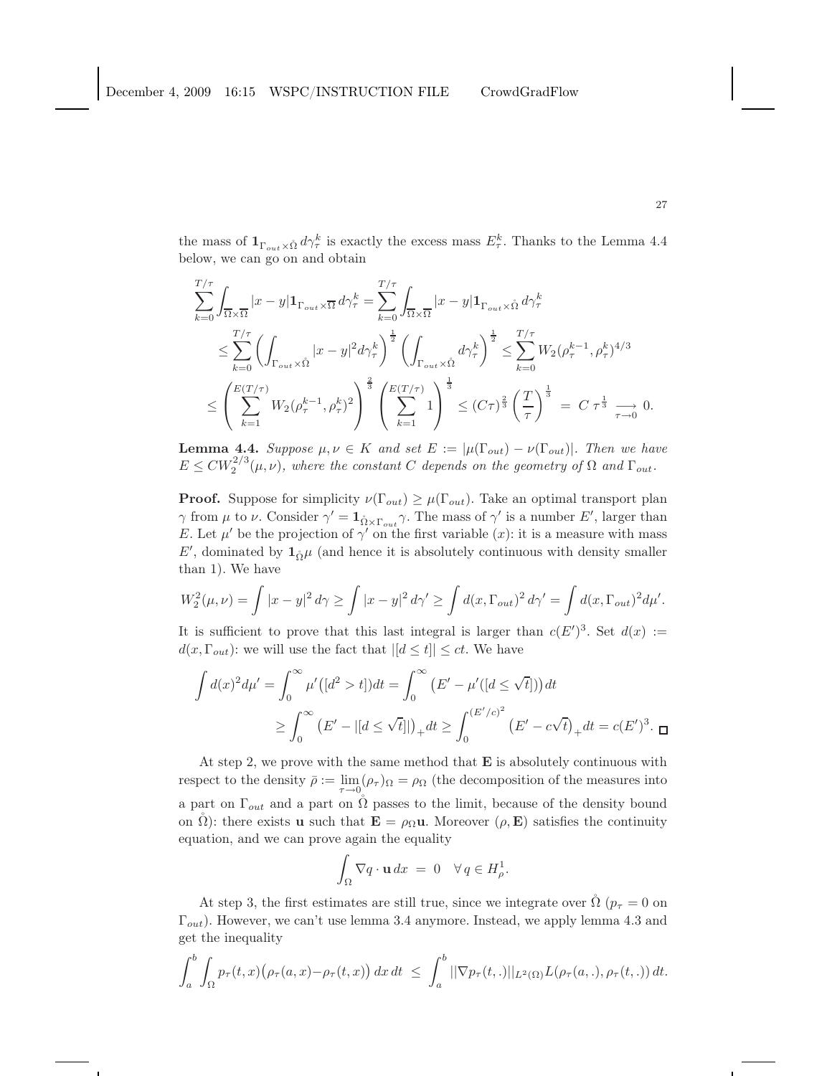the mass of  $1_{\Gamma_{out}\times\mathring{\Omega}}d\gamma_{\tau}^k$  is exactly the excess mass  $E_{\tau}^k$ . Thanks to the Lemma 4.4 below, we can go on and obtain

$$
\sum_{k=0}^{T/\tau} \int_{\overline{\Omega} \times \overline{\Omega}} |x - y| \mathbf{1}_{\Gamma_{out} \times \overline{\Omega}} d\gamma_{\tau}^{k} = \sum_{k=0}^{T/\tau} \int_{\overline{\Omega} \times \overline{\Omega}} |x - y| \mathbf{1}_{\Gamma_{out} \times \hat{\Omega}} d\gamma_{\tau}^{k}
$$
\n
$$
\leq \sum_{k=0}^{T/\tau} \left( \int_{\Gamma_{out} \times \hat{\Omega}} |x - y|^{2} d\gamma_{\tau}^{k} \right)^{\frac{1}{2}} \left( \int_{\Gamma_{out} \times \hat{\Omega}} d\gamma_{\tau}^{k} \right)^{\frac{1}{2}} \leq \sum_{k=0}^{T/\tau} W_{2}(\rho_{\tau}^{k-1}, \rho_{\tau}^{k})^{4/3}
$$
\n
$$
\leq \left( \sum_{k=1}^{E(T/\tau)} W_{2}(\rho_{\tau}^{k-1}, \rho_{\tau}^{k})^{2} \right)^{\frac{2}{3}} \left( \sum_{k=1}^{E(T/\tau)} 1 \right)^{\frac{1}{3}} \leq (C\tau)^{\frac{2}{3}} \left( \frac{T}{\tau} \right)^{\frac{1}{3}} = C \tau^{\frac{1}{3}} \xrightarrow[\tau \to 0]{} 0.
$$

**Lemma 4.4.** *Suppose*  $\mu, \nu \in K$  *and set*  $E := |\mu(\Gamma_{out}) - \nu(\Gamma_{out})|$ *. Then we have*  $E \leq CW_2^{2/3}(\mu, \nu)$ , where the constant C depends on the geometry of  $\Omega$  and  $\Gamma_{out}$ .

**Proof.** Suppose for simplicity  $\nu(\Gamma_{out}) \geq \mu(\Gamma_{out})$ . Take an optimal transport plan  $\gamma$  from  $\mu$  to  $\nu$ . Consider  $\gamma' = \mathbf{1}_{\mathring{\Omega} \times \Gamma_{out}} \gamma$ . The mass of  $\gamma'$  is a number E', larger than E. Let  $\mu'$  be the projection of  $\gamma'$  on the first variable  $(x)$ : it is a measure with mass  $E'$ , dominated by  $\mathbf{1}_{\Omega}\mu$  (and hence it is absolutely continuous with density smaller than 1). We have

$$
W_2^2(\mu,\nu) = \int |x-y|^2 \, d\gamma \ge \int |x-y|^2 \, d\gamma' \ge \int d(x,\Gamma_{out})^2 \, d\gamma' = \int d(x,\Gamma_{out})^2 \, d\mu'.
$$

It is sufficient to prove that this last integral is larger than  $c(E')^3$ . Set  $d(x) :=$  $d(x, \Gamma_{out})$ : we will use the fact that  $|[d \le t]| \le ct$ . We have

$$
\int d(x)^2 d\mu' = \int_0^\infty \mu'([d^2 > t]) dt = \int_0^\infty (E' - \mu'([d \le \sqrt{t}])) dt
$$
  
 
$$
\ge \int_0^\infty (E' - |[d \le \sqrt{t}]|)_+ dt \ge \int_0^{(E'/c)^2} (E' - c\sqrt{t})_+ dt = c(E')^3.
$$

At step 2, we prove with the same method that  $E$  is absolutely continuous with respect to the density  $\bar{\rho} := \lim_{\tau \to 0} (\rho_{\tau})_{\Omega} = \rho_{\Omega}$  (the decomposition of the measures into a part on  $\Gamma_{out}$  and a part on  $\Omega$  passes to the limit, because of the density bound on  $\Omega$ ): there exists **u** such that  $\mathbf{E} = \rho_{\Omega} \mathbf{u}$ . Moreover  $(\rho, \mathbf{E})$  satisfies the continuity equation, and we can prove again the equality

$$
\int_{\Omega} \nabla q \cdot \mathbf{u} \, dx = 0 \quad \forall \, q \in H^1_{\rho}.
$$

At step 3, the first estimates are still true, since we integrate over  $\dot{\Omega}$  ( $p_{\tau} = 0$  on  $\Gamma_{out}$ ). However, we can't use lemma 3.4 anymore. Instead, we apply lemma 4.3 and get the inequality

$$
\int_a^b \int_{\Omega} p_\tau(t,x) \big( \rho_\tau(a,x) - \rho_\tau(t,x) \big) dx dt \leq \int_a^b ||\nabla p_\tau(t,.)||_{L^2(\Omega)} L(\rho_\tau(a,.), \rho_\tau(t,.)) dt.
$$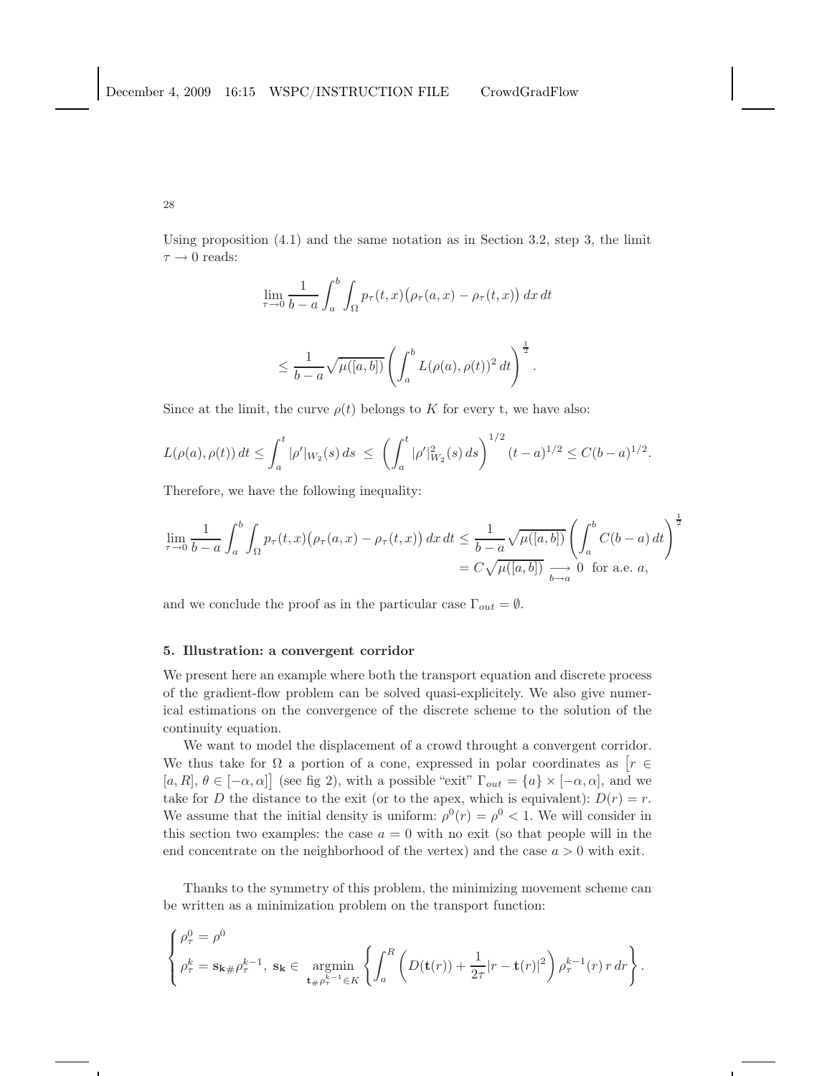Using proposition  $(4.1)$  and the same notation as in Section 3.2, step 3, the limit  $\tau \rightarrow 0$  reads:

$$
\lim_{\tau \to 0} \frac{1}{b-a} \int_{a}^{b} \int_{\Omega} p_{\tau}(t,x) (\rho_{\tau}(a,x) - \rho_{\tau}(t,x)) dx dt
$$

$$
\leq \frac{1}{b-a}\sqrt{\mu([a,b])}\left(\int_a^b L(\rho(a),\rho(t))^2 dt\right)^{\frac{1}{2}}.
$$

Since at the limit, the curve  $\rho(t)$  belongs to K for every t, we have also:

$$
L(\rho(a), \rho(t)) dt \le \int_a^t |\rho'|_{W_2}(s) ds \le \left(\int_a^t |\rho'|_{W_2}^2(s) ds\right)^{1/2} (t-a)^{1/2} \le C(b-a)^{1/2}.
$$

Therefore, we have the following inequality:

$$
\lim_{\tau \to 0} \frac{1}{b-a} \int_a^b \int_{\Omega} p_{\tau}(t,x) \big(\rho_{\tau}(a,x) - \rho_{\tau}(t,x)\big) dx dt \le \frac{1}{b-a} \sqrt{\mu([a,b])} \left(\int_a^b C(b-a) dt\right)^{\frac{1}{2}}
$$

$$
= C \sqrt{\mu([a,b])} \underset{b \to a}{\longrightarrow} 0 \text{ for a.e. } a,
$$

and we conclude the proof as in the particular case  $\Gamma_{out} = \emptyset$ .

## 5. Illustration: a convergent corridor

We present here an example where both the transport equation and discrete process of the gradient-flow problem can be solved quasi-explicitely. We also give numerical estimations on the convergence of the discrete scheme to the solution of the continuity equation.

We want to model the displacement of a crowd throught a convergent corridor. We thus take for  $\Omega$  a portion of a cone, expressed in polar coordinates as  $\left[r \in \mathbb{R}^n\right]$  $[a, R], \theta \in [-\alpha, \alpha]$  (see fig 2), with a possible "exit"  $\Gamma_{out} = \{a\} \times [-\alpha, \alpha]$ , and we take for D the distance to the exit (or to the apex, which is equivalent):  $D(r) = r$ . We assume that the initial density is uniform:  $\rho^{0}(r) = \rho^{0} < 1$ . We will consider in this section two examples: the case  $a = 0$  with no exit (so that people will in the end concentrate on the neighborhood of the vertex) and the case  $a > 0$  with exit.

Thanks to the symmetry of this problem, the minimizing movement scheme can be written as a minimization problem on the transport function:

$$
\begin{cases}\n\rho_{\tau}^{0} = \rho^{0} \\
\rho_{\tau}^{k} = \mathbf{s}_{\mathbf{k} \#} \rho_{\tau}^{k-1}, \ \mathbf{s}_{\mathbf{k}} \in \underset{\mathbf{t}_{\#} \rho_{\tau}^{k-1} \in K}{\operatorname{argmin}} \left\{ \int_{a}^{R} \left( D(\mathbf{t}(r)) + \frac{1}{2\tau} |r - \mathbf{t}(r)|^{2} \right) \rho_{\tau}^{k-1}(r) \, r \, dr \right\}.\n\end{cases}
$$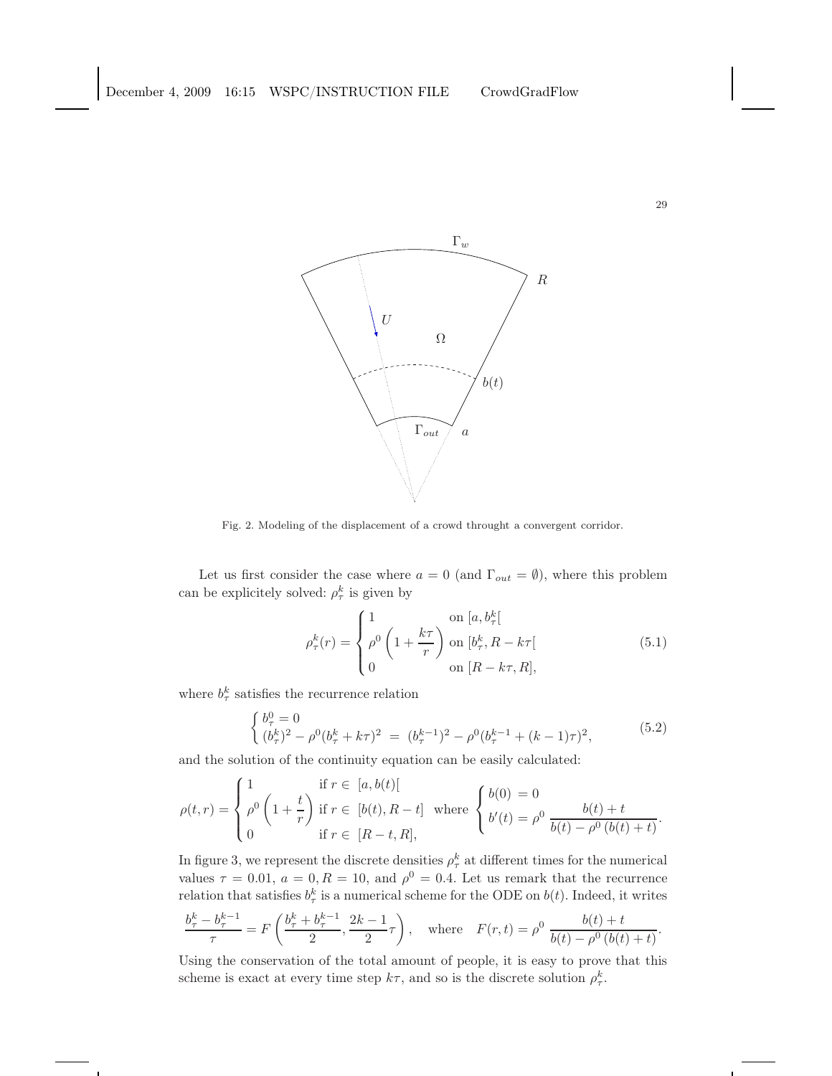

Fig. 2. Modeling of the displacement of a crowd throught a convergent corridor.

Let us first consider the case where  $a = 0$  (and  $\Gamma_{out} = \emptyset$ ), where this problem can be explicitely solved:  $\rho_{\tau}^{k}$  is given by

$$
\rho_{\tau}^{k}(r) = \begin{cases} 1 & \text{on } [a, b_{\tau}^{k}] \\ \rho^{0} \left( 1 + \frac{k\tau}{r} \right) & \text{on } [b_{\tau}^{k}, R - k\tau[ \\ 0 & \text{on } [R - k\tau, R], \end{cases} \tag{5.1}
$$

where  $b_{\tau}^{k}$  satisfies the recurrence relation

$$
\begin{cases}\nb_{\tau}^0 = 0 \\
(b_{\tau}^k)^2 - \rho^0 (b_{\tau}^k + k\tau)^2 = (b_{\tau}^{k-1})^2 - \rho^0 (b_{\tau}^{k-1} + (k-1)\tau)^2,\n\end{cases} \tag{5.2}
$$

and the solution of the continuity equation can be easily calculated:

$$
\rho(t,r) = \begin{cases} 1 & \text{if } r \in [a,b(t)] \\ \rho^0 \left(1 + \frac{t}{r}\right) & \text{if } r \in [b(t), R-t] \\ 0 & \text{if } r \in [R-t, R], \end{cases} \text{ where } \begin{cases} b(0) = 0 \\ b'(t) = \rho^0 & \frac{b(t) + t}{b(t) - \rho^0 \left(b(t) + t\right)}.\end{cases}
$$

In figure 3, we represent the discrete densities  $\rho_{\tau}^{k}$  at different times for the numerical values  $\tau = 0.01$ ,  $a = 0, R = 10$ , and  $\rho^0 = 0.4$ . Let us remark that the recurrence relation that satisfies  $b_{\tau}^{k}$  is a numerical scheme for the ODE on  $b(t)$ . Indeed, it writes

$$
\frac{b_\tau^k-b_\tau^{k-1}}{\tau} = F\left(\frac{b_\tau^k+b_\tau^{k-1}}{2},\frac{2k-1}{2}\tau\right), \quad \text{where} \quad F(r,t) = \rho^0 \ \frac{b(t)+t}{b(t)-\rho^0\left(b(t)+t\right)}.
$$

Using the conservation of the total amount of people, it is easy to prove that this scheme is exact at every time step  $k\tau$ , and so is the discrete solution  $\rho_{\tau}^k$ .

29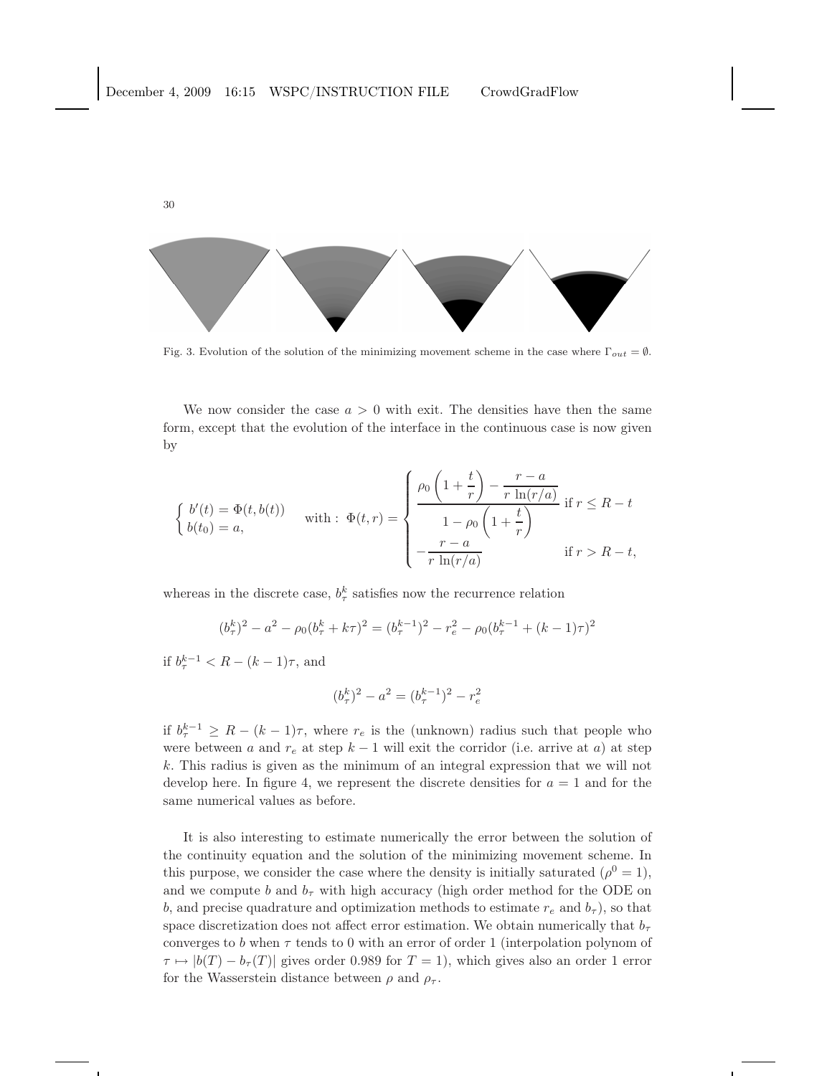

Fig. 3. Evolution of the solution of the minimizing movement scheme in the case where  $\Gamma_{out} = \emptyset$ .

We now consider the case  $a > 0$  with exit. The densities have then the same form, except that the evolution of the interface in the continuous case is now given by

$$
\begin{cases}\nb'(t) = \Phi(t, b(t)) \\
b(t_0) = a,\n\end{cases}\n\text{ with : } \Phi(t, r) = \n\begin{cases}\n\rho_0 \left(1 + \frac{t}{r}\right) - \frac{r - a}{r \ln(r/a)} \\
1 - \rho_0 \left(1 + \frac{t}{r}\right) \\
-\frac{r - a}{r \ln(r/a)}\n\end{cases}\n\text{ if } r > R - t,\n\end{cases}
$$

whereas in the discrete case,  $b_{\tau}^{k}$  satisfies now the recurrence relation

$$
(b_{\tau}^{k})^{2} - a^{2} - \rho_{0}(b_{\tau}^{k} + k\tau)^{2} = (b_{\tau}^{k-1})^{2} - r_{e}^{2} - \rho_{0}(b_{\tau}^{k-1} + (k-1)\tau)^{2}
$$

if  $b_{\tau}^{k-1} < R - (k-1)\tau$ , and

$$
(b^k_\tau)^2 - a^2 = (b^{k-1}_\tau)^2 - r_e^2
$$

if  $b_{\tau}^{k-1} \geq R - (k-1)\tau$ , where  $r_e$  is the (unknown) radius such that people who were between a and  $r_e$  at step  $k-1$  will exit the corridor (i.e. arrive at a) at step k. This radius is given as the minimum of an integral expression that we will not develop here. In figure 4, we represent the discrete densities for  $a = 1$  and for the same numerical values as before.

It is also interesting to estimate numerically the error between the solution of the continuity equation and the solution of the minimizing movement scheme. In this purpose, we consider the case where the density is initially saturated  $(\rho^0 = 1)$ , and we compute b and  $b<sub>\tau</sub>$  with high accuracy (high order method for the ODE on b, and precise quadrature and optimization methods to estimate  $r_e$  and  $b_\tau$ ), so that space discretization does not affect error estimation. We obtain numerically that  $b_{\tau}$ converges to b when  $\tau$  tends to 0 with an error of order 1 (interpolation polynom of  $\tau \mapsto |b(T) - b_{\tau}(T)|$  gives order 0.989 for  $T = 1$ , which gives also an order 1 error for the Wasserstein distance between  $\rho$  and  $\rho_{\tau}$ .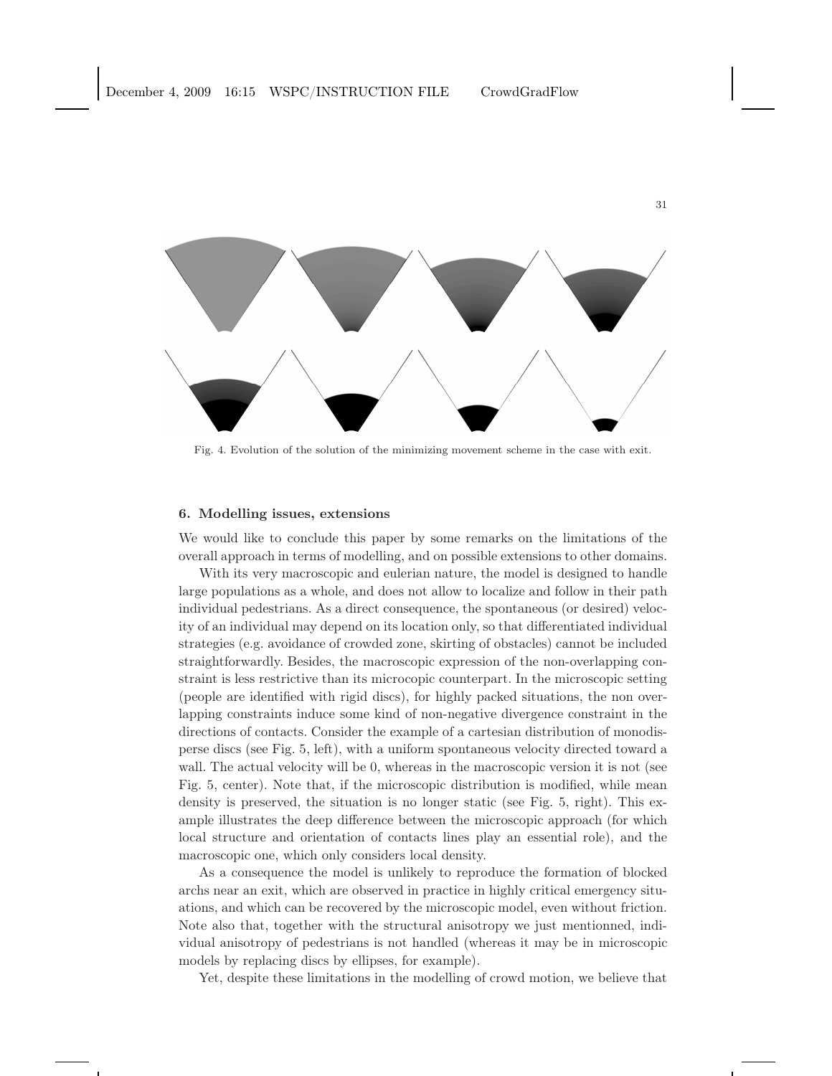

Fig. 4. Evolution of the solution of the minimizing movement scheme in the case with exit.

### 6. Modelling issues, extensions

We would like to conclude this paper by some remarks on the limitations of the overall approach in terms of modelling, and on possible extensions to other domains.

With its very macroscopic and eulerian nature, the model is designed to handle large populations as a whole, and does not allow to localize and follow in their path individual pedestrians. As a direct consequence, the spontaneous (or desired) velocity of an individual may depend on its location only, so that differentiated individual strategies (e.g. avoidance of crowded zone, skirting of obstacles) cannot be included straightforwardly. Besides, the macroscopic expression of the non-overlapping constraint is less restrictive than its microcopic counterpart. In the microscopic setting (people are identified with rigid discs), for highly packed situations, the non overlapping constraints induce some kind of non-negative divergence constraint in the directions of contacts. Consider the example of a cartesian distribution of monodisperse discs (see Fig. 5, left), with a uniform spontaneous velocity directed toward a wall. The actual velocity will be 0, whereas in the macroscopic version it is not (see Fig. 5, center). Note that, if the microscopic distribution is modified, while mean density is preserved, the situation is no longer static (see Fig. 5, right). This example illustrates the deep difference between the microscopic approach (for which local structure and orientation of contacts lines play an essential role), and the macroscopic one, which only considers local density.

As a consequence the model is unlikely to reproduce the formation of blocked archs near an exit, which are observed in practice in highly critical emergency situations, and which can be recovered by the microscopic model, even without friction. Note also that, together with the structural anisotropy we just mentionned, individual anisotropy of pedestrians is not handled (whereas it may be in microscopic models by replacing discs by ellipses, for example).

Yet, despite these limitations in the modelling of crowd motion, we believe that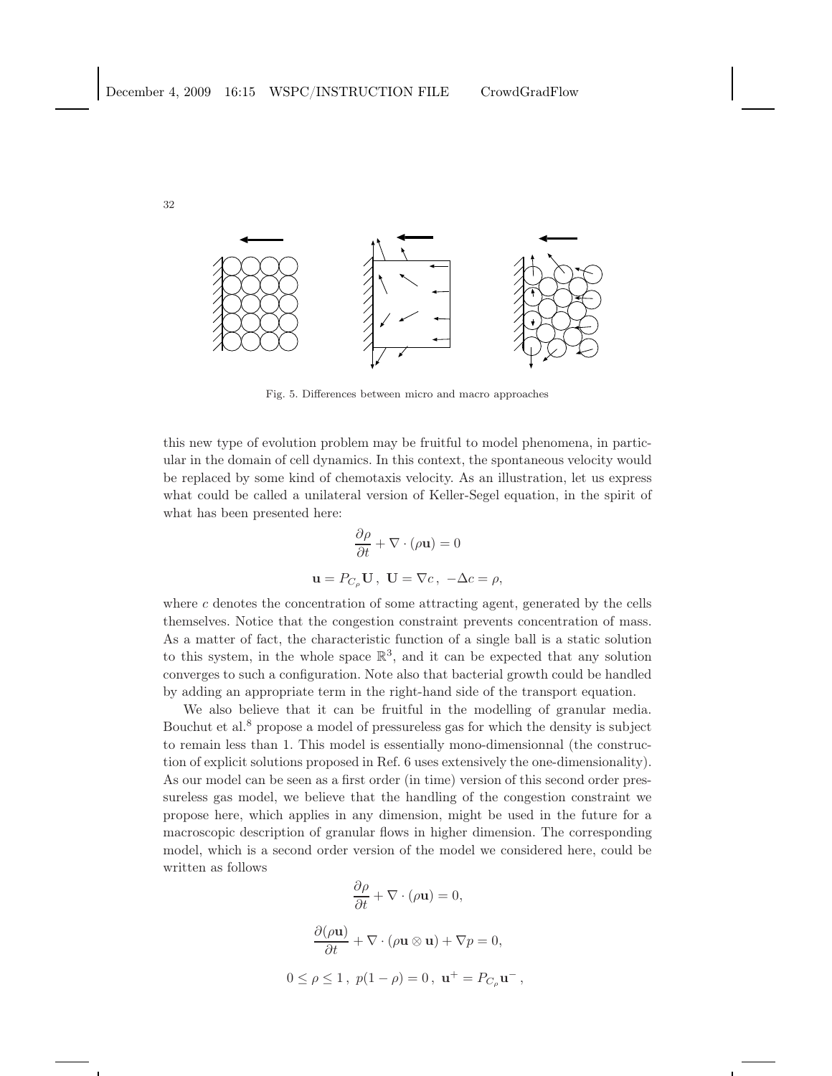

Fig. 5. Differences between micro and macro approaches

this new type of evolution problem may be fruitful to model phenomena, in particular in the domain of cell dynamics. In this context, the spontaneous velocity would be replaced by some kind of chemotaxis velocity. As an illustration, let us express what could be called a unilateral version of Keller-Segel equation, in the spirit of what has been presented here:

$$
\frac{\partial \rho}{\partial t} + \nabla \cdot (\rho \mathbf{u}) = 0
$$
  

$$
\mathbf{u} = P_{C_{\rho}} \mathbf{U}, \ \mathbf{U} = \nabla c, \ -\Delta c = \rho,
$$

where  $c$  denotes the concentration of some attracting agent, generated by the cells themselves. Notice that the congestion constraint prevents concentration of mass. As a matter of fact, the characteristic function of a single ball is a static solution to this system, in the whole space  $\mathbb{R}^3$ , and it can be expected that any solution converges to such a configuration. Note also that bacterial growth could be handled by adding an appropriate term in the right-hand side of the transport equation.

We also believe that it can be fruitful in the modelling of granular media. Bouchut et al. $<sup>8</sup>$  propose a model of pressureless gas for which the density is subject</sup> to remain less than 1. This model is essentially mono-dimensionnal (the construction of explicit solutions proposed in Ref. 6 uses extensively the one-dimensionality). As our model can be seen as a first order (in time) version of this second order pressureless gas model, we believe that the handling of the congestion constraint we propose here, which applies in any dimension, might be used in the future for a macroscopic description of granular flows in higher dimension. The corresponding model, which is a second order version of the model we considered here, could be written as follows

$$
\frac{\partial \rho}{\partial t} + \nabla \cdot (\rho \mathbf{u}) = 0,
$$
  

$$
\frac{\partial (\rho \mathbf{u})}{\partial t} + \nabla \cdot (\rho \mathbf{u} \otimes \mathbf{u}) + \nabla p = 0,
$$
  

$$
0 \le \rho \le 1, \ p(1 - \rho) = 0, \ \mathbf{u}^+ = P_{C_\rho} \mathbf{u}^-,
$$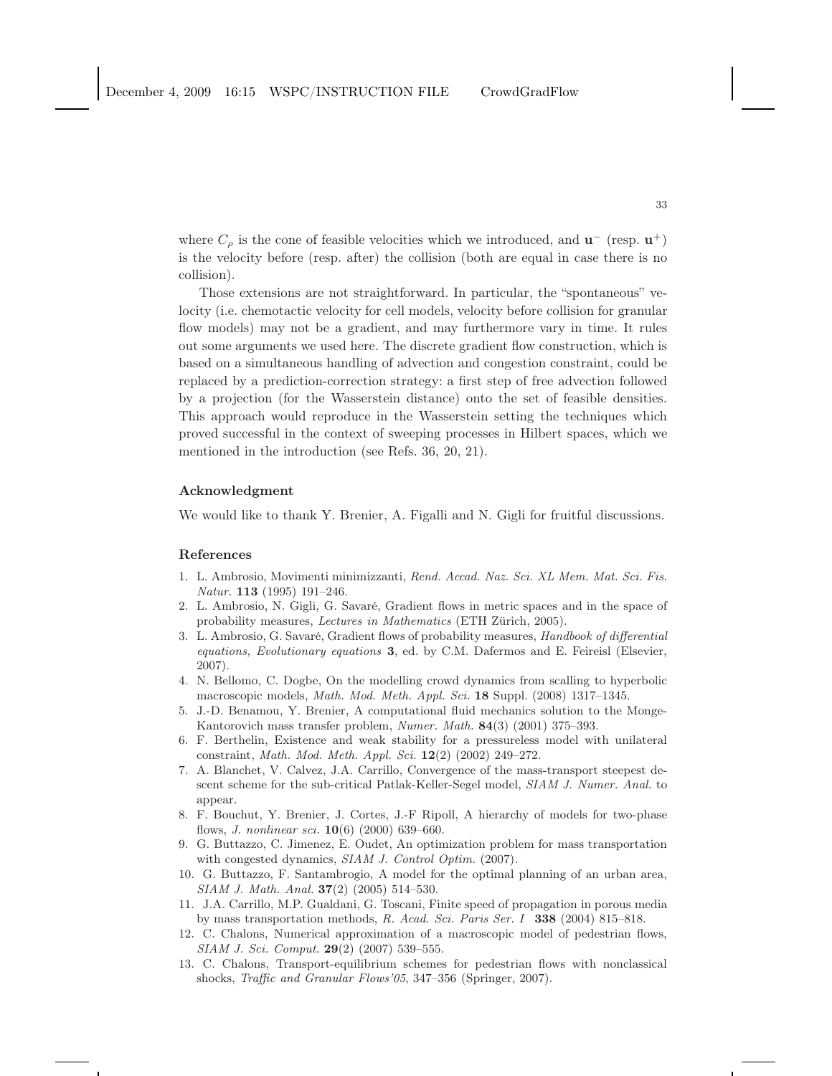where  $C_{\rho}$  is the cone of feasible velocities which we introduced, and  $\mathbf{u}^-$  (resp.  $\mathbf{u}^+$ ) is the velocity before (resp. after) the collision (both are equal in case there is no collision).

Those extensions are not straightforward. In particular, the "spontaneous" velocity (i.e. chemotactic velocity for cell models, velocity before collision for granular flow models) may not be a gradient, and may furthermore vary in time. It rules out some arguments we used here. The discrete gradient flow construction, which is based on a simultaneous handling of advection and congestion constraint, could be replaced by a prediction-correction strategy: a first step of free advection followed by a projection (for the Wasserstein distance) onto the set of feasible densities. This approach would reproduce in the Wasserstein setting the techniques which proved successful in the context of sweeping processes in Hilbert spaces, which we mentioned in the introduction (see Refs. 36, 20, 21).

## Acknowledgment

We would like to thank Y. Brenier, A. Figalli and N. Gigli for fruitful discussions.

### References

- 1. L. Ambrosio, Movimenti minimizzanti, Rend. Accad. Naz. Sci. XL Mem. Mat. Sci. Fis. Natur. 113 (1995) 191–246.
- 2. L. Ambrosio, N. Gigli, G. Savaré, Gradient flows in metric spaces and in the space of probability measures, Lectures in Mathematics (ETH Zürich, 2005).
- 3. L. Ambrosio, G. Savaré, Gradient flows of probability measures, Handbook of differential equations, Evolutionary equations 3, ed. by C.M. Dafermos and E. Feireisl (Elsevier, 2007).
- 4. N. Bellomo, C. Dogbe, On the modelling crowd dynamics from scalling to hyperbolic macroscopic models, Math. Mod. Meth. Appl. Sci. 18 Suppl. (2008) 1317-1345.
- 5. J.-D. Benamou, Y. Brenier, A computational fluid mechanics solution to the Monge-Kantorovich mass transfer problem, Numer. Math. 84(3) (2001) 375–393.
- 6. F. Berthelin, Existence and weak stability for a pressureless model with unilateral constraint, Math. Mod. Meth. Appl. Sci. 12(2) (2002) 249–272.
- 7. A. Blanchet, V. Calvez, J.A. Carrillo, Convergence of the mass-transport steepest descent scheme for the sub-critical Patlak-Keller-Segel model, SIAM J. Numer. Anal. to appear.
- 8. F. Bouchut, Y. Brenier, J. Cortes, J.-F Ripoll, A hierarchy of models for two-phase flows, J. nonlinear sci. 10(6) (2000) 639–660.
- 9. G. Buttazzo, C. Jimenez, E. Oudet, An optimization problem for mass transportation with congested dynamics, SIAM J. Control Optim. (2007).
- 10. G. Buttazzo, F. Santambrogio, A model for the optimal planning of an urban area, SIAM J. Math. Anal. 37(2) (2005) 514–530.
- 11. J.A. Carrillo, M.P. Gualdani, G. Toscani, Finite speed of propagation in porous media by mass transportation methods, R. Acad. Sci. Paris Ser. I 338 (2004) 815–818.
- 12. C. Chalons, Numerical approximation of a macroscopic model of pedestrian flows, SIAM J. Sci. Comput. 29(2) (2007) 539–555.
- 13. C. Chalons, Transport-equilibrium schemes for pedestrian flows with nonclassical shocks, Traffic and Granular Flows'05, 347–356 (Springer, 2007).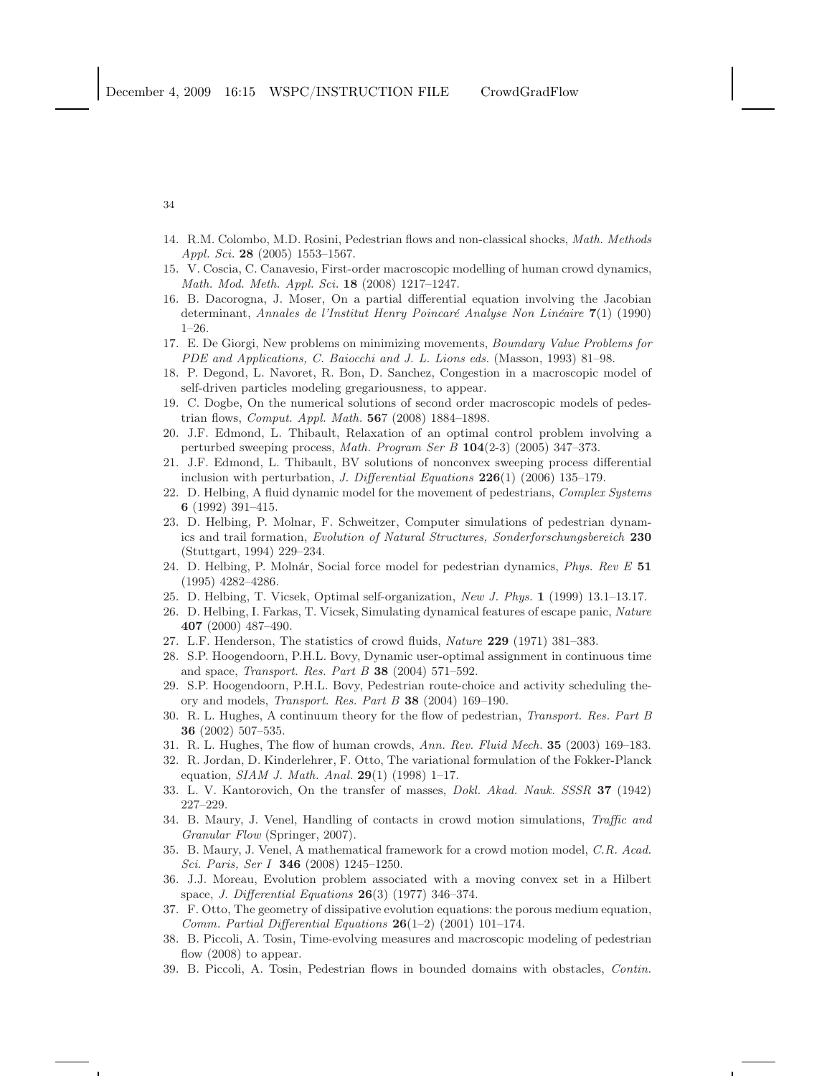- 14. R.M. Colombo, M.D. Rosini, Pedestrian flows and non-classical shocks, Math. Methods Appl. Sci. 28 (2005) 1553–1567.
- 15. V. Coscia, C. Canavesio, First-order macroscopic modelling of human crowd dynamics, Math. Mod. Meth. Appl. Sci. 18 (2008) 1217–1247.
- 16. B. Dacorogna, J. Moser, On a partial differential equation involving the Jacobian determinant, Annales de l'Institut Henry Poincaré Analyse Non Linéaire 7(1) (1990) 1–26.
- 17. E. De Giorgi, New problems on minimizing movements, Boundary Value Problems for PDE and Applications, C. Baiocchi and J. L. Lions eds. (Masson, 1993) 81–98.
- 18. P. Degond, L. Navoret, R. Bon, D. Sanchez, Congestion in a macroscopic model of self-driven particles modeling gregariousness, to appear.
- 19. C. Dogbe, On the numerical solutions of second order macroscopic models of pedestrian flows, Comput. Appl. Math. 567 (2008) 1884–1898.
- 20. J.F. Edmond, L. Thibault, Relaxation of an optimal control problem involving a perturbed sweeping process, Math. Program Ser B 104(2-3) (2005) 347–373.
- 21. J.F. Edmond, L. Thibault, BV solutions of nonconvex sweeping process differential inclusion with perturbation, J. Differential Equations  $226(1)$  (2006) 135-179.
- 22. D. Helbing, A fluid dynamic model for the movement of pedestrians, Complex Systems 6 (1992) 391–415.
- 23. D. Helbing, P. Molnar, F. Schweitzer, Computer simulations of pedestrian dynamics and trail formation, Evolution of Natural Structures, Sonderforschungsbereich 230 (Stuttgart, 1994) 229–234.
- 24. D. Helbing, P. Molnár, Social force model for pedestrian dynamics, Phys. Rev E 51 (1995) 4282–4286.
- 25. D. Helbing, T. Vicsek, Optimal self-organization, New J. Phys. 1 (1999) 13.1–13.17.
- 26. D. Helbing, I. Farkas, T. Vicsek, Simulating dynamical features of escape panic, Nature 407 (2000) 487–490.
- 27. L.F. Henderson, The statistics of crowd fluids, Nature 229 (1971) 381–383.
- 28. S.P. Hoogendoorn, P.H.L. Bovy, Dynamic user-optimal assignment in continuous time and space, Transport. Res. Part B 38 (2004) 571–592.
- 29. S.P. Hoogendoorn, P.H.L. Bovy, Pedestrian route-choice and activity scheduling theory and models, Transport. Res. Part B 38 (2004) 169–190.
- 30. R. L. Hughes, A continuum theory for the flow of pedestrian, Transport. Res. Part B 36 (2002) 507–535.
- 31. R. L. Hughes, The flow of human crowds, Ann. Rev. Fluid Mech. 35 (2003) 169–183.
- 32. R. Jordan, D. Kinderlehrer, F. Otto, The variational formulation of the Fokker-Planck equation,  $SIAM J. Math. Anal. 29(1) (1998) 1–17.$
- 33. L. V. Kantorovich, On the transfer of masses, Dokl. Akad. Nauk. SSSR 37 (1942) 227–229.
- 34. B. Maury, J. Venel, Handling of contacts in crowd motion simulations, Traffic and Granular Flow (Springer, 2007).
- 35. B. Maury, J. Venel, A mathematical framework for a crowd motion model, C.R. Acad. Sci. Paris, Ser I 346 (2008) 1245–1250.
- 36. J.J. Moreau, Evolution problem associated with a moving convex set in a Hilbert space, J. Differential Equations 26(3) (1977) 346–374.
- 37. F. Otto, The geometry of dissipative evolution equations: the porous medium equation, Comm. Partial Differential Equations  $26(1-2)$  (2001) 101-174.
- 38. B. Piccoli, A. Tosin, Time-evolving measures and macroscopic modeling of pedestrian flow  $(2008)$  to appear.
- 39. B. Piccoli, A. Tosin, Pedestrian flows in bounded domains with obstacles, Contin.